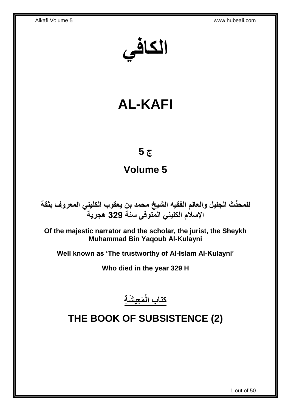**الكافي**

# **AL-KAFI**

# **ج 5**

# **Volume 5**

**دث الجليل والعالم الفقيه الشيخ محمد بن يعقوب الكليني المعروف بثقة للمح ِّ اإلسالم الكليني المتوفى سنة 329 هجرية**

**Of the majestic narrator and the scholar, the jurist, the Sheykh Muhammad Bin Yaqoub Al-Kulayni**

**Well known as 'The trustworthy of Al-Islam Al-Kulayni'**

**Who died in the year 329 H**

**َم ِعي َش ِة كتاب الْ**

# <span id="page-0-0"></span>**THE BOOK OF SUBSISTENCE (2)**

1 out of 50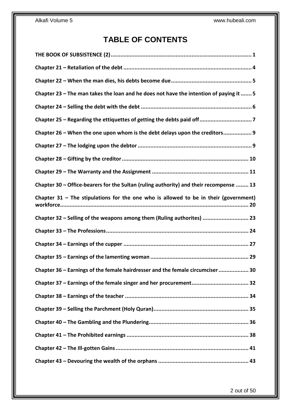# **TABLE OF CONTENTS**

| Chapter 23 - The man takes the loan and he does not have the intention of paying it  5 |
|----------------------------------------------------------------------------------------|
|                                                                                        |
|                                                                                        |
| Chapter 26 - When the one upon whom is the debt delays upon the creditors 9            |
|                                                                                        |
|                                                                                        |
|                                                                                        |
| Chapter 30 – Office-bearers for the Sultan (ruling authority) and their recompense  13 |
| Chapter $31$ – The stipulations for the one who is allowed to be in their (government) |
|                                                                                        |
| Chapter 32 - Selling of the weapons among them (Ruling authorites)  23                 |
|                                                                                        |
|                                                                                        |
|                                                                                        |
| Chapter 36 - Earnings of the female hairdresser and the female circumciser  30         |
|                                                                                        |
|                                                                                        |
|                                                                                        |
|                                                                                        |
|                                                                                        |
|                                                                                        |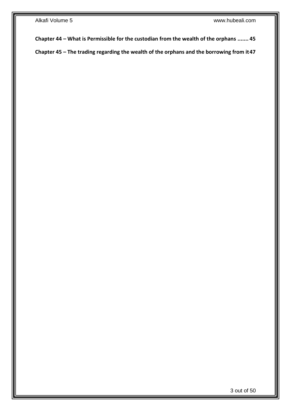**Chapter 44 – [What is Permissible for the custodian from the wealth of the orphans](#page-44-0) ....... 45**

**Chapter 45 – [The trading regarding the wealth of the orphans and the borrowing from it47](#page-46-0)**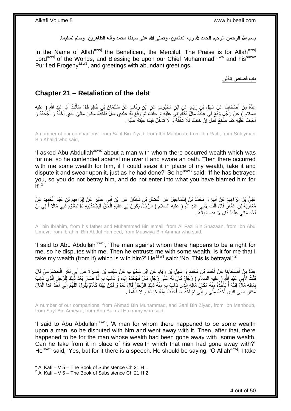**بسم هللا الرحمن الرحيم الحمد هلل رب العالمين، وصلى هللا على سيدنا محمد وآله الطاهرين، وسلم تسليما.**

In the Name of Allah<sup>azwj</sup> the Beneficent, the Merciful. The Praise is for Allah<sup>azwj</sup> Lord<sup>azwj</sup> of the Worlds, and Blessing be upon our Chief Muhammad<sup>saww</sup> and his<sup>saww</sup> Purified Progeny<sup>asws</sup>, and greetings with abundant greetings.

**ِن باب قِ َصا ِص الَّدْي**

### <span id="page-3-0"></span>**Chapter 21 – Retaliation of the debt**

عِدَّةٌ مِنْ أَصْحَابِنَا عَنْ سَهْلِ بْنِ زِيَادٍ عَنِ ابْنِ مَجْبُوبٍ عَنِ ابْنِ رِئَابٍ عَنْ سُلَيْمَانَ بْنِ خَالِدٍ قَالَ سَأَلْتُ أَبَا عَبْدِ الثَّهِ ( عليه ِ **∶ ∣** َ َ ْ ĺ السلام ) عَنْ رَجُلٍ وَقَعَ لِي عِنْدَهُ مَالٌ فَكَابَرَنِيَ عَلَيْهِ وَ حَلَفَ ثُمَّ وَقَعَ لَهُ عِنْدِي مَالٌ فَأَخُذُهُ مَكَانَ مَالِيَ الَّذِي أَخَذَهُ وَ أَجْحَدُهُ وَ ُ َ َ َّ أُحْلِفُ عَلَيْهِ كَمَا صَنَعَ فَّقَالَ إِنْ خَانَكَ فَلَا تَخُنْهُ ۖ لَا تَدْخُلْ فِيمَا عِبْتَهُ ۖ عَلَيْهِ ۚ יֲ<br>י َ

A number of our companions, from Sahl Bin Ziyad, from Ibn Mahboub, from Ibn Raib, from Suleyman Bin Khalid who said,

'I asked Abu Abdullah<sup>asws</sup> about a man with whom there occurred wealth which was for me, so he contended against me over it and swore an oath. Then there occurred with me some wealth for him, if I could seize it in place of my wealth, take it and dispute it and swear upon it, just as he had done?' So he<sup>asws</sup> said: 'If he has betrayed you, so you do not betray him, and do not enter into what you have blamed him for  $it'$ <sup>1</sup>

عَلِيُّ بْنُ إِبْرَاهِيمَ عَنْ أَبِيهٍ وَ مُحَمَّدُ بْنُ إِسْمَاعِيلَ عَنِ الْفَضْلِ بْنِ شَاذَانَ عَنِ ابْنِ أَبِي عُمَيْرٍ عَنْ إِبْرَاهِيمَ بْنِ عَبْدِ الْحَمِيدِ عَنِّ َ ْ ِ  $\frac{1}{2}$ יִין<br>∶ ْ ِ مُعَاوِّيَةَ ۚ بْنِّ عَمَّارٍ ۚ قَالَ قُلْتُ لِأَبِي عَبْدِ اللَّهِ ( عليه السلام ) الرَّجُلِّ يَكُونُ لِي َعَلَيْهِ الْحَقُّ فَيَجَّحَدُنِيهِ ثُمَّ يَسْتَوْدِغَنِي مَالًا أَ لِي أَنَّ ْ ِ َ َ ُ ْ اْخُذَ مَالِي َعِنْدَهُ قَالَ لَا هَذِهِ خِيَاَنَّةٌ .

Ali bin Ibrahim, from his father and Muhammad Bin Ismail, from Al Fazl Bin Shazaan, from Ibn Abu Umeyr, from Ibrahim Bin Abdul Hameed, from Muawiya Bin Ammar who said,

'I said to Abu Abdullah<sup>asws</sup>, 'The man against whom there happens to be a right for me, so he disputes with me. Then he entrusts me with some wealth. Is it for me that I take my wealth (from it) which is with him?' He<sup>asws</sup> said: 'No. This is betrayal'.<sup>2</sup>

عِدَّةٌ مِنْ أَصْحَابِنَا عَنْ أَحْمَدَ بْنِ مُحَمَّدٍ وَ سَهْلِ بْنِ زِيَادٍ عَنِ ابْنِ مَحْبُوبٍ عَنْ سَيْفِ بْنِ عَمِيرَةَ عَنْ أَبِي بَكْرٍ الْحَضْرِرَمِيِّ قَالَ ِ َ ِ َ ْ َ قُلْتُ لِأَبِي عَبْدٍ إَشَّرٍ ( عليه السلاَم ) رَجُلٌ كَانَ لَهُ عَلَى رَجُلٍ مَالٌ فَجَحَدَهُ إِيَّاهُ وَ ذَهبَ بِهِ ثُمَّ صَارَ بَعْدَ ذَٰلِكَ لِلَّارِّ بِي أَدْهِبَ ْ َّ ُ ِ ِ بِمَالِهِ مَالٌ قِبَلَهُ أَ يَأْخُذُهُ مِنْهُ مَكَانَ مُالِهِ الَّذِي ذَهَبَ بِهِ مِنْهُ ذَلِكَ الرَّجُلُ قَالَ نَعَمْ وَ لَكِنْ لِهَذَا كَلامٌ يَقُولُ اللَّهُمَّ إِنِّي آخُذُ هَذَا الْمَالَ ِ َّ :<br>.<br>. َ ِ ِ َّ ْ مَكَانَ مَالِيَ الَّذِي أَخَذَهُ مِنِّي وَ إِنِّي لَمْ آخُذْ مَا أَخَذْتُ مِنْهُ خِيَانَةً وَ لَا ظُلْماً <sub>.</sub> ْ **ٔ** َ **ٔ** ِ َ َّ

A number of our companions, from Ahmad Bin Muhammad, and Sahl Bin Ziyad, from Ibn Mahboub, from Sayf Bin Ameyra, from Abu Bakr al Hazramy who said,

'I said to Abu Abdullah<sup>asws</sup>, 'A man for whom there happened to be some wealth upon a man, so he disputed with him and went away with it. Then, after that, there happened to be for the man whose wealth had been gone away with, some wealth. Can he take from it in place of his wealth which that man had gone away with?' He<sup>asws</sup> said. 'Yes, but for it there is a speech. He should be saying, 'O Allah<sup>azwj</sup>! I take

 $1$  Al Kafi – V 5 – The Book of Subsistence Ch 21 H 1

 $2$  Al Kafi – V 5 – The Book of Subsistence Ch 21 H 2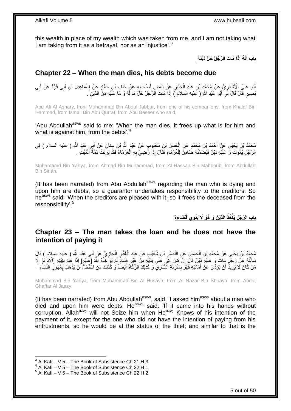this wealth in place of my wealth which was taken from me, and I am not taking what I am taking from it as a betrayal, nor as an injustice'.<sup>3</sup>

> **َدْيُن ُه ا َما َت ال َّر ُجلُ َحلَّ ِذَ َّن ُه إ باب أ َ**

# <span id="page-4-0"></span>**Chapter 22 – When the man dies, his debts become due**

أَبُو عَلِيٍّ الْأَشْعَرِ يُّ عَنْ مُحَمَّدٍ بْنِ عَبْدِ الْجَبَّارِ عَنْ بَعْضِ أَصْحَابِهِ عَنْ خَلَف بْنِ حَمَّادٍ عَنْ إِسْمَاعِيلَ بْنِ أَبِي قُرَّةَ عَنْ أَبِي **∶** َ **∶** ْ ِ ِ َ َ ِ بَصِيرٍ قَّالَ قَالَ لَِي أَبُو عَبْدِ اللَّهِ ( عَليه السلام َ) إِذَا مَاتَ الرَّجُلُ حَلَّ مَا لَهُ وَ مَا عَلَيْهِ مِنَ الدَّيْنِ َ َ

Abu Ali Al Ashary, from Muhammad Bin Abdul Jabbar, from one of his companions, from Khalaf Bin Hammad, from Ismail Bin Abu Qurrat, from Abu Baseer who said,

'Abu Abdullah<sup>asws</sup> said to me: 'When the man dies, it frees up what is for him and what is against him, from the debts'.<sup>4</sup>

مُحَمَّدُ بْنُ يَحْيَى عَنْ أَحْمَدَ بْنِ مُحَمَّدٍ عَنِ الْحَسَنِ بْنِ مَحْبُوبِ عَنْ عَبْدِ اللَّهِ بْنِ سِنَانٍ عَنْ أَبِي عَبْدِ اللَّهِ ( عليه السلام ) فِي<br>مَصَدِّدُ بْنُ يَحْيَى عَنْ أَحْمَدَ بْنِ مُعَمَّدٍ عَنِ الْ َ َ ْ الرَّجُلِ يَمُوتُ وَ عَلَيْهِ دَيْنٌ فَيَضْمَنُهُ ضَامِنٌّ لِلْغُرَمَاءِ فَقَالَ إِذَا رَضِيَ بِهِ الْغُرَمَاءُ فَقَدْ بَرِئَتْ ذِمَّةٌ الْمَيِّتِ . ِ ْ **∶** ْ ْ

Muhamamd Bin Yahya, from Ahmad Bin Muhammad, from Al Hassan Bin Mahboub, from Abdullah Bin Sinan,

(It has been narrated) from Abu Abdullah<sup>asws</sup> regarding the man who is dying and upon him are debts, so a guarantor undertakes responsibility to the creditors. So he<sup>asws</sup> said: 'When the creditors are pleased with it, so it frees the deceased from the responsibility'.<sup>5</sup>

> **َضا َء ُه ِوي قَ الَّدْي َن َو ُهَو ََل َيْن ُخذُ باب ال َّر ُج ِل َيأ ْ**

### <span id="page-4-1"></span>**Chapter 23 – The man takes the loan and he does not have the intention of paying it**

مُحَمَّدُ بْنُ يَحْيَى عَنْ مُحَمَّدِ بْنِ الْحُسَيْنِ عَنِ النَّصْرِ بْنِ شُعَيْبٍ عَنْ عَبْدِ الْغَفَّارِ الْجَازِيِّ عَنْ أَبِي عَبْدِ اللَّهِ ( عليهِ السلامِ ) قَالَ<br>مُنْهُمُ بَنُ يَحْيَى عَنْ مُحَمَّدِ بْنِ الْحُسَيْن ِ ْ ِ ْ **∶** ْ َ سَأَلْتُهُ عَنْ رَجُلٍ مَاتَ وَ عَلَيْهِ دَيْنٌ قَالَ إِنْ كَانَ أُتَبَي عَلَى يَدَيْهِ مِنْ غَيْرِ فَسَادٍ لَمْ يُوَاخِّذْهُ اللَّهُ إِعْلَيْهِمِ إِلَيْهِ إِلَيْهِ إِلَيْهِ وَالْأَدَاءَ] إِلَّا إِلَيْهِ وَإِنْ غَانَ أُتَب יֲ<br>י ֺ֦֧֦֧֦֧֦֧֦֧֦֦֦֦֦֦֦֦֦֧֦֧֦֪֪֦֪֦֪֪֦֝֟֟֓֕֟֓֓֟֓֓֞֟֓֟֓֓֞֟֓֞֓֞֓֞֓֞֟֓֡֟֓֡֟֓֡֟֓֡֟֓֡֟֓֞֓֞֓֞֓֓֞֟֓֟֓֟֓֞֟֟֟ َ ِ ِ **ٔ** ِ ُ مَنْ كَانَ لَا يُرِيذُ أَنْ يُوَدِّيَ عَنْ أَمَانَتِهِ فَهُوَ بِمَنْزِلَةِ الْسَّارِقِ وَ كَذَلِكَ الزَّكَاةُ أَيْضاً وَ كَذَلِكَ مَنِ اسْنَحَلَّ أَنَّ يَذْهَبُ بِمُهُورِ النِّسَاءِ َ ـ َ لَ ِ ِ َ َ ِ ِ ِ **ٔ** اُ

Muhammad Bin Yahya, from Muhammad Bin Al Husayn, from Al Nazar Bin Shuayb, from Abdul Ghaffar Al Jaazy,

(It has been narrated) from Abu Abdullah $a<sup>asws</sup>$ , said, 'I asked him $a<sup>asws</sup>$  about a man who died and upon him were debts. He<sup>asws</sup> said: 'If it came into his hands without corruption, Allah<sup>azwj</sup> will not Seize him when He<sup>azwj</sup> Knows of his intention of the payment of it, except for the one who did not have the intention of paying from his entrustments, so he would be at the status of the thief; and similar to that is the

 $^3$  Al Kafi – V 5 – The Book of Subsistence Ch 21 H 3

 $4$  Al Kafi – V 5 – The Book of Subsistence Ch 22 H 1

 $5$  Al Kafi – V 5 – The Book of Subsistence Ch 22 H 2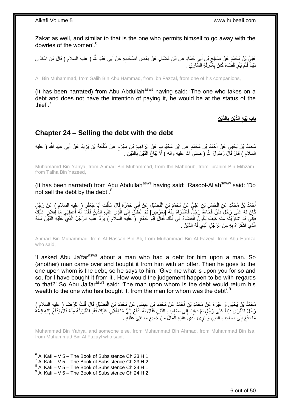Zakat as well, and similar to that is the one who permits himself to go away with the dowries of the women'.<sup>6</sup>

عَلِيُّ بِنُ مُحَمَّدٍ عَنْ صَالِحٍ بْنِ أَبِيِ حَمَّادٍ عَنِ ابْنِ فَضَّالٍ عَنْ بَعْضِ أَصْحَابِهِ عَنْ أَبِي عَبْدِ اللَّهِ ( عليه السلام ) قَالَ مَنِ اسْتَدَانَ َ ِ َ َ ِ دَيْنَأُ فَلَمْ يَنْوِ قَضَاهُ كَانَ بِمَّنْزِلَةِ الْسَّارِقِ . لَ ِ ِ **∶** 

Ali Bin Muhammad, from Salih Bin Abu Hammad, from Ibn Fazzal, from one of his companions,

(It has been narrated) from Abu Abdullah<sup>asws</sup> having said: 'The one who takes on a debt and does not have the intention of paying it, he would be at the status of the thief'.<sup>7</sup>

> **ِن الَّدْي ِن باب َبْيع الَّدْي ب ِ ِ**

### <span id="page-5-0"></span>**Chapter 24 – Selling the debt with the debt**

مُحَمَّدُ بْنُ يَحْيَى عَنْ أَحْمَدَ بْنِ مُحَمَّدٍ عَنِ ابْنِ مَحْبُوبِ عَنْ إِبْرَاهِيمَ بْنِ مِهْزَمٍ عَنْ طَلْحَةَ بْنِ يَزِيدَ عَنْ أَبِي عَبْدِ اللَّهِ ( عليه ْ م ِ َ ِ السلام ) قَالَ قَالَ رَسُولُ اللَّهِ (َ صلى الله عَليه َواله ) لَا يُبَاعُ اَلدَّبْنُ بِالدَّبْنِ . ِ

Muhamamd Bin Yahya, from Ahmad Bin Muhammad, from Ibn Mahboub, from Ibrahim Bin Mihzam, from Talha Bin Yazeed,

(It has been narrated) from Abu Abdullah<sup>asws</sup> having said: 'Rasool-Allah<sup>saww</sup> said: 'Do not sell the debt by the debt'.<sup>8</sup>

أَحْمَدُ بْنُ مُحَمَّدٍ عَنِ الْحَسَنِ بْنِ عَلِيٍّ عَنْ مُحَمَّدٍ بْنِ الْفُضَيْلِ عَنْ أَبِي حَمْزَةَ قَالَ سَأَلْتُ أَبَا جَعْفَرٍ ( عليه السلام ) عَنْ رَجُلٍ َ ْ َ َ ْ ْ َ كَانَ لَهُ عَلَى رَجُلٍ دَيْنٌ فَجَاءَهُ رَجُلٌ فَاشْتَرَاهُ مِنْهُ إِبِعَرْضٍ] ثُمَّ انْطَلَّقَ إِلَى الَّذِي عَلَيْهِ الدَّيْنُ فَقَلَ لَهُ أَعْطِنِي مَا لِفُلَانٍ عَلَيْكَ َ َّ ِ ُ ِ فَإِنِّي قَدِ اشْتَرَيْتُهُ مِّنْهُ كَيْفَ يَكُونُ الْقَصَاءُ فِي ذَلِكَ فَقَالَ أَبُو ۖ جَعْفَرٍ ( عَليه السلام ) يَرُدُّ عَلَيْهِ الرَّجُلُ الَّذِي عَلَيْهِ الدَّيْنُ مَالَهُ َ ْ ِ َّ الَّذِي اشْتَرَاهُ بِهِ مِنَ الرَّجُلِ الَّذِي لَهُ الدَّيْنُ <sub>.</sub> َّ **∶** َّ

Ahmad Bin Muhammad, from Al Hassan Bin Ali, from Muhammad Bin Al Fazeyl, from Abu Hamza who said,

'I asked Abu Ja'far<sup>asws</sup> about a man who had a debt for him upon a man. So (another) man came over and bought it from him with an offer. Then he goes to the one upon whom is the debt, so he says to him, 'Give me what is upon you for so and so, for I have bought it from it'. How would the judgement happen to be with regards to that?' So Abu Ja'far<sup>asws</sup> said: 'The man upon whom is the debt would return his wealth to the one who has bought it, from the man for whom was the debt'.<sup>9</sup>

مُحَمَّدُ بْنُ يَحْيَى وَ غَيْرُهُ عَنْ مُحَمَّدِ بْنِ أَحْمَدَ عَنْ مُحَمَّدِ بْنِ عِيِسَى عَنْ مُحَمَّدِ بْنِ الْفُضِّيْلِ قَالَ قُلْتُ لِلرِّضَا ( عليه السلام )<br>مُحَمَّدُ بْنُ يَحْيَى وَ غَيْرُهُ عَنْ مُحَمَّدِ بْنِ أَح ْ ْ رَجُلٌ اشْتَرَى دَيْناً عَلَي رَجُلٍ ثُمَّ ذَهَبٍ إِلَى صَاحِبِ الدَّيْنِ فَقَالَ لَهُ ادْفَعْ إِلَيَّ مَا لِفُلاَنٍ عَلَيْكَ فَقَدِ اشْتَرَيْتُهُ مِنْهُ قَالَ يَدْفَعُ إِلَيْهِ قِيمَةُ ِ ُ لَ ِ لَ ِ مَا دَفَعَ إِلَى صَاحِبِ الدَّيْنِ وَ بَرِيَّ الَّذِي عَلَيْهِ الْمَالُ مِنْ جَمِيعِ مَا بَقِيَ عَلَيْهِ . ِ ْ َّ ِ  $\frac{1}{2}$ 

Muhammad Bin Yahya, and someone else, from Muhammad Bin Ahmad, from Muhammad Bin Isa, from Muhammad Bin Al Fuzayl who said,

- 6 Al Kafi V 5 The Book of Subsistence Ch 23 H 1
- $^7$  Al Kafi V 5 The Book of Subsistence Ch 23 H 2
- $8$  Al Kafi V 5 The Book of Subsistence Ch 24 H 1
- $^9$  Al Kafi V 5 The Book of Subsistence Ch 24 H 2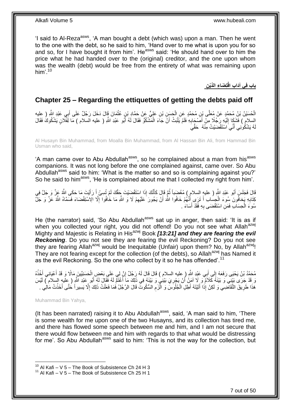'I said to Al-Reza<sup>asws</sup>, 'A man bought a debt (which was) upon a man. Then he went to the one with the debt, so he said to him, 'Hand over to me what is upon you for so and so, for I have bought it from him'. He<sup>asws</sup> said: 'He should hand over to him the price what he had handed over to the (original) creditor, and the one upon whom was the wealth (debt) would be free from the entirety of what was remaining upon him'. $10$ 

**ِن تِ َضا ِء الَّدْي باب فِي آَدا ِب اقْ**

# <span id="page-6-0"></span>**Chapter 25 – Regarding the ettiquettes of getting the debts paid off**

الْحُسَيْنُ يْنُ مُحَمَّدٍ عَنْ مُعَلَّى بْنِ مُحَمَّدٍ عَنِ الْجَسِنِ بْنِ عَلِيٍّ عَنْ حَمَّادِ بْنِ عُثْمَانَ قَالَ دَخَلَ رَجُلٌ عَلَى أَبِي عَبْدِ اللَّهِ ( عِليه<br>الْحُسَيْنُ بَيْ يَحْمَدٍ عَنْ مُعَلَّى بْنِ مُحَمَّد **ٔ** ْ **∶** َ السلام ) فَشَكَا إِلَيْهِ رَجُلًا مِنْ أَصَىْحَابِهِ فَلَمْ يَلْبَتْ أَنَّ جَاءَ الْمَشْكُوُّ فَقَالَ لَهُ أَبُو عَبْدِ اللَّهِ ( عليه السلام ) مَا لَفُلَانٍ يَشْكُوكُ فَقَالَ َ ْ َ ْ **∶** َ لَ هُ يَشْكُونِي أَنِّيَ اسْتَقْضَيْتُ مِنْهُ ۚ حَقِّيَ َ لَ

Al Husayn Bin Muhammad, from Moalla Bin Muhammad, from Al Hassan Bin Ali, from Hammad Bin Usman who said,

'A man came over to Abu Abdullah<sup>asws</sup>, so he complained about a man from his<sup>asws</sup> companions. It was not long before the one complained against, came over. So Abu Abdullah<sup>asws</sup> said to him: 'What is the matter so and so is complaining against you?' So he said to him<sup>asws</sup>, 'He is complained about me that I collected my right from him'.

َ قَالَ فَجَلَسَ أَبُو عَبْدِ اللَّهِ ( عليهِ السلامِ ) مُغْضَباً ثُمَّ قَالَ كَأَنَّكَ إِذَا اسْتَقْضَيْتَ جَقَّكَ لَمْ تُسِئْ أَ رَأَيْتَ مَا حَكَى اللَّهُ عَزَّ وَ جَلَّ فِي َ ا<br>ا َ َ كِّنَابِهِ يَخافُونَ سُوءَ الْجِسَابِ أَ تَرَى أَنَّهُمْ خَافُوا الله أَنْ يَجُورَ عَلَيْهِمْ لَا وَ اللَّهِ مَا خَافُوا إِلَّا الِاسْتِقْضَاءَ فَسَمَّاهُ اللَّهُ عَزَّ وَ جَلَّ َ َ َ ْ **∶** ا<br>ا ِ سُوءَ الْحِسَابِ فَمَنِ اسْتَقْضَى بِهِ فَقَدْ أَسَاءَ . َ ِ ْ

He (the narrator) said, 'So Abu Abdullah<sup>asws</sup> sat up in anger, then said: 'It is as if when you collected your right, you did not offend! Do you not see what Allah<sup>azwj</sup> Mighty and Majestic is Relating in His<sup>azwj</sup> Book **[13:21] and they are fearing the evil** *Reckoning*. Do you not see they are fearing the evil Reckoning? Do you not see they are fearing Allah<sup>azwj</sup> would be Inequitable (Unfair) upon them? No, by Allah<sup>azwj</sup>! They are not fearing except for the collection (of the debts), so Allah<sup>azwj</sup> has Named it as the evil Reckoning. So the one who collect by it so he has offended'.<sup>11</sup>

ْ مُحَمَّدُ بْنُ يَحْيَى رَفَعَهُ إِلَى أَبِي عَنْدِ اللَّهِ ( عليه السلام ) قَالَ قَالَ لَهُ رَجُلٌ إِنَّ لِي عَلَى بَعْضٍ الْحَسَنِيِّينَ مَالًا وَ قَدْ أَعْيَانِي أَخْذُهُ ِ َ  $\frac{1}{2}$ َ َ وَ قَدْ جَرَى بَيْنِي وَ بَيْنَهُ كَلاَمٌ وَ ِلَا اَمَنُ أَنْ يَجْرِيَ بَيْنِي وَ بَيْنَهُ فِي ذَلِكَ مَا أَغْنَمُّ لَهُ فَقَالَ لَهُ أَبُو عَبْدِ اللّهِ ( عِليهِ السلام ) لَيْسَ **∶** َ َ َ هَذَا طَرِيقَ النَّقَاضِي وَ لَكِنْ إِذَا أَتَيْتَهُ أَطِلِ الْجُلُوَسَ وَ الْزَمِ السُّكُوتَ قَالَ الرَّجُلُ فَمَا فَعَلْتُ ذَلِكَ إِلَّا بَسِيراً حَتَّى أَخَذْتُ مَالِي ْ ِ ْ ْ َ **∶ ٔ** َ ِ

### Muhammad Bin Yahya,

1

(It has been narrated) raising it to Abu Abdullah<sup>asws</sup>, said, 'A man said to him, 'There is some wealth for me upon one of the two Husayns, and its collection has tired me, and there has flowed some speech between me and him, and I am not secure that there would flow between me and him with regards to that what would be distressing for me'. So Abu Abdullah<sup>asws</sup> said to him: 'This is not the way for the collection, but

 $10$  Al Kafi – V 5 – The Book of Subsistence Ch 24 H 3

 $11$  Al Kafi – V 5 – The Book of Subsistence Ch 25 H 1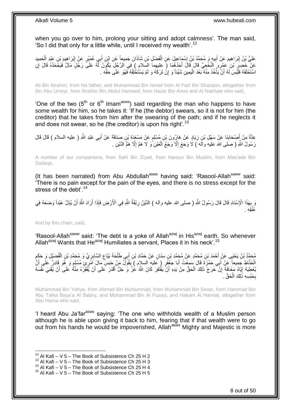when you go over to him, prolong your sitting and adopt calmness'. The man said, 'So I did that only for a little while, until I received my wealth'.<sup>12</sup>

عَلِيُّ بِنُ إِبْرَاهِيمَ عَنْ أَبِيهِ وَ مُحَمَّدُ بْنُ إِسْمَاعِيلَ عَنِ الْفَضْلِ بْنِ شَاذَانَ جَمِيعاً عَن ابْنِ أَبِي عُمَيْرٍ عَنْ إِبْرَاهِيمَ بْنِ عَبْدِ الْحَمِيدِ َ ْ ِ **!** َ ِ ْ ِ عَنْ خَضِرٍ بْنِ عَمْرٍ إِنَّخَعِيٍّ قَالَ قَالَ أَحَدُهُمَا ( عليهما السَلامِ ) فِي الرَّجُلِ يَكُونُ لَّهُ عَلَى رَجُلٍ مَالٌ فَيَجْحَدُهُ قَالَ إِنِ<br>مَرَيَنَهُ يَرْسَلُ فَيَجْحَدُهُ قَالَ اللَّهُ عَنْ الْمَحْدُومَا ( ع َ ِ<br>; اسْتَحْلَفَهُ فَلَّيْسَ لَهُ أَنْ يَأْخُذَ مِنْهُ بَعْدَ الْيَمِينِ شَيْئاً وَ إِنْ تَرَكَهُ وَ لَمْ يَسْتَخْلِفْهُ فَهُوَ عَلَى حَقِّهِ . ِ ا<br>ا :<br>. اً

Ali Bin Ibrahim, from his father, and Muhammad Bin Ismail from Al Fazl Bin Shazaan, altogether from Ibn Abu Umeyr, from Ibrahim Bin Abdul Hameed, from Hazar Bin Amro and Al Nakhaie who said,

'One of the two ( $5<sup>th</sup>$  or  $6<sup>th</sup>$  Imam<sup>asws</sup>) said regarding the man who happens to have some wealth for him, so he takes it: 'If he (the debtor) swears, so it is not for him (the creditor) that he takes from him after the swearing of the oath; and if he neglects it and does not swear, so he (the creditor) is upon his right'.<sup>13</sup>

عِدَّةٌ مِنْ أَصْحَابِنَا عَنْ سَهْلِ بْنِ زِيَادٍ عَنْ هَارِرُونَ بْنِ مُسْلِمٍ عَنْ مَسْعَدَةَ بْنِ صَدَقَةَ عَنْ أَبِي عَبْدِ اللَّهِ ( عليه السلام ) قَالَ قَالَ َ ֧֧֚֓֝֝֓֝֬ ِ ِ َ رَسُولُ اللَّهِ ( صَلَّى الله عليهُ وآلَه ) لَا وَجَعَ إِلَّا وَجَعُ الْعَيْنِ ًوَ لَا هَمَّ إِلَّا هَمُّ الدَّيْنِ . ِ ْ ِ

A number of our companions, from Sahl Bin Ziyad, from Haroun Bin Muslim, from Mas'ada Bin Sadaqa,

(It has been narrated) from Abu Abdullah<sup>asws</sup> having said: 'Rasool-Allah<sup>saww</sup> said: 'There is no pain except for the pain of the eyes, and there is no stress except for the stress of the debt<sup>' 14</sup>

َ َرِ بِهَذَا الْإِسْنَادِ قَالَ قَالَ رَسُولُ اللَّهِ ( صلى الله عليه وأله ) الدَّيْنُ رِبْقَةُ اللَّهِ فِي الْأَرْضِ فَإِذَا أَرَادَ اللَّهُ أَنْ يُذِلَّ عَبْداً وَضَعَهُ فِي ِ **∶** َ ِق ِه . ُعنُ

And by this chain, said,

1

'Rasool-Allah<sup>saww</sup> said: 'The debt is a yoke of Allah<sup>azwj</sup> in His<sup>azwj</sup> earth. So whenever Allah<sup>azwj</sup> Wants that He<sup>azwj</sup> Humiliates a servant, Places it in his neck'.<sup>15</sup>

مُحَمَّدُ بْنُ يَحْيَى عَنْ أَحْمَدَ بْنِ مُحَمَّدٍ عَنْ مُحَمَّدِ بْنِ سِنَانٍ عَنْ حَمَّادِ بْنِ أَبِي طَلْحَةَ بَيَّاعِ السَّابِرِيِّ وَ مُحَمَّدِ بْنِ الْفُضَيْلِ وَ حَكَمِ َ ٍ<br>پا ْ ِ ِ ْ الْحَنَّاطِ جَمِيعاً عَنْ أَبِي حَمْزَةَ قَالَ سَمِعْتُ أَبَا جَعْفَرٍ ( عَليهِ السلامِ ) يَقُولُ مَنْ حَبَسَ مَالَ اَمْرِءٍ؛ مُسْلِمٍ وَ هُوَ قَادِرٌ عَلَى أَنَّ<br>المَنَّاطِ جَمِيعاً عَنْ أَبِي حَمْزَةَ قَالَ سَمِعْتُ أَب َ َ َ ٍ يُعْطِيَهُ إِيَّاهُ مَخَافَةَ إِنَّ خَرَجَ ذَلِكَ الْحَقُّ مِنْ يَدِهِ أَنْ يَفْتَقِرَ كَانَ اللَّهُ عَٰنَّ وَ جَلَّ أَقْدَرَ عَلَى أَنْ يُفْقِرَهُ مِنْهُ عَلَى أَنْ يُفْنِيَ نَّفْسَهُ َ َ اُ ْ ِ ֖֧֓<u>֚֚֚֚֓</u> َ بِحَبْسِهِ ذَلِكَ الْحَقَّ ـ ْ ِ

Muhammad Bin Yahya, from Ahmad Bin Muhammad, from Muhammad Bin Sinan, from Hammad Bin Abu Talha Baya'a Al Sabiry, and Muhammad Bin Al Fuzayl, and Hakam Al Hannat, altogether from Abu Hama who said,

'I heard Abu Ja'far<sup>asws</sup> saying: 'The one who withholds wealth of a Muslim person although he is able upon giving it back to him, fearing that if that wealth were to go out from his hands he would be impoverished. Allah<sup>asws</sup> Mighty and Majestic is more

 $12$  Al Kafi – V 5 – The Book of Subsistence Ch 25 H 2

 $13$  Al Kafi – V 5 – The Book of Subsistence Ch 25 H 3

<sup>&</sup>lt;sup>14</sup> Al Kafi – V  $5$  – The Book of Subsistence Ch 25 H 4

 $15$  Al Kafi – V 5 – The Book of Subsistence Ch 25 H 5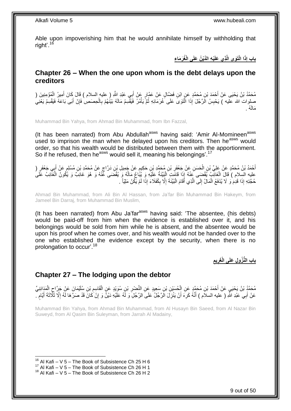Able upon impoverishing him that he would annihilate himself by withholding that right'.<sup>16</sup>

**ْي ِه الَّدْي ُن َعلَى الْ ُغَر َما ِء ِذي َعلَ ا الَْتَوى الَّ ِذَ باب إ**

### <span id="page-8-0"></span>**Chapter 26 – When the one upon whom is the debt delays upon the creditors**

مُحَمَّدُ بْنُ يَحْيَى عَنْ أَحْمَدَ بْنِ مُحَمَّدٍ عَنِ ابْنِ فَضِّالٍ عَنْ عَمَّارٍ عَنْ أَبِي عَبْدِ اللَّهِ ( عليه السلام ) قَالَ كَانَ أَمِيرُ الْمُؤْمِنِينَ ( َ َ ْ َ صلوات الله عليه ) يَحْبِسُ الَرَّجُلَ إِذَا الّْتَوَىَ عَلَى خُرَمَائِهِ ثُمَّ يَأْمُرُ فَيَقْسِمُ مَالَهُ بَيْنُهُمْ بِالْحِصَصِ فَإِنْ أَبَى بَاعَهُ فَيَقْسِمُ يَعْنِي ْ ِ ْ ُ ْ َ ∣ļ مَالَهُ .

Muhammad Bin Yahya, from Ahmad Bin Muhammad, from Ibn Fazzal,

(It has been narrated) from Abu Abdullah<sup>asws</sup> having said: 'Amir Al-Momineen<sup>asws</sup> used to imprison the man when he delayed upon his creditors. Then he<sup>asws</sup> would order, so that his wealth would be distributed between them with the apportionment. So if he refused, then he<sup>asws</sup> would sell it, meaning his belongings'.<sup>17</sup>

أَحْمَدُ بْنُ مُحَمَّدٍ عَنْ عَلِيِّ بْنِ الْحَسَنِ عَنْ جَعْفَرِ بْنِ مُحَمَّدِ بْنِ حَكِيمٍ عَنْ جَمِيلِ بْنِ دَرَّاجٍ عَنْ مُحَمَّدِ بْنِ مُسْلِمٍ عَنْ أَبِي جَعْفَرٍ (<br>ِيَمْنُوْ بَيْنَ مُحَمَّدٍ عَنْ غَلِيِّ بْنِ الْحَ ٍ ֧֧֖֚֚֓֝֝֓֝ ِ ْ َ َ م عليه السِلام ) قَالَ الْغَائِبُ يُقْضَى عَنْهُ إِذَا قَامَتِ الْبَيِّنَةُ عَلَيْهِ وَ يُبَّاعُ مَالُهُ وَ يُقْضَى عَّنْهُ وَ هُوَ غَائِبٌ وَ يُكُونُ الْغَائِبُ عَلَى ا<br>ا ْ ا<br>ا حُجَّتِهِ إِذَا قَدِمَ وَ لَا يُذْفَعُ الْمَالُ إِلَى الَّذِي أَقَامَ الْبَيِّنَةَ إِلَّا بِكُفَلَاءَ إِذَا لَمْ يَكُنْ مَلِيّاً . ِ ِ :<br>ا اُ  $\frac{1}{2}$ ْ

Ahmad Bin Muhammad, from Ali Bin Al Hassan, from Ja'far Bin Muhammad Bin Hakeym, from Jameel Bin Darraj, from Muhammad Bin Muslim,

(It has been narrated) from Abu Ja'far<sup>asws</sup> having said: 'The absentee, (his debts) would be paid-off from him when the evidence is established over it, and his belongings would be sold from him while he is absent, and the absentee would be upon his proof when he comes over, and his wealth would not be handed over to the one who established the evidence except by the security, when there is no prolongation to occur'.<sup>18</sup>

> **ِ يم باب الُّن ُزو ِل َعلَى الْ َغر ِ**

## <span id="page-8-1"></span>**Chapter 27 – The lodging upon the debtor**

ِ مُحَمَّدُ بْنُ يَحْيَيِ عَنْ أَحْمَدَ بْنِ مُحَمَّدٍ عَنِ الْحُسَيْنِ بْنِ سَعِيدٍ عَنِ النَّصْرِ بْنِ سُوَيْدٍ عَنِ الْقَاسِمِ بْنِ سُلَيْمَانَ عَنْ جَرَّاحٍ الْمَدَائِنِيِّ ْ **ٍ** ْ ْ ٍ **∶** عَنْ أَبِي عَبْدِ اللَّهِ ( عليه السلاَم ) أَنَّهُ كَرِهَ أَنْ يَنْزِلَ الرَّجُلُ عَلَى الرَّجُلِ وَ لَّهُ عَلَيْهِ دَيْنٌ وَ إِنْ كَانَ قَدْ صَرَّهَا لَّهُ إِلَّا ثَلَاثَةَ أَيَّامٍ ِ ِ اُ ِ َ ֧֖֖֖֖֧֧֧֧֦֧ׅ֧֧ׅ֧֛֧ׅ֧֛֛֛֚֚֚֚֚֚֚֚֓֝֝֬֝֟֓֝֓֝֓֝֓֜֟֓֟֓֝֬֜֓֜֜֡֓֜֜֜ َ ِ

Muhammad Bin Yahya, from Ahmad Bin Muhammad, from Al Husayn Bin Saeed, from Al Nazar Bin Suweyd, from Al Qasim Bin Suleyman, from Jarrah Al Madainy,

 $16$  Al Kafi – V 5 – The Book of Subsistence Ch 25 H 6

 $17$  Al Kafi – V  $5$  – The Book of Subsistence Ch 26 H 1

 $18$  Al Kafi – V 5 – The Book of Subsistence Ch 26 H 2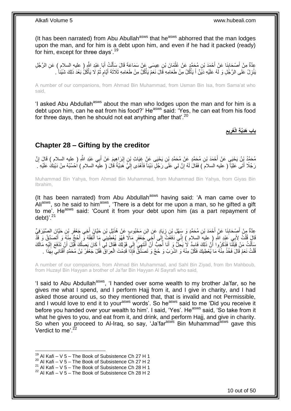(It has been narrated) from Abu Abullah $a<sup>asws</sup>$  that he $a<sup>asws</sup>$  abhorred that the man lodges upon the man, and for him is a debt upon him, and even if he had it packed (ready) for him, except for three days'.<sup>19</sup>

عِدَّةٌ مِنْ أَصْحَابِذَا عَنْ أَحْمَدَ بْنِ مُحَمَّدٍ عَنْ عُثْمَانَ بْنِ عِيسَى عَنْ سَمَاعَةً قَالَ سَأَلْتُ أَبَا عَبْدِ الثَّهِ ( عليه السلام ) عَنِ الرَّجُلِ<br>وَمَدَّةٌ مِنْ أَصْبَحَانِيَّةٍ مَعْ الرَّجُلِيِّينَ مِنْ َ ْ ĺ **ٔ ∣** َ ْ َنْزِلُ عَلَى الرَّجُلِ وَ لَهُ عَلَيْهِ دَيْنٌ أَ يَأْكُلُ مِنْ طَعَامِهِ قَالَ نَعَمْ يَأْكُلُ مِنْ طَعَامِهِ ثَلَاثَةَ أَيَّامٍ ثُمَّ لَا يَأْكُلُ بَعْدَ ذَلِكَ شَيْئاً . :<br>ا َ ِ ْ ُ م َ

A number of our companions, from Ahmad Bin Muhammad, from Usman Bin Isa, from Sama'at who said,

'I asked Abu Abdullah<sup>asws</sup> about the man who lodges upon the man and for him is a debt upon him, can he eat from his food?' He<sup>asws</sup> said: 'Yes, he can eat from his food for three days, then he should not eat anything after that  $20$ 

### **ِ يم باب َهِدَّي ِة الْ َغر ِ**

### <span id="page-9-0"></span>**Chapter 28 – Gifting by the creditor**

مُحَمَّدُ بِنُ يَحْيَى عَنْ أَحْمَدَ بْنِ مُحَمَّدٍ عَنْ مُحَمَّدِ بْنِ يَحْيَى عَنْ غِيَاتٍ بْنِ إِبْرَاهِيمَ عَنْ أَبِي عَبْدِ اللَّهِ ( عليه السلام ) قَالَ إِنَّ ِ َ ِ رَجُلًا أَتَى عَلِيّاً ( عليه السلام ) فَقَالَ لَهُ إِنَّ لِي عَلَى رَجُلٍ دَيْناً فَأَهْدَى إِلَيَّ هَدِيّةً قَالَ ( علَيه السلام ) اُحْسُبْهُ مِنْ دَيْنِكَ عَلَيْهِ ـ لَ ِ َ ِ

Muhammad Bin Yahya, from Ahmad Bin Muhammad, from Muhammad Bin Yahya, from Giyas Bin Ibrahim,

(It has been narrated) from Abu Abdullah $a<sup>asws</sup>$  having said: 'A man came over to Ali<sup>asws</sup>, so he said to him<sup>asws</sup>, 'There is a debt for me upon a man, so he gifted a gift to me'. He<sup>asws</sup> said: 'Count it from your debt upon him (as a part repayment of debt)'.<sup>21</sup>

عِدَّةٌ مِنْ أَصْدَابِذَا عَنْ أَحْمَدَ بْنِ مُحَمَّدٍ وَ سَهْلِ بْنِ زِيَادٍ عَنِ ابْنِ مَحْبُودٍ عَنْ هُذَيْلِ بْنِ حَيَّانَ أَخِي جَعْفَرِ بْنِ حَيَّانَ الصَّيْرَفِيِّ ِ َ ِ َ ِ َ قَالَ قُلْتُ لِأَبِي عَيْدِ اللَّهِ ( عليه السلام ) إِنِّي دَفَعَتُ إِلَى أَخِِّي جَعْفَرٍ مَالًا فَهُوَ يُعْطِينِي مَا أُنْفِقُهُ وَّ أَحُجُّ مِنْهُ وَ أَتَصَدَّقُ وَ قَذْ<br>وَاللَّهُ عَلَيْهِ عَيْدِ اللَّهِ ( عليه السلام ا<br>ا َ ∣∣<br>∶ ِ ْ َ َ مَلْ قِبَلَنَّا فَذَكَرُوا أَنَّ ذَلِكَ فَاسِدٌ لَا يَحِلُّ وَ أَنَا أُحِبُّ أَنْ أَنْتَهِيَّ إِلَى قَوْلِكَ فَقَالَ لِي أَكَانَ يَصِلُكَ قَبْلَ أَنْ تَدْفَعَ إِلَيْهِ مَالَكَ َ ْ َ اُ َ ِ ِ َ َ ا<br>ا َ ُمَّلْتُ نَعَمْ قَالَ فَخُذْ مِنْهُ مَا يُعْطِيكَ فَكُلْ مِنْهُ وَ اشْرَبْ وَ حُجَّ وَ تَصَدَّقْ فَإِذَا قَدِمْتَ الْعِرَاقَ فَقُلْ جَعْفَرُ بْنُ مُحَمَّدٍ أَفْتَانِي بِهَذَا . **ٔ ، ، ،** ْ **∶** َ ْ

A number of our companions, from Ahmad Bin Muhammad, and Sahl Bin Ziyad, from Ibn Mahboub, from Huzayl Bin Hayyan a brother of Ja'far Bin Hayyan Al Sayrafi who said,

'I said to Abu Abdullah<sup>asws</sup>, 'I handed over some wealth to my brother Ja'far, so he gives me what I spend, and I perform Hajj from it, and I give in charity, and I had asked those around us, so they mentioned that, that is invalid and not Permissible, and I would love to end it to your<sup>asws</sup> words'. So he<sup>asws</sup> said to me 'Did you receive it before you handed over your wealth to him'. I said, 'Yes'. He<sup>asws</sup> said, 'So take from it what he gives to you, and eat from it, and drink, and perform Hajj, and give in charity. So when you proceed to Al-Iraq, so say, 'Ja'far<sup>asws</sup> Bin Muhammad<sup>asws</sup> gave this Verdict to me'.<sup>22</sup>

 $19$  Al Kafi – V 5 – The Book of Subsistence Ch 27 H 1

 $20$  Al Kafi – V 5 – The Book of Subsistence Ch 27 H 2

<sup>&</sup>lt;sup>21</sup> Al Kafi – V  $5$  – The Book of Subsistence Ch 28 H 1

 $22$  Al Kafi – V 5 – The Book of Subsistence Ch 28 H 2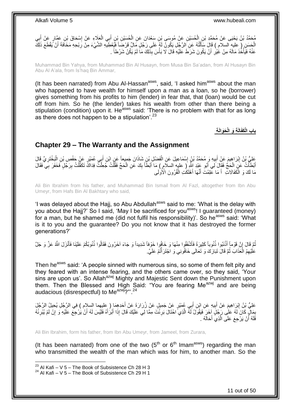َعَالِء َع ْن ِي ال ب ِن أ ِن ْب ُح َسْي ِن َس ْعَدا َن َع ِن ال ِن َع ْن ُمو َسى ْب ُح َسْي ُم َح َّمُد ْب ُن َي ْحَيى َع ْن ُم َح َّمِد ْب ي ِن ال ب ٍر َع ْن أ ِن َع َّما ْس َحا َق ْب إ ْ َ ْ ْ **∶** َ ِ الْحَسَنِ ( عَلَيه السلام ) قَالَ سَأَلْتُهُ عَنِ الرَّجْلِ يَكُونُ لَهُ عَلَى رَجُلٍ مَالٌ قَرْضَاً فَيُعْطِيهِ الشَّيْءَ مِنْ رِبْحِهِ مَخَافَةَ أَنْ يَقْطَعَ ذَلِكَ<br>وفي تَزَلْمَ حَبَابَة السلام ) ْ َ عَنْهُ فَيَأْخُذَ مَالَهُ مِنْ غَيْرِ أَنْ يَكُونَ شَرَطَ عَلَيْهِ قَالَ لَا بَأْسَ بِذَلِكَ مَا لَمْ يَكُنْ شَرْطاً <sub>-</sub> َ ِ :<br>.

Muhammad Bin Yahya, from Muhammad Bin Al Husayn, from Musa Bin Sa'adan, from Al Husayn Bin Abu Al A'ala, from Is'haq Bin Ammar,

(It has been narrated) from Abu Al-Hassan $^{asws}$ , said, 'I asked him $^{asws}$  about the man who happened to have wealth for himself upon a man as a loan, so he (borrower) gives something from his profits to him (lender) in fear that, that (loan) would be cut off from him. So he (the lender) takes his wealth from other than there being a stipulation (condition) upon it. He<sup>asws</sup> said: 'There is no problem with that for as long as there does not happen to be a stipulation'.  $23$ 

**ِة َحَوالَ ِة َو الْ الَ باب الْ َكفَ**

### <span id="page-10-0"></span>**Chapter 29 – The Warranty and the Assignment**

َعْلِيُّ بْنُ إِبْرَاهِيمَ عَنْ أَبِيهِ وَ مُحَمَّدُ بْنُ إِسْمَاعِيلَ عَنِ الْفَضْلِ بْنِ شَاذَانَ جَمِيعاً عَنِ ابْنِ أَبِي عُمَيْرٍ عَنْ حَفْصِ بْنِ الْبَخْتَرِيِّ قَالَ َ ْ ِ **!** َ ِ ِ ْ أَبْطَأَتُ عَنِ الْحَجِّ فَقَالَ لَي أَبُو عَنْدِ اللَّهِ إِر عليهِ السلام ) مَا أَبْطَأَ بِكَ عَنِ الْحَجِّ فَقُلْتُ جُعِلْتُ فِدَاكٌ تَكَفَّلْتُ بِرَجُلٍ فَخَفَرَ بِي فَقَالَ ْ ْ ْ ِ َ َ َ ْ **∶** ِ ْ مَا لَكَ وَ الْكَفَالاتِ ۚ أَ مَا عَلِمْتَ أَنَّهَا أَهْلَكُتِ الْفُرُونَ الْأُولَى ْ َ َ َ ا<br>ا

Ali Bin Ibrahim from his father, and Muhammad Bin Ismail from Al Fazl, altogether from Ibn Abu Umeyr, from Hafs Bin Al Bakhtary who said,

'I was delayed about the Hajj, so Abu Abdullah<sup>asws</sup> said to me: 'What is the delay with you about the Hajj?' So I said, 'May I be sacrificed for you<sup>asws</sup>! I guaranteed (money) for a man, but he shamed me (did not fulfil his responsibility)'. So he<sup>asws</sup> said: 'What is it to you and the guarantee? Do you not know that it has destroyed the former generations?'

نُّمَّ قَالَ إِنَّ قَوْماً أَذْنَبُوا ذُنُوباً كَثِيرَةً فَأَشْفَقُوا مِنْهَا وَ خَافُوا خَوْفاً شَدِيداً وَ جَاءَ آخَرُونَ فَقَالُوا ذُنُوبُكُمْ عَلَيْنَا فَأَنْزَلَ اللَّهُ عَزَّ وَ جَلَّ َ **ٔ** َ ِ َ عَلَيْهِمُ الْعَذَابَ ثُمَّ قَالَ نَبَارَكَ وَ تَعَالَى خَافُونِي وَ اجْتَرَأْتُمْ عَلَيَّ. ٔ.<br>ـ ْ **ٔ** 

Then he<sup>asws</sup> said: 'A people sinned with numerous sins, so some of them felt pity and they feared with an intense fearing, and the others came over, so they said, 'Your sins are upon us'. So Allah<sup>azwj</sup> Mighty and Majestic Sent down the Punishment upon them. Then the Blessed and High Said: "You are fearing Me $^{a}$  and are being audacious (disrespectful) to Me<sup>azwj</sup>?"'.<sup>24</sup>

َحِد ِه َما ) عليهما ٍر َع ْن َج ِمي ٍل َع ْن ُز َرا َرَة َع ْن أ ِي ُع َمْي ب ِن أ ي ِه َع ِن اْب ب َم َع ْن أ ْب َرا ِهي السالم ( ِفي ال َّر ُج ِل َعلِ ُّي ْب ُن إ ُي ِحي ُل ال َّر ُج َل ِ َ ِ َ بَمَالٍ كَانَ لَهُ عَلَى رَجُلٍ آخَرَ فَيَقُولُ لَهُ الَّذِي َاحْتَالَ بَرِئْتَ مِمَّا لِي عَلَيْكَ قَالَ إِذَا أَبْرَأَهُ فَلَيْسَ لَهُ أَنْ يَرْجَعَ عَلَيْهِ وَ إِنْ لَمْ يُبْرِئْهُ<br>بِيَمَالٍ كَانَ لَهُ عَلَى رَجُلٍ إِخْ َ َ **∶** ئ<br>إ ِ ِ ِ َ فََلَهُ أَنْ يَرْجِعَ عَلَى الَّذِيَ أَحَالَهُ . ر<br>ا اُ

Ali Bin Ibrahim, form his father, from Ibn Abu Umeyr, from Jameel, from Zurara,

(It has been narrated) from one of the two  $(5<sup>th</sup>$  or  $6<sup>th</sup>$  Imam<sup>asws</sup>) regarding the man who transmitted the wealth of the man which was for him, to another man. So the

 $^{23}$  Al Kafi – V 5 – The Book of Subsistence Ch 28 H 3

 $24$  Al Kafi – V 5 – The Book of Subsistence Ch 29 H 1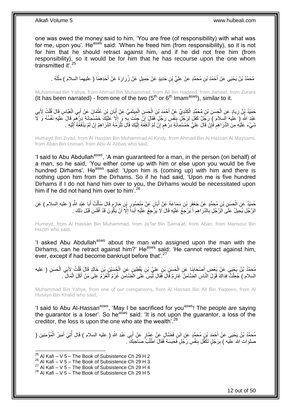one was owed the money said to him, 'You are free (of responsibility) with what was for me, upon you'. He<sup>asws</sup> said: 'When he freed him (from responsibility), so it is not for him that he should retract against him, and if he did not free him (from responsibility), so it would be for him that he has recourse upon the one whom transmitted it<sup>'.25</sup>

مُحَمَّدُ بْنُ يَحْيَى عَنْ أَحْمَدَ بْنِ مُحَمَّدٍ عَنْ عَلِيٍّ بْنِ حَدِيدٍ عَنْ جَمِيلٍ عَنْ زُرَارَةَ عَنْ أَحَدِهِمَا ( عليهما السلام ) مِثْلَهُ . َ َ لَ ْ

Muhammad Bin Yahya, from Ahmad Bin Muhammad, from Ali Bin Hadeed, from Jameel, from Zurara (It has been narrated) - from one of the two  $(5<sup>th</sup>$  or  $6<sup>th</sup>$  Imam<sup>asws</sup>), similar to it.

حُمَّدُ يِنْ زِيَادٍ عَنِ الْحَسَنِ بْنِ مُحَمَّدٍ الْكِنْدِيِّ عَنْ أَحْمَدَ بْنِ الْحَسَنِ الْمِيثَمِيِّ عَنْ أَبَانِ بِنِ عُثْمَانَ عَنْ أَبِي الْعَبَّاسِ قَالَ قُلْتُ لِأَبِي َ َ ْ ْ َ ْ ْ ِ ِ ْ ْ َ ْ عَلِدِ اللَّهِ (َ عليه السلام ) رَجُلٌ كَفَلَ لِرَجُلٍ بِنَفْسِ رَجُلٍ فَقَالَ إِنَّ جِئْتَ بِهِ وَ إِلَّا عَلَيْكَ خَمْسُمِائَةِ دِرْهِمٍ قَالَ عَلَيْهِ نَفْسُهُ وَ لَأَ ِ **∶** ِ **ِ** أ شَيْءَ عَلَيْهِ مِنَ الذَّرَاهِمْ فَإِنْ قَالَ عَلَيَّ خَمْسُمِائَةِ دِرْهَم إِنْ لَمْ أَدْفَعْهُ إِلَيْكَ قَالَ تَلْزَمُهُ الذَّرَاهِمُ إِنْ لَمْ يَدْفَعْهُ إَلَيْهِ . َ ِ ٍ ِ ِ لَ ِ ِ ْ لَ ِ

Humeyd Bin Ziyad, from Al Hassan Bin Muhammad Al Kindy, from Ahmad Bin Al Hassan Al Maysami, from Aban Bin Usman, from Abu Al Abbas who said,

'I said to Abu Abdullah<sup>asws</sup>, 'A man guaranteed for a man, in the person (on behalf) of a man, so he said, 'You either come up with him or else upon you would be five hundred Dirhams'. He<sup>asws</sup> said: 'Upon him is (coming up) with him and there is nothing upon him from the Dirhams. So if he had said, 'Upon me is five hundred Dirhams if I do not hand him over to you, the Dirhams would be necessitated upon him if he did not hand him over to him<sup>'.26</sup>

َ حُمَّدٌ عَنِ الْحَسَنِ بْنِ مُحَمَّدٍ عَنْ جَعْفَرِ بْنِ سَمَاعَةَ عَنْ أَبَانٍ عَنْ مَنْصُورٍ بْنِ حَارِمٍ قَالَ سَأَلْتُ أَبَا عَنِدِ اللَّهِ ( عليه السلام ) عَنِ<br>دَعَنْدُ عَنِ الْحَسَنِ بْنِ مُحَمَّدٍ عَنْ جَعْفَرِ بْن ْ َ ֧֧֧֖֧֧֧֧֧֦֧֚֓֝֬֝֝֓֝֬֟֓֓֝֓֝֓֝֬֝֬֝ ; ِ َ ِ ْ الرَّجُلِ يُحِيلُ عَلَى الزَّجُلِ بِالدَّرَاهِمِ أَ يَرْجِعُ عَلَيْهِ قَالَ لَا يَرْجِعُ عَلَيْهِ أَبَداً إِلَّا أَنْ يَكُونَ قَدْ أَفْلَسَ قَبْلَ ذَلِكَ . َ ِ **∶** لَ اُ ِ َ لَ

Humeyd, from Al Hassan Bin Muhammad, from Ja'far Bin Sama'at, from Aban, from Mansour Bin Hazim who said,

'I asked Abu Abdullah<sup>asws</sup> about the man who assigned upon the man with the Dirhams, can he retract against him?' He<sup>asws</sup> said: 'He cannot retract against him, ever, except if had become bankrupt before that'.<sup>27</sup>

مُحَمَّدُ بْنُ يَحْيَى عَنْ بَعْضٍ أَصْحَابِنَا عَنِ الْحَسَنِ بْنِ عَلِيٍّ بْنِ يَقْطِينٍ عَنِ الْحُسَنِي بْنِ خَالِدٍ قَالَ قُلْتُ لِأَبِي الْحَسَنِ ( عليه<br>. ْ ْ **∣** َ ْ ْ السلام ) جُعِلْتُ فِدَاكَ قَوْلُ النَّاسِ الْضَّامِنُ غَارِمٌ قَالَ فَقَالَ لَّيْسَ عَلَى الْضَّامِنِ غُرْمٌ الْغُرْمُ عَلَى مَنْ أَكَلَ الْمَالَ ۚ ـ ْ ِ ْ ْ َ

Muhammad Bin Yahya, from one of our companions, from Al Hassan Bin Ali Bin Yaqteen, from Al Husayn Bin Khalid who said,

'I said to Abu Al-Hassan<sup>asws</sup>, 'May I be sacrificed for you<sup>asws</sup>! The people are saying the guarantor is a loser'. So he<sup>asws</sup> said: 'It is not upon the guarantor, a loss of the creditor, the loss is upon the one who ate the wealth<sup>'.28</sup>

مُحَمَّدُ بْنُ يَحْيَى عَنْ أَحْمَدَ بْنِ مُحَمَّدٍ عَنِ ابْنِ فَضَّالٍ عَنْ عَمَّارٍ عَنْ أَبِي عَبْدِ اللَّهِ ( عليه السلام ) قَالَ أُتِيَ أَمِيرُ الْمُؤْمِنِينَ ( َ ْ َ ُ صلوات الله عليه ) بِرَجُلٍ تَكَفَّلَ بِنَفْسٍ رَجُلٍ فَحَبَسَهُ فَقَالَ اطْلُبٌ صَاحِبَكَ ۖ ـ ُ ِ **!** 

 $^{25}$  Al Kafi – V 5 – The Book of Subsistence Ch 29 H 2

 $26$  Al Kafi – V 5 – The Book of Subsistence Ch 29 H 3

 $^{27}$  Al Kafi – V 5 – The Book of Subsistence Ch 29 H 4

 $28$  Al Kafi – V 5 – The Book of Subsistence Ch 29 H 5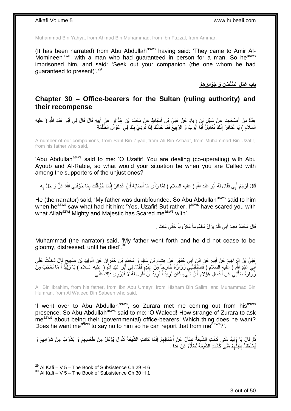Muhammad Bin Yahya, from Ahmad Bin Muhammad, from Ibn Fazzal, from Ammar,

(It has been narrated) from Abu Abdullah<sup>asws</sup> having said: 'They came to Amir Al-Momineen<sup>asws</sup> with a man who had quaranteed in person for a man. So he<sup>asws</sup> imprisoned him, and said: 'Seek out your companion (the one whom he had guaranteed to present)'.<sup>29</sup>

> **ِه ْم ِن َو َجَوائِز باب َع َم ِل ال ُّسلْ َطا ِ**

### <span id="page-12-0"></span>**Chapter 30 – Office-bearers for the Sultan (ruling authority) and their recompense**

عِدَّةٌ مِنْ أَصْحَابِذَا عَنْ سَهْلٍ بْنِ زِيَادٍ عَنْ عَلِيٍّ بْنِ أَسْيَاطٍ عَنْ مُحَمَّدٍ بْنِ عُذَافِرٍ عَنْ إِلَيهِ قَالَ قَالَ لِي أَبُو عَبْدِ اللَّهِ ( عليه ِ ِ َ َ ِ َ َ السلام ) يَا عُذَافِرُ ۚ إِنَّكَ تُعَامِلُ أَبَا أَيُّوبَ وَ الرَّبِيعَ فَمَا حَالُكَ إِذَا نُورِيَ بِكَ فِي أَعْوَالِّ الظَّلَمَةِ َ ِ ا **!** َ َ יִי (ו

A number of our companions, from Sahl Bin Ziyad, from Ali Bin Asbaat, from Muhammad Bin Uzafir, from his father who said,

'Abu Abdullah<sup>asws</sup> said to me: 'O Uzafir! You are dealing (co-operating) with Abu Ayoub and Al-Rabie, so what would your situation be when you are Called with among the supporters of the unjust ones?'

قَالَ فَوَجَمَ أَبِي فَقَالَ لَهُ أَبُو عَبْدِ اللَّهِ ( عليه السلام ) لَمَّا رَأَى مَا أَصَابَهُ أَيْ عُذَافِرُ إِنَّمَا خَوَّفْتُكَ بِمَا خَوَّفَنِي اللَّهُ عَزَّ وَ جَلَّ بِهِ ِ َ َ َ َ **∶** ِ

He (the narrator) said, 'My father was dumbfounded. So Abu Abdullah<sup>asws</sup> said to him when he<sup>asws</sup> saw what had hit him: 'Yes, Uzafir! But rather, I<sup>asws</sup> have scared you with what Allah<sup>azwj</sup> Mighty and Majestic has Scared me<sup>asws</sup> with<sup>'</sup>.

قَالَ مُحَمَّدٌ فَقَدِمَ أَبِي فَلَمْ يَزَلْ مَغْمُوماً مَكْرُوباً حَتَّى مَاتَ .

Muhammad (the narrator) said, 'My father went forth and he did not cease to be gloomy, distressed, until he died'.<sup>30</sup>

َعْلِيُّ بْنُ اِنْرَاهِيمَ عَنْ أَبِيهِ عَنِ ابْنِ أَبِي عُمَيْرٍ عَنْ هِشَامٍ بْنِ سَالِمٍ وَ مُحَمَّدٍ بْنِ حُمْرَانَ عَنِ الْوَلِيدِ بْنِ صَبِيحٍ قَالَ دَخَلْتُ عَلَى ٍ ِ َ **!** َ ِ ْ ٍ ِ َبِي عَبْدِ اَللَّهِ ( عليهِ السَلام ) فَاسْتَقَبَلَنَيِّ زُرَارَةُ خَارِجاً مِّنْ عَنْدِهِ قَقَالَ لِي أَبُو عَبْدِ اللَّهِ ( عِلَيه السلام ) يَا وَلِيَّدُ أَ مَا تَعْجَبُ مِنْ<br>أَيِ عَبْدِ اللَّهِ ( عَلَيْهِ زِرِيْنَ مِن َ َ زُ رَارَةَ سَأَلَنِيُ عَنْ أَعْمَالِ هَؤُلَاءِ أَيَّ شَّيْءٍ كَانَ يُرِيدُ أَ يُرِيدُ أَنْ أَقُولَ لَهُ لَا فَيَرْوِيَ ذَلِكَ عَنِّي َ َ لَ َ َ ِ ِ َ َ **∶** 

Ali Bin Ibrahim, from his father, from Ibn Abu Umeyr, from Hisham Bin Salim, and Muhammad Bin Humran, from Al Waleed Bin Sabeeh who said,

'I went over to Abu Abdullah<sup>asws</sup>, so Zurara met me coming out from his<sup>asws</sup> presence. So Abu Abdullah<sup>asws</sup> said to me: 'O Waleed! How strange of Zurara to ask me<sup>asws</sup> about being their (governmental) office-bearers! Which thing does he want? Does he want me<sup>asws</sup> to say no to him so he can report that from me<sup>asws</sup>?'.

ِّمُّ قَالَ يَا وَلِيدُ مَتَى كَانَتِ الشَّيْخَةُ تَسْأَلُ عَنْ ِأَعْمَالِهِمْ إِنَّمَا كَانَتِ الشَّيخَةُ تَقُولُ يُؤْكَلُ مِنْ طَعَامِهِمْ وَ يُشْرَبُ مِنْ شَرَابِهِمْ وَ<br>نَّمَ نَاهُ مِنْ الْمَرْسَلِ الْمَسْلَمَ مَنْ ال ِ ِ َ َ ِ ِ يُسْتَظَلُّ بِظِلِّهِمْ مَتَى كَانَتِ الشِّيعَةُ تَسْأَلُ عَنْ هَذَا . َ ِ ِّ ِ

 $^{29}$  Al Kafi – V 5 – The Book of Subsistence Ch 29 H 6

 $30$  Al Kafi – V 5 – The Book of Subsistence Ch 30 H 1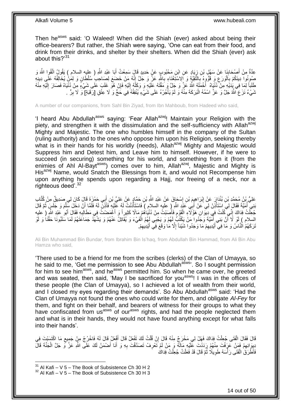Then he<sup>asws</sup> said: 'O Waleed! When did the Shiah (ever) asked about being their office-bearers? But rather, the Shiah were saying, 'One can eat from their food, and drink from their drinks, and shelter by their shelters. When did the Shiah (ever) ask about this?<sup>31</sup>

عِدَّةٌ مِنْ أَصِدْكِنِا عَنْ سَهْلِ بْنِ زِيَادٍ عَنِ ابْنِ مَحْبُوبٍ عَنٍْ حَدِيدٍ قَالَ سَمِعْتُ أَبَا عَبْدِ اللَّهِ ( عليه السلام ) يَقُولُ اتَّقُوا اللَّهَ وَ َ ِ **∣** ֺ֦֦֧֦֦֧ׅ֦֦֧ׅ֛֧֦֧ׅ֦֧ׅ֧ׅ֧ׅ֧֧ׅ֧֚֚֚֚֚֚֚֚֚֚֚֚֚֚֚֚֚֝֝֝֜֝֝֜֝֓֜֜֜֝֬֜ صُونُوا دِينَكُمْ بِاَلْوَرَعِ وَ قَوُّوهُ بِالنَّقِيَّةِ وَ إِلاسْتَغْنَاءِ بِاللَّهِ عَزَّ وَ جَلَّ إِنَّهُ مَنْ خَضَعَ لِصَاحِبِ سُلْطَانٍ وَ لِمَنْ يُخَالِفُهُ عَلَي دِينِهِ **∶** ِ ِ ْ **∶** طَلَباً لِمَا فِي يَٰدَيْهِ مِنْ َدُنْيَاهُ ۚ أَخْمَلَهُ اللَّهُ عَنْ وَ جَلَّ وَ مَقَّتَهُ عَلَيْهِ وَ وَكَلَّهُ إِلَيْهِ فَإِنْ هُوَ غَلَبَ عَلَى شَيْءٍ مِنْ دُنْيَاهُ فَصَارَ إِلَيْهِ مِنْه ِ لَ  $\frac{1}{2}$ َ لَ ِ شَيْءٌ نَزَعَ أَللَّهُ جَلَّ وَ عَزَّ اسْمُهُ الْبَرَكَةَ مِنْهُ وَ لَمْ يَأْجُرْهُ عَلَى شَيْءٍ يُنْفِقُهُ فِي حَجٍّ وَ لَا عِتْقِ [رَقَبَةٍ] ۚ وَ لَا بِرٍّ . ا<br>أ ْ ِ

A number of our companions, from Sahl Bin Ziyad, from Ibn Mahboub, from Hadeed who said,

'I heard Abu Abdullah<sup>asws</sup> saying: 'Fear Allah<sup>azwj</sup>! Maintain your Religion with the piety, and strengthen it with the dissimulation and the self-sufficiency with Allah<sup>azwj</sup> Mighty and Majestic. The one who humbles himself in the company of the Sultan (ruling authority) and to the ones who oppose him upon his Religion, seeking thereby what is in their hands for his worldly (needs), Allah $a^{2}$ <sup>yj</sup> Mighty and Majestic would Suppress him and Detest him, and Leave him to himself. However, if he were to succeed (in securing) something for his world, and something from it (from the enimies of Ahl Al-Bayt<sup>asws</sup>) comes over to him, Allah<sup>azwj</sup>, Majestic and Mighty is His<sup>azwj</sup> Name, would Snatch the Blessings from it, and would not Recompense him upon anything he spends upon regarding a Hajj, nor freeing of a neck, nor a righteous deed'.<sup>32</sup>

َ عَلِيُّ بِنُ مُحَمَّدِ بْنِ بُنْدَارَ عَنْ إِبْرَاهِيِمَ بْنِ إِسْحَاقَ عَنْ عَبْدِ اللَّهِ بْنِ حَمَّادٍ عَنْ عَلِيِّ بْنِ أَبِي حَمْزَةَ قَالَ كَانَ لِي صَدِيقٌ مِنْ كُتَّابِ ِ ِ بَنِي أُمَيَّةَ فَقَالَ لِي اسْتَأْذِنْ لِي عَنْ أَبِي حَبْدٍ اللَّهِ ( عليه السلام ) فَاسْتَأْذَنْتُ لَهُ عَلَيْهِ فَأَذِنَّ لَهُ فَلَمَا إِنْ دَخَلَ سَلَّمَ وَ جَلَسٍ ثُمَّ قَالَ َ ا<br>ا ُ َّ َ ا<br>ا جُعِلْتُ فِدَاكَ إِنِّي ۖكُنْتُ فِي دِبِّوَانِ هَؤُلَاءِ الْقَوْمِ فَأَصَبْتُ مِنْ دُنْيَاهُمْ مَالًا كَثِيراً وَ أَغْمَضنتُ فِي مَطَالِبِهِ فَقَالَ أَبُو عَبْدِ اللَّهِ ( عليه َ َ ِ ْ ِ ْ َ ِ السلام ) لَوْ لَا أَنَّ بَنِي أَمَيَّةَ وَجَدُوا مَنْ يَكْتُبُّ لَهُمْ وَ يَجْدِي لَمِهُمُ الْفَيْءَ وَ يُقَاتِلُ عَنْهُمْ وَ يَشْهَدُ جَمَاعَتَهُمْ لَمَا سَلَبُونَا حَقَّنَا وَ لَوْ ْ ُ َ تَرَكَهُمُ الْنَّاسُ وَ مَا فِي أَيْدِيهِمْ مَا وَجَدُوا شَيْئاً إِلَّا مَا وَقَعَ فِي أَيْدِيهِمْ. ِ َ ِ ِ َ

Ali Bin Muhammad Bin Bundar, from Ibrahim Bin Is'haq, from Abdullah Bin Hammad, from Ali Bin Abu Hamza who said,

'There used to be a friend for me from the scribes (clerks) of the Clan of Umayya, so he said to me, 'Get me permission to see Abu Abdullah<sup>asws</sup>'. So I sought permission for him to see him<sup>asws</sup>, and he<sup>asws</sup> permitted him. So when he came over, he greeted and was seated, then said, 'May I be sacrificed for you<sup>asws</sup>! I was in the offices of these people (the Clan of Umayya), so I achieved a lot of wealth from their world, and I closed my eyes regarding their demands'. So Abu Abdullah<sup>asws</sup> said: 'Had the Clan of Umayya not found the ones who could write for them, and obligate *Al-Fey* for them, and fight on their behalf, and bearers of witness for their groups to what they have confiscated from us<sup>asws</sup> of our<sup>asws</sup> rights, and had the people neglected them and what is in their hands, they would not have found anything except for what falls into their hands'.

قَالَ فَقَالَ الْفَتَى جُعِلْتُ فِدَاكَ فَهَلْ لِي مَخْرَجٌ مِنْهُ قَالَ إِنْ قُلْتُ لَكَ تَفْعَلُ قَالَ أَفْعَلُ قَالَ لَهُ فَاخْرُجْ مِنْ جَمِيع مَا اكْتَسَبْتَ فِي َ ْ ِ ْ ِ نِيوَانِهِمْ فَمَنْ عَرَفْتَ مِنْهُمْ رَدَدْتَ عَلَيْهِ مَالَهُ وَ مَنْ لَمْ تَعْرِفْ تَصَدَّقْتَ بِهِ وَ أَنَا أَصْمَنُ لَكَ عَلَى اللَّهِ عَزَّ وَ جَلَّ الْجَنَّةَ قَالَ **ٍ** ِ ْ َ َ ِ فَأَطَّرَقَ ٰ الْفَتَى رَ أْسَهُ طَوِيلًا ثُمَّ قَالَ قَدْ فَعَلْتُ جُعِلْتُ فَدَاكَ ْ ْ ُ ِ ْ ْ

 $31$  Al Kafi – V 5 – The Book of Subsistence Ch 30 H 2

 $32$  Al Kafi – V 5 – The Book of Subsistence Ch 30 H 3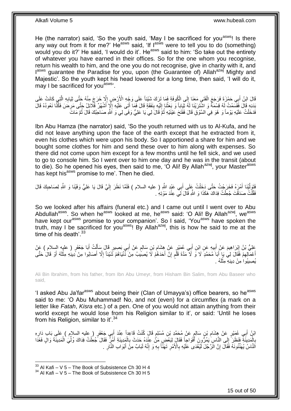He (the narrator) said, 'So the youth said, 'May I be sacrificed for you<sup>asws</sup>! Is there any way out from it for me?' He<sup>asws</sup> said, 'If  $1^{asws}$  were to tell you to do (something) would you do it?' He said, 'I would do it'. He<sup>asws</sup> said to him: 'So take out the entirety of whatever you have earned in their offices. So for the one whom you recognise, return his wealth to him, and the one you do not recognise, give in charity with it, and lasws guarantee the Paradise for you, upon (the Guarantee of) Allah<sup>azwj</sup> Mighty and Majestic'. So the youth kept his head lowered for a long time, then said, 'I will do it, may I be sacrificed for you<sup>asws</sup>'.

قَالَ ابْنُ أَبِي حَمْزَةَ فَرَجَعَ الْفَتَيِ مَعَنَا إِلَى الْكُوفَةِ فَمَا تَرَكَ شَيْئاً عَلَى وَجْهِ الْأَرْضِ إِلَّا خَرَجَ مِنْهُ حَتَّى ثِيَابِهِ الَّذِي كَانَتْ عَلَى ِ  $\frac{1}{2}$ ْ َّ **∶** بَدَنِهِ قَالَ فَقَسَمْتُ لَهُ قِسْمَةً وَ اشْتَرَيْنَا لَهُ ثِّيَاباً وَ بَعَثْنَا إِلَيْهِ بِنَفَقَةٍ قَالَ فَمَا أَتَى عَلَيْهِ إِلَّإٍ أَشْهُرٌ قَلْالُل جَتَّى مَرِضَ فَكُنَّا نَعُودُهُ قَالَ ِ َ  $\frac{1}{2}$ َ **∣** لَ ∣∣<br>∶ **ٔ** فَدَخَلْتُ عَلَيْهِ يَوْماً وَ هُوَ فِي السَّوْقِ قَالَ فَفَتَحَ عَيْنَيْهِ ثُمَّ قَالَ لِي يَا عَلِيُّ وَفَى لِي وَ اَللَّهِ صَاحِبُكَ قَالَ ثُمَّ مَاتَ ُ ْ ُ

Ibn Abu Hamza (the narrator) said, 'So the youth returned with us to Al-Kufa, and he did not leave anything upon the face of the earth except that he extracted from it, even his clothes which were upon his body. So I apportioned a share for him and we bought some clothes for him and send these over to him along with expenses. So there did not come upon him except for a few months until he fell sick, and we used to go to console him. So I went over to him one day and he was in the transit (about to die). So he opened his eyes, then said to me, 'O Ali! By Allah<sup>azwj</sup>, your Master<sup>asws</sup> has kept his<sup>asws</sup> promise to me'. Then he died.

ْتَوَلَّيْنَا أَمْرَهُ فَخَرَجْتُ حَتَّى دَخَلْتُ عَلَى أَبِي عَبْدِ اللَّهِ ( عليه السلام ) فَلَمَّا نَظَرَ إِلَيَّ قَالَ يَا عَلِيُّ وَفَيْنَا وَ اللَّهِ لِصَاحِبِكَ قَالَ لَ ِ ْ َ َّ **∶** فَقُلْتُ صَدَقْتَ جُعِلْتُ فِدَاكَ هَكَذَا وَ اللَّهِ قَالَ لَِي عِنْدَ مَوْتِهِ ۖ ْ ْ

So we looked after his affairs (funeral etc.) and I came out until I went over to Abu Abdullah<sup>asws</sup>. So when he<sup>asws</sup> looked at me, he<sup>asws</sup> said: 'O Ali! By Allah<sup>azwj</sup>, we<sup>asws</sup> have kept our<sup>asws</sup> promise to your companion'. So I said, 'You<sup>asws'</sup> have spoken the truth, may I be sacrificed for you<sup>asws</sup>! By Allah<sup>azwj</sup>, this is how he said to me at the time of his death' $^{33}$ 

عَلِيُّ بْنُ إِبْرَاهِيمَ عَنْ أَبِيهِ عَنِ ابْنِ أَبِي عُمَيْرٍ عَنْ هِشَامٍ بْنِ سَالِمٍ عَنْ أَبِي بَصِيرٍ قَالَ سَأَلْتُ أَبَا جَعْفَرٍ ( عليه السلام ) عَنْ<br>أَحْقَالُ الْمَرَاهِيمَ عَنْ أَبِيهِ عَنِ ابْنِ أَبِي عُمَيْر ْ ĺ ٍ ِ َ **!** َ أَعْمَالِهِمْ فَقَالَ لِي يَا أَبَا َمُحَمَّدٍ لَا وَ لَا مَدَّةَ قَلَّم إِنَّ أَحَدَهُمْ لَا يُصِيَٰبُ مِنْ ذَنْيَاهُمْ شَيْئاً إِلَّا أَصَابُوا مِنْ دِينِهِ مِثْلَهُ أَوْ قَالَ حَتَّى ِ ٍ َ ِ َ لَ **ٔ** َ ِ يُصِيبُوا مِنْ دِينِهِ مِثْلُهُ . لَ ْ

Ali Bin Ibrahim, from his father, from Ibn Abu Umeyr, from Hisham Bin Salim, from Abu Baseer who said,

'I asked Abu Ja'far<sup>asws</sup> about being their (Clan of Umayya's) office bearers, so he<sup>asws</sup> said to me: 'O Abu Muhammad! No, and not (even) for a circumflex (a mark on a letter like *Fatah*, *Kisra* etc.) of a pen. One of you would not attain anything from their world except he would lose from his Religion similar to it', or said: 'Until he loses from his Religion, similar to it<sup>'.34</sup>

ابْنُ أَبِي عُمَيْرٍ عَنْ هِشَامِ بْنِ سَالِمٍ عَنْ مُحَمَّدِ بْنِ مُسْلِمٍ قَالَ كُنْتُ قَاعِداً عِنْدَ أَبِي جَعْفَرٍ ( عليه السلام ) عَلَى بَابِ دَارِهِ َ ٍ ֧֧֚֚֚֚֝֝֝֝֝֝֟֓֟׆֧ **ُ** َ ِ **∶** بِالْمَدِينَةِ فَنَظَرَ إِلَى النَّاسِ يَمُرُّونَ أَفْوَاجاً فَقَالَ لِبَعْضٍ مَنٌّ عِنْدَهُ حَدَثَ بِالْمَدِينَةِ أَهْرٌ فَقَالَ جُعِلْتُ فِدَاكَ وُلِّيَ الْمَدِينَةَ وَالٍ فَغَدَا َ ِ ْ ¦ ْ ِّ ْ َ ْ اَلنَّاسُ يُهَنِّئُونَهُ فَقَالَ إِنَّ الْرَّجُلَ لَيُغْدَى عَلَيْهِ بِالْأَمْرِ تَهَنَّأَ بِهِ وَ إِنَّهُ لَبَابٌ مِنْ أَبْوَابِ النَّارِ َ ِ **∶** َ ِ **∶** ِ ِ

 $33$  Al Kafi – V 5 – The Book of Subsistence Ch 30 H 4

 $34$  Al Kafi – V 5 – The Book of Subsistence Ch 30 H 5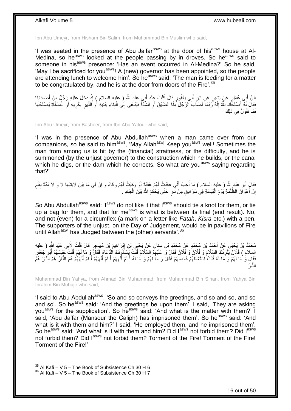Ibn Abu Umeyr, from Hisham Bin Salim, from Muhammad Bin Muslim who said,

'I was seated in the presence of Abu Ja'far<sup>asws</sup> at the door of his<sup>asws</sup> house at Al-Medina, so he<sup>asws</sup> looked at the people passing by in droves. So he<sup>asws</sup> said to someone in his<sup>asws</sup> presence: 'Has an event occurred in Al-Medina?' So he said, 'May I be sacrificed for you<sup>asws</sup>! A (new) governor has been appointed, so the people are attending lunch to welcome him'. So he<sup>asws</sup> said: 'The man is feeding for a matter to be congratulated by, and he is at the door from doors of the Fire'.<sup>35</sup>

اِئِنُ أَبِي عُمَيْرٍ عَنْ بَشِيرٍ عَنِ ابْنِ أَبِي يَعْفُورٍ قَالَ كُنْتُ عِنْدَ أَبِي عَبْدِ اللَّهِ (ِ عليهِ السلام ) إِذْ دَخَلَ عَلَيْهِ رَجُلٌ مِنْ أَصْحَابِنَا **ٔ** َ َ ِ َ فَقَالَ لَمْ أَصْلَحَكَ اللَّهُ إِنَّهُ رَُبَّمَا أَصَابَ الزَّجُلَ مِنَّا الضَّيْقُ أَوِ الشُّنَّةُ فَيُدْعَى إِلَى الْبِنَاءِ يَبْنِيهِ أَوِ الْمُسَنِّ فِي الْمُسَنَّاةِ يُصْلِحُهَا ِ َ ْ ِ َ **∶ ∶** ِ أ ِ ْ ِ **∶** َ فَمَا تَقُولُ فِي ذَلِكَ

Ibn Abu Umeyr, from Basheer, from Ibn Abu Yafour who said,

'I was in the presence of Abu Abdullah<sup>asws</sup> when a man came over from our companions, so he said to him<sup>asws</sup>, 'May Allah<sup>azwj</sup> Keep you<sup>asws</sup> well! Sometimes the man from among us is hit by the (financial) straitness, or the difficulty, and he is summoned (by the unjust governor) to the construction which he builds, or the canal which he digs, or the dam which he corrects. So what are you<sup>asws</sup> saying regarding that?'

فَقَالَ أَبُو عَبْدِ اللَّهِ ( عليه السلام ) مَا أُحِبُّ أَنِّي عَقَدْتُِ لَهُمْ عُقْدَةً أَوْ وَكَيْتُ لَهُمْ وِكَاءً وَ إِنَّ لِي مَا بَيْنَ لَابَتَيْهَا لَا وَ لَا مَدَّةً بِقَلَم ِ ِ َ :<br>ا َ ֧֩֘׆֧ ِ إِنَّ أَعْوَانَ الظَّلَمَةِ يُوْمَ الْقِيَامَةِ فِي ْسُرَادِقٍ مِنْ نَّارٍ حَتَّى يَحْكُمَ اللَّهُ بَيْنَ الْعِبَادِ . ْ ا ْ

So Abu Abdullah<sup>asws</sup> said: 'I<sup>asws</sup> do not like it that I<sup>asws</sup> should tie a knot for them, or tie up a bag for them, and that for me<sup>asws</sup> is what is between its final (end result). No, and not (even) for a circumflex (a mark on a letter like *Fatah*, *Kisra* etc.) with a pen. The supporters of the unjust, on the Day of Judgement, would be in pavilions of Fire until Allah<sup>azwj</sup> has Judged between the (other) servants<sup>'.36</sup>

مُحَمَّدُ بْنُ يَحْيَى عَنْ أَحْمَدَ بْنِ مُحَمَّدٍ عَنْ مُحَمَّدِ بْنِ سِنَانٍ عَنْ يَحْيَى بْنِ إِبْرَاهِيمَ بْنِ مُهَاجِرٍ قَالَ قُلْتُ لِأَبِي عَبْدِ الشَّرِ ( عليه<br>منصوب المسلم المسلم المسلم المسلم المسلم المسلم المس ْ  $\frac{1}{2}$ السلام ) فُلَاِنٌ يُقْرِئُكَ السَّلَامَ وَ فُلَاثٍ وَ فُلَانٌ فَقَالَ وَ عَلَيْهِمُ السَّلَامُ قُلْتُ يَسْأَلُونَكَ الدُّعَاءَ فَقَالَ وَ مَا لَهُمْ قُلْتُ حَبَسَهُمْ أَبُو جَعْفَرٍ ֖֘֝֟֓֕֓֕֓֞֟׆֬֬֓ ْ **∶** َ ْ َ فَقَالَ وَ مَا لَهُمْ وَ مَا لَهُ قُلْتُ اسْتَعْمَلَهُمْ فَحَبَسَهُمْ فَقَالَ وَ مَا لَهُمْ وَ مَا لَهُ أَ لَمْ أَنْهَهُمْ أَ لَمْ أَنْهَهُمْ أَ لَمْ أَنْهَهُمْ هُمُ النَّارُ هُمُ النَّارُ هُمُ َ لَ َ ْ َ لَ َ َ لَ النَّارُ

Muhammad Bin Yahya, from Ahmad Bin Muhammad, from Muhammad Bin Sinan, from Yahya Bin Ibrahim Bin Muhajir who said,

'I said to Abu Abdullah<sup>asws</sup>, 'So and so conveys the greetings, and so and so, and so and so'. So he<sup>asws</sup> said: 'And the greetings be upon them'. I said, 'They are asking you<sup>asws</sup> for the supplication'. So he<sup>asws</sup> said: 'And what is the matter with them?' I said, 'Abu Ja'far (Mansour the Caliph) has imprisoned them'. So he<sup>asws</sup> said: 'And what is it with them and him?' I said, 'He employed them, and he imprisoned them'. So he<sup>asws</sup> said: 'And what is it with them and him? Did I<sup>asws</sup> not forbid them? Did I<sup>asws</sup> not forbid them? Did l<sup>asws</sup> not forbid them? Torment of the Fire! Torment of the Fire! Torment of the Fire!'

 $35$  Al Kafi – V 5 – The Book of Subsistence Ch 30 H 6

 $36$  Al Kafi – V 5 – The Book of Subsistence Ch 30 H 7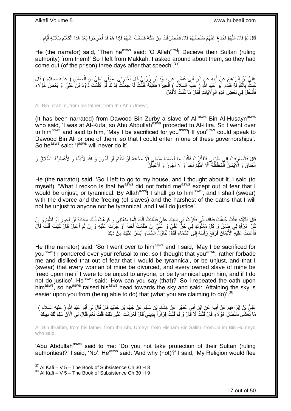ْ قَالَ ثُمَّ قَالَ اللَّهُمَّ اخْدَعُ عَنْهُمْ سُلْطَانَهُمْ قَالَ فَانْصَرَفْتُ مِنْ مَكَّةَ فَسَأَلْتُ عَنْهُمْ فَإِذَا هُمْ قَدْ أُخْرِجُوا بَعْدَ هَذَا الْكَلَامِ بِثَلَاثَةِ أَيَّامٍ . َّ ان<br>سال َ ِ ِ ْ **ٍ** ْ َ ֖֖֖֖֖֖֦֚֚֚֚֚֚֚֚֚֚֚֚֚֚֬֝֟׆֧ َ

He (the narrator) said, 'Then he<sup>asws</sup> said: 'O Allah<sup>azwj</sup>! Decieve their Sultan (ruling authority) from them!' So I left from Makkah. I asked around about them, so they had come out (of the prison) three days after that speech'.<sup>37</sup>

عَلِيُّ بْنُ إِبْرَاهِيمَ عَنْ أَبِيهِ عَنٍ ابْنِ أَبِي عُمَيْرٍ عَنْ دَاوُدَ بْنِ زُرْبِيٍّ قَالَ أَخْبَرَنِي مَوْلَى لِعَلِيٍّ بْنِ الْحُسَيْنِ ( عليه السلام ) قَالَ<br>مُسْيَمِّ بِهِ مِنْ الْبِرَاهِيمَ عَنْ أَبِيهِ عَنٍ اب َ ِ َ **!** َ ِ ْ كُنْتُ بِالْكُوفَةِ فَقَدِمَ أَبُو عَيْدِ اللهِ (ِ عليه السلام ) الْحِيرَةَ فَأَتَيْتُهُ فَقُلْتُ لَهُ جُعِلْتُ فِدَاكَ لَوْ كَلَّمْتَ دَاوُدَ بْنَ عَلِيٍّ أَوْ بَعْضَ هُؤُلَاءِ ْ ْ َ ْ َ **∶** َ َّ فَأَدْخُلَ فِي بَعْضِ هَذِهِ الْوِلَايَاتِ فُقَالَ مَا كُنْتُ لِأَفْعَلَ ِ اُ

Ali Bin Ibrahim, from his father, from Ibn Abu Umeyr,

(It has been narrated) from Dawood Bin Zurby a slave of Ali<sup>asws</sup> Bin Al-Husayn<sup>asws</sup> who said, 'I was at Al-Kufa, so Abu Abdullah<sup>asws</sup> proceded to Al-Hira. So I went over to him<sup>asws</sup> and said to him, 'May I be sacrificed for you<sup>asws</sup>! If you<sup>asws</sup> could speak to Dawood Bin Ali or one of them, so that I could enter in one of these governorships'. So he<sup>asws</sup> said: 'I<sup>asws</sup> will never do it'.

قَالَ فَانْصَرَفِتُ إِلَى مَنْزِلِي فَتَفَكَّرْتُ فَقُلْتُ مَا أَحْسَبُهُ مَنَعَنِي إِلَّا مَخَافَةَ أَنْ أَظْلِمَ أَوْ أَجُورَ وَ اللَّهِ لأَتِيَنَّهُ وَ لَأُعْطِيَنَّهُ الطَّلَاقَ وَ ِ  $\frac{1}{2}$ َ َ اُ ِ َ ْ الْعَتَاقَ وَ الْأَيْمَانَ الْمُغَلَّظَةَ أَنَّا أَظْلِمَ أَحَداً وَ لَا أَجُورَ وَ لَأَعْدِلَنَّ َ ْ ْ

He (the narrator) said, 'So I left to go to my house, and I thought about it. I said (to myself), 'What I reckon is that he<sup>asws</sup> did not forbid me<sup>asws</sup> except out of fear that I would be unjust, or tyrannical. By Allah<sup>azwj</sup>! I shall go to him<sup>asws</sup>, and I shall (swear) with the divorce and the freeing (of slaves) and the harshest of the oaths that I will not be unjust to anyone nor be tyrannical, and I will do justice'.

قَالَ فَأَتَيْتُهُ فَقُلْتُ جُعِلْتُ فِدَاكَ إِنِّي فَكَّرْتُ فِي إِبَائِكَ عَلَيَّ فَظَنَنْتُ أَنَّكَ إِنَّمَا مَنَعْنَتِي وَ كَرِهْتَ ذَلِكَ مَخَافَةِ أَنْ أَجُورَ أَوْ أَظْلِمَ وَ إِنَّ ِ َ ِ ِ ْ ْ َ ِ َ َ َ ِ كُلَّ امْرَأَةٍ لِي طَالِقٌ وَ كُلَّ مَمْلُوكٍ لِي حُرٌّ عَلَيَّ وَ عَلَيَّ إِنْ ظَلَمْتُ أَحَداً أَوْ جُرْتُ عَلَيْهِ وَ إِنْ لَمْ أَعْدِلْ قَالَ كَيْفَ قُلْتَ قَالَ َ ْ َ ِ َ َ ِ فَأَعَدْتُ عَلَيْهِ ۗ الْأَيْمَانَ فَرَفَعَ رَأْسَهُ إِلَى السَّمَاءِ فَقَالَ تَنَاوُلُ الشَّمَاءِ أَيْسَرُ عَلَيْكَ مِنْ ذَٰلِكَ . َ ِ ْ :<br>ا

He (the narrator) said, 'So I went over to him<sup>asws</sup> and I said, 'May I be sacrificed for you<sup>asws</sup>! I pondered over your refusal to me, so I thought that you<sup>asws</sup>, rather forbade me and disliked that out of fear that I would be tyrannical, or be unjust, and that I (swear) that every woman of mine be divorced, and every owned slave of mine be freed upon me if I were to be unjust to anyone, or be tyrannical upon him, and if I do not do justice'. He<sup>asws</sup> said: 'How can you say (that)?' So I repeated the oath upon him<sup>asws</sup>, so he<sup>asws</sup> raised his<sup>asws</sup> head towards the sky and said: 'Attaining the sky is easier upon you from (being able to do) that (what you are claiming to do)<sup>7,38</sup>

عَلِيُّ بْنُ إِبْرَاهِيمَ عَنْ أَبِيهِ عَنِ ابْنِ أَبِي عُمَيْرٍ عَنْ هِشَامٍ بْنِ سَالِمٍ عَنْ جَهْمٍ بْنِ جُمَيْدٍ قَالَ قَالَ لِي أَبُو عَبْدِ اللَّهِ ( عليه السلام ) أَ ֦֦֖֧֧֚֚֚֚֚֚֚֚֚֚֚֚֚֚֚֚֚֚֚֚֚֚֩֘֝֘֝֘֝֝֘֝֝֓֝ ٍ ِ َ **!** َ ِ َ َ مَا تَّغْشَى سُلْطَانُ هَؤُلاَءِ قَالَ قُلْتُ لَا قَالَ وَ لِمَ قُلْتُ فِرَارَاً بِدِينِي ۖ قَالَ فَعَزَ مَّتَ عَلَى ذَلِكَ قُلْتُ نَعَمْ فَقَالَ لِي الْآنَ سَلِمَ لَكَ دِينُكَ ۚ . ْ ِ ْ ْ

Ali Bin Ibrahim, from his father, from Ibn Abu Umeyr, from Hisham Bin Salim, from Jahm Bin Humeyd who said,

'Abu Abdullah<sup>asws</sup> said to me: 'Do you not take protection of their Sultan (ruling authorities)?' I said, 'No'. He<sup>asws</sup> said: 'And why (not)?' I said, 'My Religion would flee

 $37$  Al Kafi – V 5 – The Book of Subsistence Ch 30 H 8

 $38$  Al Kafi – V 5 – The Book of Subsistence Ch 30 H 9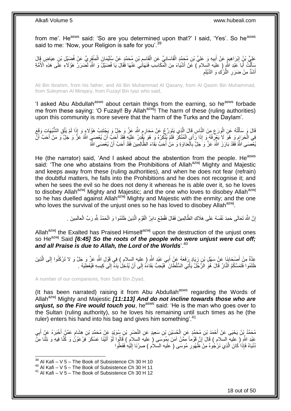from me'. He<sup>asws</sup> said: 'So are you determined upon that?' I said, 'Yes'. So he<sup>asws</sup> said to me: 'Now, your Religion is safe for you'.<sup>39</sup>

عَلِيُّ بْنُ إِبْرَاهِيمَ عَنْ أَبِيهِ وَ عَلِيِّ بْنِ مُجَمَّدٍ الْقَاسَانِيِّ عَنِ الْقَاسِمِ بْنِ مُحَمَّدٍ عَنْ سُلَيْمَانَ الْمِنْقَرِيِّ عَنْ فُضَيْلِ بْنِ عِيَاضٍ قَالَ ֺ֧֧֧֧֧֧֚֚֚֚֚֚֚֚֚֚֚֚֚֚֚֚֚֚֚֚֚֚֝֘֝֘֝֝֓֡֓֡֡֡֓֡֡֡֡֡֓֡֡֡֡֡֓֡֡֡֝֬ ْ ْ **!** َ ِ ْ سَأَلَتُ أَبَا عَبْدِ اللّهِ ( عليه السلام ) عَنْ أَشْيَاءَ مِنَ الْمَكَاسِبِ فَنَهَاذِي عَنْهَا فَقَالَ يَا فُضَيْلٌ وَ الثَّهِ لَضَرَرٌ مَؤُلاَءِ عَلَّى هَذِهِ الْأُمَّةِ ْ َ َ ֖֦֪֪֦֖֚֡֞֟֟֟֟֟֟֟֟֟֟֟֟֟֟֟֟֟֟֟֟֡֟֟֟֟֟֟ ِ أَشَدُّ مِنْ ضَرَرِ النَّرْكِ وَ الدَّيْلَمِ ِ َ

Ali Bin Ibrahim, from his father, and Ali Bin Muhammad Al Qasany, from Al Qasim Bin Muhammad, from Suleyman Al Minqary, from Fuzayl Bin Iyaz who said,

'I asked Abu Abdullah<sup>asws</sup> about certain things from the earning, so he<sup>asws</sup> forbade me from these saying: 'O Fuzayl! By Allah<sup>azwj</sup>! The harm of these (ruling authorities) upon this community is more severe that the harm of the Turks and the Daylam'.

قَالَ وَ سَأَلْتُهُ عَنِ الْوَرَعِ مِنَ النَّاسِ قَالَ الَّذِي يَتَوَرَّعُ عَنْ مَحَارِمِ اللَّهِ عَزَّ وَ جَلٍّ وَ يَجْتَنِبُ هَؤُلَاءٍ وَ إِذَا لَمْ يَتَّقِ الشُّبُهَاتِ وَقَعَ ِ ِ َّ ِ ْ ֦֧֦֦֦֦֧֦֦֧֦֦֧֦֦֧֦֧֦֧֦֧֦֧֦֧֦֧֦֧֦֪֦֧֦֪֦֧֦֧֦֪֦֧֦֧֦֧֦֧֦֧֦֧֦֧֦֧֦֪֦֧֦֧֘֝֟֟֟֟֟֟֟֟֟֘֟֟֟֘֟֟֟֟֟֟֟֟֘֟֓֕֟֓֞֟֟֓֞֟֟֓֟֓֟֓֟֟֟֟ َ فِي الْحَرَامِ وَ هُوَّ لَا يَغْرِفُهُ وَ إِذَا رَأَى الْمُنْكَرَ فَلَمْ يُنْكِرْهُ وَ هُوَ يَقْدِرُ عَلَيْهِ فَقَدْ أَحَبَّ أَنْ يُعْصَبِي اللَّهُ عَزَّ وَ حَلَّ وَ مَنْ أَحَبَّ أَنْ ْ ِ ِ َ َ اُ َ يُّعْصَمَى اللَّهُ فَقَدْ بَارَزَ اللَّهَ عَزَّ وَ جَلَّ بِالْعَدَاوَةِ وَ مَنْ أَحَبَّ بَقَاءَ الظَّالِمِينَ فَقَدْ أَحَبَّ أَنْ يُعْصَمَى اللَّهُ َ َ ْ **∶** 

He (the narrator) said, 'And I asked about the abstention from the people. He<sup>asws</sup> said: 'The one who abstains from the Prohibitions of Allah<sup>azwj</sup> Mighty and Majestic and keeps away from these (ruling authorities), and when he does not fear (refrain) the doubtful matters, he falls into the Prohibitions and he does not recognise it; and when he sees the evil so he does not deny it whereas he is able over it, so he loves to disobey Allah<sup>azwj</sup> Mighty and Majestic; and the one who loves to disobey Allah<sup>azwj</sup> so he has duelled against Allah<sup>azwj</sup> Mighty and Majestic with the enmity; and the one who loves the survival of the unjust ones so he has loved to disobey Allah<sup>azwj</sup>.

> َّ إِنَّ اللَّهَ تَعَالَى حَمِدَ نَفْسَهُ عَلَى هَلَاكِ الظَّالِمِينَ فَقَالَ فَقُطِعَ دابِرُ الْقَوْمِ الَّذِينَ ظَلَمُوا وَ الْحَمْدُ لِلَّهِ رَبِّ الْعالَمِينَ . ِ ْ ِ <u>֖֚֚֚֚֚֚֚֓</u> ْ ْ

Allah<sup>azwj</sup> the Exalted has Praised Himself<sup>azwj</sup> upon the destruction of the unjust ones so He<sup>azwj</sup> Said *[6:45] So the roots of the people who were unjust were cut off; and all Praise is due to Allah, the Lord of the Worlds*'.<sup>40</sup>

عِدَّةٌ مِنْ أَصْحَابِنَا عَنْ سَهْلِ بْنِ زِيَادٍ رَفَعَهُ عَنْ أَبِي عَبْدِ اللَّهِ ( عليه السلام ) فِي قَوْلِ اللَّهِ عَزَّ وَ جَلَّ وَ لا تَرْكَنُوا إِلَى الَّذِينَ<br>عَنْهُ صَرَّ أَصْحَابِنَا عَنْ سَهْلِ بْنِ زِيَادٍ رَ َ ِ ِ َ َّ ِ ظَلَمُوا فَتَمَسَّكُمُ اَلذَّارُ قَالَ هُوَ الرَّجُلُ يَأْتِي السُّلْطَانَ ۖ فَيُحِبُّ بَقَاءَهُ إِلَى أَنْ يُدْخِلَ يَدَهِّ إِلَى كِيسِهِ فَيُعْطِيَهُ . ْ ِ ِ

A number of our companions, from Sahl Bin Ziyad,

(It has been narrated) raising it from Abu Abdullah<sup>asws</sup> regarding the Words of Allahazwj Mighty and Majestic *[11:113] And do not incline towards those who are*  unjust, so the Fire would touch you, he<sup>asws</sup> said: 'He is the man who goes over to the Sultan (ruling authority), so he loves his remaining until such times as he (the ruler) enters his hand into his bag and gives him something<sup>'.41</sup>

مُحَمَّدُ بِنُ يَحْيَى عَنْ أَحْمَدَ بْنِ مُحَمَّدٍ عَنِ الْحُسَيْنِ بْنِ سَعِيدٍ عَنِ النَّصْئِرِ بْنِ سُوَيْدٍ عَنْ مُحَمَّدِ بْنِ هِشَامٍ عَمَّنْ أَخْبَرَهُ عَنْ أَبِي ِ ْ ِ َ َ ٍ عَبْدِ اللَّهِ ( عليهِ السلام ) قَالَ إِنَّ قَوْماً مِمَّنْ آمَنَ بِمُوسَى ( عليه السلام ) قَالُوا لَوْ أَنَيْنَا عَسْكَرَ فِرْعَوْنُ وَ كُنَّا فِيهِ وَ نِلْنَا مَِنَّ ِ ِ ْ َ نُنْيَاهُ فَإِذَا كَانَ الَّذِي نَرْجُوهُ مِنْ َظُهُورِ مُوسَى ( عَليه السّلاُم ) صِرْنَا إِلَيْهِ فَفَعَلُوا لَ ِ **∶** َّ

 $39$  Al Kafi – V 5 – The Book of Subsistence Ch 30 H 10

<sup>40</sup> Al Kafi – V 5 – The Book of Subsistence Ch 30 H 11

 $41$  Al Kafi – V 5 – The Book of Subsistence Ch 30 H 12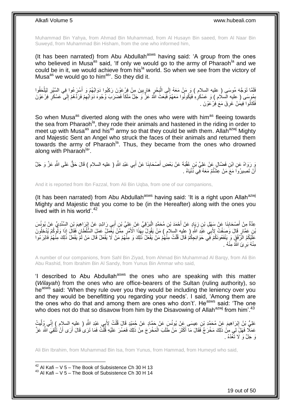Muhammad Bin Yahya, from Ahmad Bin Muhammad, from Al Husayn Bin saeed, from Al Naar Bin Suweyd, from Muhammad Bin Hisham, from the one who informed him,

(It has been narrated) from Abu Abdullah<sup>asws</sup> having said: 'A group from the ones who believed in Musa<sup>as</sup> said, 'If only we would go to the army of Pharaoh<sup>la</sup> and we could be in it, we would achieve from his<sup>la</sup> world. So when we see from the victory of Musa<sup>as</sup> we would go to him<sup>as</sup>'. So they did it.

فَلَمَّا تَوَجَّهَ مُوسَى ( عليه السلام ) وَ مَنْ مَعَهُ إِلَى الْبَحْرِ هَارِبِينَ مِنْ فِرْعَوْنَ رَكِبُوا دَوَاتَهُمْ وَ أَسْرَعُوا فِي السَّيْرِ لِيَلْحَقُوا ِ ِ ِ ْ  $\frac{1}{2}$ ْ ِ َ بِمُوسَى ( عليه السلام ) وَ عَسْكَرِهِ فَيَكُونُوا مَعَهُمْ فَبَعَثَ اللَّهُ عَزَّ وَ جَلَّ مَلَكاً فَضَرَبَ وُجُوهَ دَوَاْبِّهِمْ فَرَدَّهُمْ إِلَى عَسْكَرِ فِرْعَوْنَ ِ ِ ِ ِ ِ فَكَانُوا فِيمَٰنْ غَرِقَ مَعَ فِرْعَوْنَ . ِ

So when Musa<sup>as</sup> diverted along with the ones who were with him<sup>as</sup> fleeing towards the sea from Pharaoh<sup>la</sup>, they rode their animals and hastened in the riding in order to meet up with Musa<sup>as</sup> and his<sup>as</sup> army so that they could be with them. Allah<sup>azwj</sup> Mighty and Majestic Sent an Angel who struck the faces of their animals and returned them towards the army of Pharaoh<sup>la</sup>. Thus, they became from the ones who drowned along with Pharaoh<sup>la</sup>'.

وَ رَوَاهُ عَنِ ابْنِ فَضَّالٍ عَنْ عَلِيٍّ بْنِ عُقْبَةَ عَنْ بَعْضِ أَصْحَابِنَا عَنْ أَبِي عَبْدِ اللَّهِ ( عليه السلام ) قَالَ حَقٌّ عَلَى اللَّهِ عَزَّ وَ جَلَّ َ َ أَنْ تَصِيرُواَ مَعَ مَنْ عِشْتُمْ مَعَهُ فِي ذُنْيَاهُ <sub>.</sub> ا<br>ا

And it is reported from Ibn Fazzal, from Ali Bin Uqba, from one of our companions,

(It has been narrated) from Abu Abdullah<sup>asws</sup> having said: 'It is a right upon Allah<sup>azwj</sup> Mighty and Majestic that you come to be (in the Hereafter) along with the ones you lived with in his world'.<sup>42</sup>

عِدَّةٌ مِنْ أَصِحَابِنَا عَنْ سَبِهْلِ بْنِ زِيَإِدٍ عَنْ أَحْمَدَ بْنِ مُحَمَّدٍ الْبَرْقِيِّ عَنْ عَلِيٍّ بْنِ أَبِي رَاشِدٍ عَنْ إِبْرَاهِيمَ بِْنِ السِّنْدِيِّ عَنْ يُونُسَ ∣∣<br>∶ َ ْ َ **∶ ∣** اْنِ عَمَّارٍ قَالَ وَصَفْتٌ لِأَبِي عَبْدِ اللَّهِ ( عِليه السلام ) مَنْ يَقُولُ يُهَذَا الْأَمْرِ مِمَّنْ يَغْمَلْ عَمَلَ الشَّلْطَانِ فَقَالَ إِذَا وَلْوَكُمْ يُدْخِلُونَ ِ ا<br>ا ِ عَلَيْكُمُ الرَّفْقَِ وَ يَنْفَعُونَكُمْ فِي حَوَائِجِكُمْ قَالَ قُلْتُ مِنْهُمْ مَنْ يَفْعَلُ ذَلِكَ و مِنْهُمْ مَنْ لَا يَفْعَلُ قَالَ مَنْ لَمْ يَفْعَلْ ذَلِكَ مِنْهُمْ فَابْرَ مُوا ْ مِنْهُ بَرِيَ النَّهُ مِنْهُ . ِ

A number of our companions, from Sahl Bin Ziyad, from Ahmad Bin Muhammad Al Barqy, from Ali Bin Abu Rashid, from Ibrahim Bin Al Sandy, from Yunus Bin Ammar who said,

'I described to Abu Abdullah<sup>asws</sup> the ones who are speaking with this matter (*Wilayah*) from the ones who are office-bearers of the Sultan (ruling authority), so he<sup>asws</sup> said: 'When they rule over you they would be including the leniency over you and they would be benefitting you regarding your needs'. I said, 'Among them are the ones who do that and among them are ones who don't'. He<sup>asws</sup> said: 'The one who does not do that so disavow from him by the Disavowing of Allah<sup>azwj</sup> from him'.<sup>43</sup>

عَلِيُّ بْنُ إِبْرَاهِيمَ عَنْ مُحَمَّدِ بْنِ عِيسَى عَنْ يُونُسَ عَنْ حَمَّادٍ عَنْ حُمَيْدٍ قَالَ قُلْتُ لِأَبِي عَبْدِ اللَّهِ ( عِليهِ السلام ) إِنِّي وُلِّيتُ ْ ِ ِّ ِ عَمَلًا فَهَلْ لِي مِنْ ذَلِكَ مَخْرَجٌ فَقَالَ مَا أَكْثَرَ مَنْ طَلَبَ الْمَخْرَجَ مِنْ ذَلِكَ فَعَسُرَ عَلَيْهِ قُلْتُ فَمَا تَرَىُ قَالَ أَرَى أَنْ تَتَّقِيَ اللَّهَ عَزَ ْ َ َ َ َ ا<br>ا هَ جَانَّ وَ لَا تَتَعُدْهُ .

Ali Bin Ibrahim, from Muhammad Bin Isa, from Yunus, from Hammad, from Humeyd who said,

 $42$  Al Kafi – V 5 – The Book of Subsistence Ch 30 H 13 <sup>43</sup> Al Kafi – V 5 – The Book of Subsistence Ch 30 H 14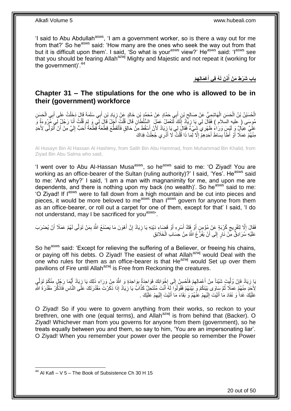'I said to Abu Abdullah<sup>asws</sup>, 'I am a government worker, so is there a way out for me from that?' So he<sup>asws</sup> said: 'How many are the ones who seek the way out from that but it is difficult upon them'. I said, 'So what is your<sup>asws</sup> view?' He<sup>asws</sup> said: 'I<sup>asws</sup> see that you should be fearing Allah<sup>azwj</sup> Mighty and Majestic and not repeat it (working for the government)'. $44$ 

> **ِه ْم ْع َمالِ ُه فِي أ ِذ َن لَ باب َش ْر ِط َم ْن أ َ ُ**

### <span id="page-19-0"></span>**Chapter 31 – The stipulations for the one who is allowed to be in their (government) workforce**

الْحُسَيْنُ بْنُ الْحَسَنِ الْهَاتِسِيُّ عَنْ صَالِحٍ بْنِ أَبِي حَضَّادٍ عَنْ مُحَمَّدٍ بْنِ خَالِدٍ عَنْ زِيَادِ بْنِ أَبِي سَلَمَةَ قَالَ دَخَلْتُ عَلَى أَبِي الْحَسَنِ ِ ِ ْ ْ ْ ْ َ ْ َ مُوسَى ( عليه السَلام ) فَقَالَ لِي يَا زِيَّكُ لَنَعْمَلُ عَمَلَ ۚ السُّلْطَانِ قَالَ قُلْتُ أَبَلٍ يَو لَم قُلْتُ أَنَا رَجُلٌ لِي مِّرُوءَةٌ وَ َ ْ ِ ¦ َ ْ عَلَّيَ عِيَالٍ ۖ وَلَا اللَّهِ ظَهْرِي ۖ شَيْءٌ فَقَالَ لِي يَا زِيَادُ لَأَنْ أَسْقُطَ مِنْ حَالِقٍ فَأَتَقَطَّعَ قِطْعَةً قَطْعَةً أَحَبُّ إِلَيَّ مِنْ أَنْ أَتَوَلَّى لِأَحَدِ َّ َ َ لَ ِ َ َ َ ِ مِنْهُمْ عَمَلًا أَوْ أَطَأَ بِسَاطَ أَحَدِهِمْ إِلَّا لِّمَا ذَا قُلْتُ لَا أَذَرِي جُعِلْتُ فِدَاكَ ْ َ ْ  $\ddot{\phantom{a}}$ **∣** َ ر<br>ا

Al Husayn Bin Al Hassan Al Hashimy, from Salih Bin Abu Hammad, from Muhammad Bin Khalid, from Ziyad Bin Abu Salma who said,

'I went over to Abu Al-Hassan Musa<sup>asws</sup>, so he<sup>asws</sup> said to me: 'O Ziyad! You are working as an office-bearer of the Sultan (ruling authority)?' I said, 'Yes'. He<sup>asws</sup> said to me: 'And why?' I said, 'I am a man with magnanimity for me, and upon me are dependents, and there is nothing upon my back (no wealth)'. So he<sup>asws</sup> said to me: 'O Ziyad! If l<sup>asws</sup> were to fall down from a high mountain and be cut into pieces and pieces, it would be more beloved to me<sup>asws</sup> than l<sup>asws</sup> govern for anyone from them as an office-bearer, or roll out a carpet for one of them, except for that' I said, 'I do not understand, may I be sacrificed for you<sup>asws</sup>'.

فَقَالَ إِلَّا لِتَفْرِيجِ كُرْبَةٍ عَنْ مُؤْمِنٍ أَوْ فَكٌ أَسْرِهِ أَوْ قَضَاءِ دَيْنِهِ يَا زِيَادُ إِنَّ أَهْوَنَ مَا يَصْنَعُ اللَّهُ بِمَنْ تَوَلَّى لَهُمْ عَمَلًا أَنْ يُضْرَبَ ِ َ ِ **ٍ** َ **∶** َ َ  $\zeta$ ِ َ ِ عَلَيْهِ سُرَادِقٌ مِنْ نَارٍ ۗ إِلَى أَنْ يَفْرُۚ غَ اللَّهُ مِنْ حَسَابِ الْخَلَائِقِ ْ ِ

So he<sup>asws</sup> said: 'Except for relieving the suffering of a Believer, or freeing his chains, or paying off his debts. O Ziyad! The easiest of what Allah<sup>azwj</sup> would Deal with the one who rules for them as an office-bearer is that He<sup>azwj</sup> would Set up over them pavilions of Fire until Allah<sup>azwj</sup> is Free from Reckoning the creatures.

َبَا زِيَادُ فَإِنْ وُلَّيِتَ شَيْئاً مِنْ أَعْمَالِهِمْ فَأَحْسِنْ إِلَى إِخْوَانِكَ فَوَاحِدَةٌ بِوَاحِدَةٍ وَ اللَّهُ مِنْ وَرَاءِ ذَلِكَ يَا زِيَادُ أَيُّمَا رَجُلٍ مِنْكُمْ تَوَلَّي ِ **∶** ِ َ ِ َ ِّ ِ **∶** َّ َ ِ لِأَجَدٍ مِنْهُمْ عَمَلًا ثُمَّ سَاوَى بَيْنَكُمْ وَ بَيْنَهُمْ فَقُولُوا لَهُ أَنْتَ مُنْتَحِلٌ كَذَّابٌ يَا زِيَادُ إِذَا ذَكَرْتَ مَقْدُرَتَكَ عَلَى النَّاسِ فَاذْكُرْ مَقْدُرَةَ الثَّر **∶** َ ُ َ ْ عَلَيْكَ غَداً وَ نَفَادَ مَا أَتَيْتَ إِلَيْهِمْ عَنْهُمْ وَ بَقَاءَ مَا أَتَيْتَ إِلَيْهِمْ عَلَيْكَ . ِ لَ ِ َ ِ لَ  $\frac{1}{2}$ َ

O Ziyad! So if you were to govern anything from their works, so reckon to your brethren, one with one (equal terms), and Allah<sup>azwj</sup> is from behind that (Backer). O Ziyad! Whichever man from you governs for anyone from them (government), so he treats equally between you and them, so say to him, 'You are an impersonating liar'. O Ziyad! When you remember your power over the people so remember the Power

<sup>1</sup> <sup>44</sup> Al Kafi – V 5 – The Book of Subsistence Ch 30 H 15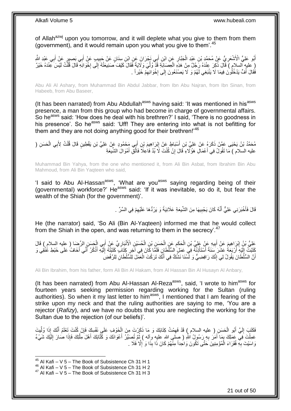of Allah<sup>azwj</sup> upon you tomorrow, and it will deplete what you give to them from them (government), and it would remain upon you what you give to them'.<sup>45</sup>

أَبُو عَلِيٍّ الْأَشْعَرِيُّ عَنْ مُحَمَّدٍ بْنِ عَبْدِ الْجَبَّارِ عَنِ ابْنِ أَبِي نَجْرَانَ عَنِ ابْنِ سِنَانٍ عَنْ جَبِيبٍ عَنْ أَبِي بَصِيرٍ عَنْ أَبِي عَبْدِ الثَّهِ ِ َ **∶** ْ ِ َ َ َ ( عليهِ السلامِ ) قَالَ ذُكِرَ عِنْدَهُ رَّجُلٌ مِنْ هَذِهِ الْعِصَابَةِ قَذْ وُلِّيَ وَلَايَةً فَقَالَ كَيْفَ صَنِيعَتُهُ إِلَى إِخْوَانِهِ قَالَ قُلْتُ لَيْسَ عِنْدَهُ خَيْرٌ ِّ ْ ْ |.<br>יִי ِ فَقَالَ أَفٍّ يَدْخُلُونَ فِيمَا لَا يَنْبَغِي لَهُمْ وَ لَا يَصْنَعُونَ إِلَى إِخْوَانِهِمْ خَيْرٍ أَ . ِ **∶** ِ ُ

Abu Ali Al Ashary, from Muhammad Bin Abdul Jabbar, from Ibn Abu Najran, from Ibn Sinan, from Habeeb, from Abu Baseer,

(It has been narrated) from Abu Abdullah<sup>asws</sup> having said: 'It was mentioned in his<sup>asws</sup> presence, a man from this group who had become in charge of governmental affairs. So he<sup>asws</sup> said: 'How does he deal with his brethren?' I said, 'There is no goodness in his presence'. So he<sup>asws</sup> said: 'Uff! They are entering into what is not befitting for them and they are not doing anything good for their brethren!<sup>46</sup>

مُحَمَّدُ بْنُ يَحْيَى عَمَّنْ ذَكَرَهُ عَنْ عَلِيِّ بْنِ أَسْبَاطٍ عَنْ إِبْرَاهِيمَ بْنِ أَبِي مَحْمُودٍ عَنْ عَلِيِّ بْنِ يَقْطِينٍ قَالَ قُلْتُ لِأَبِي الْحَسَنِ ( َ ِ َ ْ ْ عليه السلام ) مَا تَقُولُ فِي أَعْمَالِ هَؤُلَاءِ قَالَ إِنْ كُنْتَ لَا بُدَّ فَاٰعِلَا فَاتَّقِ أَمْوَالَ الشَّيعَةِ ِ ا<br>ا َ

Muhammad Bin Yahya, from the one who mentioned it, from Ali Bin Asbat, from Ibrahim Bin Abu Mahmoud, from Ali Bin Yaqteen who said,

'I said to Abu Al-Hassan<sup>asws</sup>, 'What are you<sup>asws</sup> saying regarding being of their (governmental) workforce?' Heasws said: 'If it was inevitable, so do it, but fear the wealth of the Shiah (for the government)'.

> قَالَ فَأَخْبَرَنِي عَلِيٌّ أَنَّهُ كَانَ يَجْبِيهَا مِنَ الشَّيعَةِ عَلَانِيَةً وَ يَرُدُّهَا عَلَيْهِمْ فِي السِّرِّ . ِ ِ َ َ

He (the narrator) said, 'So Ali (Bin Al-Yaqteen) informed me that he would collect from the Shiah in the open, and was returning to them in the secrecy'.<sup>47</sup>

عَلِيُّ بْنُ إِبْرَاهِيمَ عَنْ أَبِيهِ عَنْ عَلِيِّ بْنِ الْحَكَمِ عَنِ الْحَسَنِ بْنِ الْحُسَنِي الْأَنْبَارِيِّ عَنْ أَبِي الْحَسَنِ الرِّضَا ( عليه السلام ) قَالَ<br>حَلِّيُّ بْنُ إِبْرَاهِيمَ عَنْ أَبِيهِ عَنْ عَلِيِّ بِّ ِ ْ ْ ِ ْ ِ َ ْ َ ِّفَةٍ أَرْبَعَةُ عَشَرَ سَنَةً أَسْتَأْذِنُهُ فِيَ عَمَلِ السُّلْطَانِ فَلَمَّا كَانَ فِي آخِرِ كِتَابَ كَتَبْتُهُ إِلَيْهِ أَذْكُرُ أَنِّي أَخَافُ عَلَى خَبْطِ عُثُقِي وَ ِ ْ َ لَ ِ َ َ ْ َ لَ ِ أَنَّ السُّلْطَانَ يَقُولُ لِي إِنَّكَ رَافِضِيٌّ وَ لَّمَّنْنَا نَشُكُّ فِي أَنَّكَ تَرَكْتَ الْعَمَّلَ لِلْشُلْطَانِ لِلرَّفْضِ ْ َ ِ

Ali Bin Ibrahim, from his father, form Ali Bin Al Hakam, from Al Hassan Bin Al Husayn Al Anbary,

(It has been narrated) from Abu Al-Hassan Al-Reza<sup>asws</sup>, said, 'I wrote to him<sup>asws</sup> for fourteen years seeking permission regarding working for the Sultan (ruling authorities). So when it my last letter to him<sup>asws</sup>, I mentioned that I am fearing of the strike upon my neck and that the ruling authorities are saying to me, 'You are a rejector (*Rafizy*), and we have no doubts that you are neglecting the working for the Sultan due to the rejection (of our beliefs)'.

فَكَتَبَ إِلَيَّ أَبُو الْحَسَنِ ( عليه السلام ) قَدْ فَهِمْتُ كِتَابَكَ وَ مَا ذَكَرْتَ مِنَ الْخَوْفِ عَلَي نَفْسِكَ فَإِنْ كُنْتَ تَعْلَمُ أَنَّكَ إِذَا وُلِّيتَ ِ ْ  $\ddot{\xi}$ ْ َ لَ ِ ِّ َ عَمِلْتَ فِي عَمَلِكَ بِمَا أَمَرُ بِهِ رَسُولُ اللَّهِ ( صِلَى اللهِ عليهِ وأله ) ثُمَّ تُصَيِّرُ أَعْوَانَكَ وَ كَٰٓتَابَكَ أَهْلَ مِلَّتِكَ فَإِذَا صٰارَ الِلَّيْكَ شَيْءٌ ان<br>المقامات **∶** َ ِ لَ ِ َّ َ وَاسَيْتَ بِهِ فُقَرَاءَ الْمُؤْمِنِينَ حَتَّى تَكُونَ وَاحِداً مِنْهُمْ كَانَ ذَا بِذَا وَ إِلَّا فَلَا . ا<br>ا ْ **∶** 

 $45$  Al Kafi – V 5 – The Book of Subsistence Ch 31 H 1

<sup>46</sup> Al Kafi – V 5 – The Book of Subsistence Ch 31 H 2

 $47$  Al Kafi – V 5 – The Book of Subsistence Ch 31 H 3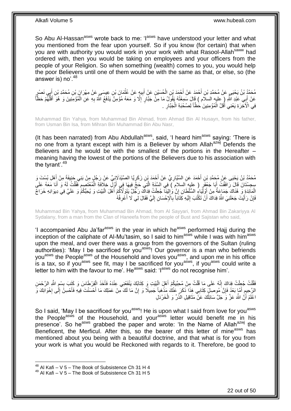So Abu Al-Hassan<sup>asws</sup> wrote back to me: 'l<sup>asws</sup> have understood your letter and what you mentioned from the fear upon yourself. So if you know (for certain) that when you are with authority you would work in your work with what Rasool-Allah<sup>saww</sup> had ordered with, then you would be taking on employees and your officers from the people of your Religion. So when something (wealth) comes to you, you would help the poor Believers until one of them would be with the same as that, or else, so (the answer is) no'.<sup>48</sup>

مُحَمَّدُ بْنُ يَحْيَي عَنْ مُحَمَّدِ بْنِ أَحْمَدَ عَنْ أَحْمَدَ بْنِ الْحُسَيْنِ عَنْ أَبِيهٍ عَنْ عُثْمَانَ بْنِ عِيسَى عَنْ مِهْرَانَ بْنِ مُحَمَّدِ بْنِ أِبِي نَصْرِرٍ **ٔ** ِ َ ْ َ َ َ عَنْ أَبِي عَبْدِ اللَّهِ ( ِعِليهِ السلام ) قَالَ سَمِعْتُهُ يَقُولُ مَا مِنْ جَبَّارٍ ۚ إِلَّا وَ مَعَهُ مُؤْمِنٌ يَدْفَعُ اللَّهُ بِهِ عَنِ الْمُؤْمِنِينَ وَ هُوَ أَقَلُّهُمْ حَظَّاً َ ُّ َ ْ ِ ِ فِي الْأَخِّرَةِ يَعْنِي أَقَلَّ الْمُؤْمِنِينَ حَظَّاً لِصُحْبَةِ الْجَبَّارِ . ِ ْ ْ َ

Muhammad Bin Yahya, from Muhammad Bin Ahmad, from Ahmad Bin Al Husayn, from his father, from Usman Bin Isa, from Mihran Bin Muhammad Bin Abu Nasr,

(It has been narrated) from Abu Abdullah<sup>asws</sup>, said, 'I heard him<sup>asws</sup> saying: 'There is no one from a tyrant except with him is a Believer by whom Allah<sup>azwj</sup> Defends the Believers and he would be with the smallest of the portions in the Hereafter – meaning having the lowest of the portions of the Believers due to his association with the tyrant'.<sup>49</sup>

مُحَمَّدُ بْنُ يَحْيَى عَنْ مُحَمَّدِ بْنِ أَحْمَدَ عَنِ السَّيَّارِيِّ عَنْ أَحْمَدَ بْنِ زَكَرٍ يَّا الصَّيْدَلَانِيِّ عَنْ رَجُلٍ مِنْ بَنِي حَنِيفَةَ مِنْ أَهْلِ بُسْتَ وَ ِ َ **∶** َ سِجِسْتَانَ قَالَ رَافَقْتُ أَبَا جَعْفَرٍ ( عليه السلامِ ) فِي السَّنَةِ الَّتِي حَجَّ فِيهَا فِي أَوَّلِ خِلَافَةِ الْمُعْتَصِمِ فَقُلْتُ لَهُ وَ أَنَا مَعَهُ عَلَي َّ َ َ ْ ِ ْ َ الْمَاَئِدَةِ وَ هُنَاكَ جَمَاعَةٌ مِنْ أَوْلَئِاءُ السُّلْطَانِ إِنَّ وَالِيَنَا جُعِلْتُ فِدَاكَ رَجُلٌ يَتَوَكَّأُهُمْ أَهْلَ الْبَيْتِ وَ يُحِبُّكُمْ وَ عَلَيَّ فِي دِيوَانِهِ خَرَاجٌ َ ْ ِ َ فَإِنْ رَأَيْتَ جَعَلَنِيَ الثَّهُ فِدَاكَ أَنْ تَكْتُبَ إِلَيْهِ كَِتَاباً بِالْإِحْسَانِ إِلَيٍّ فَقَالَ لِي لَا أَعْرِفُهُ ِ َ لَ ِ **∶** لَ  $\frac{1}{2}$ َ َ ِ

Muhammad Bin Yahya, from Muhammad Bin Ahmad, from Al Sayyari, from Ahmad Bin Zakariyya Al Sydalany, from a man from the Clan of Haneefa from the people of Bust and Sajistan who said,

'I accompanied Abu Ja'far<sup>asws</sup> in the year in which he<sup>asws</sup> performed Hajj during the inception of the caliphate of Al-Mu'tasim, so I said to him<sup>asws</sup> while I was with him<sup>asws</sup> upon the meal, and over there was a group from the governors of the Sultan (ruling authorities): 'May I be sacrificed for you<sup>asws</sup>! Our governor is a man who befriends youasws the Peopleasws of the Household and loves youasws, and upon me in his office is a tax, so if you<sup>asws</sup> see fit, may I be sacrificed for you<sup>asws</sup>, if you<sup>asws</sup> could write a letter to him with the favour to me'. He<sup>asws</sup> said: ' $I^{asws}$  do not recognise him'.

فَقُلْتُ جُعِلْتُ فِدَاكَ إِنَّهُ عَلَى مَا قُلْتُ مِنْ مُحِبِّيكُمْ أَهْلَ الْبَيْتِ وَ كِتَابُكَ يَنْفَعُنِي عِنْدَهُ فَأَخَذَ الْقِرْطَاسَ وَ كَتَبَ بِسْمِ اللَّهِ الرَّحْمَنِ :<br>ا َ ْ ֺ֧֖ׅ֧ׅ֧֧֚֚֚֚֚֚֚֚֚֚֚֚֚֚֝֝֬֓֡֡֓֡֟֡֡֡֡֡֡֬֓֡֟֓֡֟֓֡֟֓֡֡֡֬֩֓֓֩ ْ .<br>ا ِ ِ ْ َ الرَّحِيمِ أُمَّا بَعْدُ فَإِنَّ مُوصِلٍ كِتَابِي هَذَا ذَكَرٍ عَنْكَ مَذْهَباً جَمِيلًا وَ إِنَّ مَا لَكَ مِنْ عَمَلِكَ مَا أَحْسَنْتَ فِيهِ فَأَحْسِنَّ إِلَى إِخْوَانِكَ وَ ِ **ٔ** ِ َ ِ יֲ<br>י ِ َ َ اعْلَمْ أَنَّ اللَّهَ عَزَّ وَ جَلَّ سَائِلُكَ عَنْ مَثَاقِيلِ الذَّرِّ وَ الْخَرْدَلِ ْ  $\ddot{\phantom{0}}$ اُ اُ

So I said, 'May I be sacrificed for you<sup>asws</sup>! He is upon what I said from love for you<sup>asws</sup> the People<sup>asws</sup> of the Household, and your<sup>asws</sup> letter would benefit me in his presence'. So he<sup>asws</sup> grabbed the paper and wrote: 'In the Name of Allah<sup>azwj</sup> the Beneficent, the Merficul. After this, so the bearer of this letter of mine<sup>asws</sup> has mentioned about you being with a beautiful doctrine, and that what is for you from your work is what you would be Reckoned with regards to it. Therefore, be good to

 $^{48}$  Al Kafi – V 5 – The Book of Subsistence Ch 31 H 4

 $49$  Al Kafi – V 5 – The Book of Subsistence Ch 31 H 5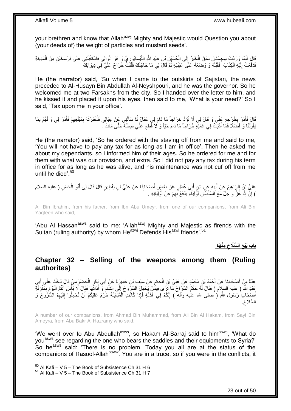your brethren and know that Allah<sup>azwj</sup> Mighty and Majestic would Question you about (your deeds of) the weight of particles and mustard seeds'.

قَالَ فَلَمَّا وَرَدْتُ سِجِسْتَانَ سَبَقَ الْخَبَرُ إِلَى الْحُسَيْنِ بْنِ عَبْدِ اللَّهِ النَّبْسَابُورِ يٍّ وَ هُوَ الْوَالِي فَاسْتَقْبَلَنِي عَلَى فَرْسَخَيْنِ مِنَ الْمَدِينَةِ<br>يَعْبَدُ مَعَ أَمَّا وَرَدْتُ سِجِسْتَ ْ ِ<br>ا ْ ِ ْ ْ ُ فَدَفَعْتُ إِلَيْهِ الْكِتَابَ ۚ فَقَبَّلَهُ وَ وَضَعَهُ عَلَى عَيْنَيْهِ ثُمَّ قَالَ لِي مَا حَاجَتُكَ فَقُلْتُ خَرَاجٌ عَلَيّ فِي دِيوَانِكَ ْ لَ יִי<br>י ْ

He (the narrator) said, 'So when I came to the outskirts of Sajistan, the news preceded to Al-Husayn Bin Abdullah Al-Neyshpouri, and he was the governor. So he welcomed me at two Farsakhs from the city. So I handed over the letter to him, and he kissed it and placed it upon his eyes, then said to me, 'What is your need?' So I said, 'Tax upon me in your office'.

قَالَ فَأَمَرَ بِطَرْحِهِ عَنِّي وَ قَالَ لِي لَا تُؤَدِّ خَرَاجاً مَا دَامَ لِي عَمَلٌ ثُمَّ سَأَلَنِي عَنْ عِيَالِي فَأُخْبَرْتُهُ بِمَبْلَغِهِمْ فَأَمَرَ لِي وَ لَهُمْ بِمَا َ **∶** َ ِ ِ َ لَ Í :<br>• • • • يَقُوتُنَا وَ فَضَلًا فَمَا أَدَّيْتُ فِي عَمَلِهِ خَرَاجاً مَا دَامَ حَيّاً وَ لَا قَطَعَ عَنِّي صِلَنَهُ حَتَّى مَاتَ آ َ

He (the narrator) said, 'So he ordered with the staving off from me and said to me, 'You will not have to pay any tax for as long as I am in office'. Then he asked me about my dependants, so I informed him of their ages. So he ordered for me and for them with what was our provision, and extra. So I did not pay any tax during his term in office for as long as he was alive, and his maintenance was not cuf off from me until he died'.<sup>50</sup>

عَلِيُّ بْنُ إِبْرَاهِيمَ عَنْ أَبِيهِ عَنِ ابْنِ أَبِي عُمَيْرٍ عَنْ بَعْضٍ أَصْحَابِذَا عَنْ عَلِيِّ بْنِ يَقْطِينٍ قَالَ قَالَ لِي أَبُو الْحَسَنِ ( عليه السلام **!** َ ِ َ ِ ْ َ ) إِنَّ لِلَّهِ عََزَّ وَ جَلَّ مَعَ السُّلْطَاَنِ أَوَّلِيَاءَ يَدْفَعُ بِهِمْ عَنْ أَوْلِيَائِهِ . َ ِ َ ِ

Ali Bin Ibrahim, from his father, from Ibn Abu Umeyr, from one of our companions, from Ali Bin Yaqteen who said,

'Abu Al Hassan<sup>asws</sup> said to me: 'Allah<sup>azwj</sup> Mighty and Majestic as firends with the Sultan (ruling authority) by whom He<sup>azwj</sup> Defends His<sup>azwj</sup> friends'.<sup>51</sup>

> **ِمْن ُه ْم ال ِّسَالح باب َبْيع ِ ِ**

### <span id="page-22-0"></span>**Chapter 32 – Selling of the weapons among them (Ruling authorites)**

عِدَّةٌ مِنْ أَصْحَابِنَا عَنْ أَحْمَدَ بْنِ مُحَمَّدٍ عَنْ عَلِيِّ بْنِ الْحَكَمِ عَنْ سَيْفٍ بْنِ عَمِيرَةَ عَنْ أَبِي بِكْرٍ الْحَضْرَمِيِّ قَالَ دَخَلْنَا عَلَى أَبِي َ ِ ْ **∣** َ ْ َ ْ عَبْدِ اللَّهِ ( عليه السلام ) فَقَالَ لَمُ حَكَمٌ السَّرَّاجُ مَا تَزَى فِيمَٰنْ يَحْمِلُ السُّرُوجَ إِلَى الشَّامِ وَ أَدَاتَهَا فَقَالَ لَا بَأْسَ أَنْتُمُ الْيَوْمَ بِمَنْزِلَةِ َ ِ ِ لَ ِ ِ ْ َ **ٔ** أَصْنِحَابَ رَسُولِ اللَّهِ ( صلى الله علٰيه وآله ) إِنَّكُمْ فِي هُذَنَةٍ فَإِذَا كَانَتِ الْمُبَايَنَةُ خَرُمَ عَلَيْكُمْ أَنْ تَحْمِلُوا إِلَيْهِمُ الْسُّرُوَجَ وَ ِ لَ ِ َ ْ ِ السِّلَاحَ.

A number of our companions, from Ahmad Bin Muhammad, from Ali Bin Al Hakam, from Sayf Bin Ameyra, from Abu Bakr Al Hazramy who said,

'We went over to Abu Abdullah<sup>asws</sup>, so Hakam Al-Sarraj said to him<sup>asws</sup>, 'What do you<sup>asws</sup> see regarding the one who bears the saddles and their equipments to Syria?' So he<sup>asws</sup> said: 'There is no problem. Today you all are at the status of the companions of Rasool-Allahsaww. You are in a truce, so if you were in the conflicts, it

1

23 out of 50

 $50$  Al Kafi – V 5 – The Book of Subsistence Ch 31 H 6

 $51$  Al Kafi – V 5 – The Book of Subsistence Ch 31 H 7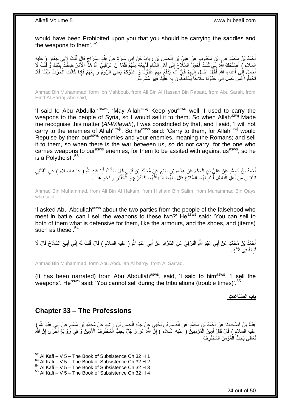would have been Prohibited upon you that you should be carrying the saddles and the weapons to them'. $52$ 

أَحْمَدُ بْنُ مُحَمَّدٍ عَنِ ابْنِ مَجْبُوبٍ عَنْ عَلِيِّ بْنِ الْحَسِنِ بْنِ رِبَاطٍ عَنْ أَبِي سَارَةٍ عَنْ هِنْدٍ السَّرَاجِ قَالٍ قُلْتُ لِأَبِي جَعْفَرٍ ( عليه َ ِ ْ ْ ِ ِ السلام ) أَصْلَحَكَ الَّهُ إِنِّي كُنْثُ أُحْمِلُ السِّلِّاحَ إِلَى أَهْلِ الشَّامِ فَأَبِيعُهُ مِنْهُمْ فَلَمَا أَنْ عَرَّفَنِيَ اللَّهُ هَذَا الْأَمْرَ ضِقْتُ بِّذَلِكَ وَّ قُلْتُ لَا<br>يَسْبِدُ مَ يَقِيبُ الْمَنْجَمِينَ َ ِ َ ∣∣<br>∶ َ ِ َ ْ َ َحْمِلُ إِلَٰى أَعْدَاءِ اللَّهِ فَقَالَ احْمِلْ إِلَيْهِمْ فَإِنَّ اللَّهَ يَذْفَعُ بِهِمْ عَذُوَّنَا وَ عَدُوَّكُمْ يَعْنِي الرُّومَ وَ بِعْهُمْ فَإِذَا كَانَتِ الْحَرْبُ بَيْنَنَا فَلَا ِ ∣lٍ ِ لَ ِ َ יִי<br>י ِ ْ تَحْمِلُوا َفَمَنْ حَمَلَ إِلَى عَدُوِّنَا سِلَاحاً يَسْتَعِيَنُونَ بِهِ عَلَّيْنَاَ فَهُوَ مُشْرِكٌ. ِ ِ ِ

Ahmad Bin Muhammad, form Ibn Mahboub, from Ali Bin Al Hassan Bin Rabaat, from Abu Sarah, from Hind Al Sarraj who said,

'I said to Abu Abdullah<sup>asws</sup>, 'May Allah<sup>azwj</sup> Keep you<sup>asws</sup> well! I used to carry the weapons to the people of Syria, so I would sell it to them. So when Allah<sup>azwj</sup> Made me recognise this matter (*Al-Wilayah*), I was constricted by that, and I said, 'I will not carry to the enemies of Allah<sup>azwj</sup>'. So he<sup>asws</sup> said: 'Carry to them, for Allah<sup>azwj</sup> would Repulse by them our<sup>asws</sup> enemies and your enemies, meaning the Romans; and sell it to them, so when there is the war between us, so do not carry, for the one who carries weapons to our<sup>asws</sup> enemies, for them to be assited with against us<sup>asws</sup>, so he is a Polytheist'.<sup>53</sup>

أَحْمَدُ بْنُ مُحَمَّدٍ عَنْ عَلِيِّ بْنِ الْحَكَمِ عَنْ هِشَامِ بْنِ سَالِمٍ عَنْ مُحَمَّدٍ بْنِ قَيْسٍ قَالَ سَأَلْتُ أَبَا عَبْدِ اللَّهِ ( عليه السلام ) عَنِ الْفِئَتَيْنِ<br>أَحْمَدُ بْنُ مُحَمَّدٍ عَنْ عَلِيِّ بْنِ الْ َ ْ اً ا ٍ ِ ِ ْ َ ْ ُنْلَتَقِيَانِ مِنْ أَهْلِ الْبَاطِلِ أَ نَبِيَعُهُمَا الْسِّلَاحَ قَالَ بِعْهُمَا مَا يَكُنُّهُمَا كَالدِّرْعِ وَ اَلْخُفَّيْنِ وَ نَحْوِ هَذَا . ِ ِ **!** َ ْ َ ْ **∶** 

Ahmad Bin Muhammad, from Ali Bin Al Hakam, from Hisham Bin Salim, from Muhammad Bin Qays who said,

'I asked Abu Abdullah<sup>asws</sup> about the two parties from the people of the falsehood who meet in battle, can I sell the weapons to these two?' He<sup>asws</sup> said: 'You can sell to both of them what is defensive for them, like the armours, and the shoes, and (items) such as these'.<sup>54</sup>

أَحْمَدُ بْنُ مُحَمَّدٍ عَنْ أَبِي عَبْدِ اللَّهِ الْبَرْقِيِّ عَنِ السَّرَّادِ عَنْ أَبِي عَبْدِ اللَّهِ ( عليه السلام ) قَالَ قُلْتُ لَهُ إِنِّي أَبِيعُ السِّلَاحَ قَالَ لَا َ :<br>ا َ َ ِ َ ِ ْ تَبِعْهُ فِي فِتْنَةٍ . ِ

Ahmad Bin Muhammad, form Abu Abdullah Al barqy, from Al Sarrad,

(It has been narrated) from Abu Abdullah $a_{\text{sws}}$ , said, 'I said to him $a_{\text{sws}}$ , 'I sell the weapons'. He<sup>asws</sup> said: 'You cannot sell during the tribulations (trouble times)'.<sup>55</sup>

**باب ال ِّصَنا َعا ِت**

## <span id="page-23-0"></span>**Chapter 33 – The Professions**

1

عِدَّةٌ مِنْ أَصْحَابِنَا عَنْ أَجْمَدَ بْنِ مُحَمَّدٍ عَنِ الْقَاسِمِ بْنِ يَحْيَىِ عَبِنْ جَدٍّهِ الْحَسَنِ بْنِ رَاشِدٍ عَنْ مُجَمَّدِ بْنِ مُسْلِمٍ عَنْ أَبِي عَبْدِ اللَّهِ رِ **∣** َ َ م<br>م ْ **ُ** ْ عليه السلام ) قَالَ قَالَ، أَمِيرُ الْمُؤْمِنِينَ ( عليه السلام ) إِنَّ اللَّهَ عَزَّ وَ جَلَّ يُحِبُّ الْمُحْتَرِفَ الْأَمِينَ وَ فِي رِّووَايَةٍ أُخْرَى إِنَّ اللَّهَ ْ ِ ْ َ ِ ر<br>|<br>| ِ ِ تَعَالَى يُحِبُّ الْمُؤْمِنَ الْمُخْتَرِفَ . ِ ْ ْ

24 out of 50

 $52$  Al Kafi – V 5 – The Book of Subsistence Ch 32 H 1

 $53$  Al Kafi – V 5 – The Book of Subsistence Ch 32 H 2

 $54$  Al Kafi – V  $5$  – The Book of Subsistence Ch 32 H 3

 $55$  Al Kafi – V 5 – The Book of Subsistence Ch 32 H 4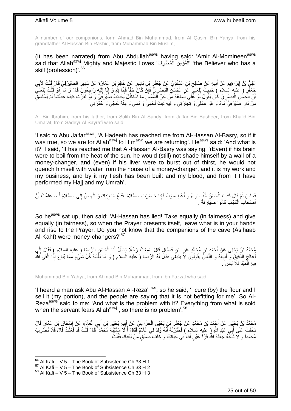A number of our companions, form Ahmad Bin Muhammad, from Al Qasim Bin Yahya, from his grandfather Al Hassan Bin Rashid, from Muhammad Bin Muslim,

(It has been narrated) from Abu Abdullah<sup>asws</sup> having said: 'Amir Al-Momineen<sup>asws</sup> said that Allah<sup>azwj</sup> Mighty and Majestic Loves 'أَلْمُؤْمِنَ الْمُحْتَرِفَ)' 'the Believer who has a **∶** ْ ْ skill (profession)'.<sup>56</sup>

عَلِيُّ بْنُ إِبْرَاهِيمَ عَنْ أَبِيهِ عَنْ صِبَالِحِ بْنِ السِّنْدِيِّ عَنْ جَعْفَرٍ بْنِ بَشِيرٍ عَنْ خَالِدٍ بْنِ عُمَارَةَ عَنْ سَدِيرٍ الصَّيْرَفِيِّ قَالَ قُلْتُ لِأَبِي  $\zeta$ **!** َ ِ ِ ْ ِ جَعْفَرٍ ( عَليه السلام ) حَدِيثٌ بَلَغَنِيٍّ عَنِ الْحَسَنِ الْبَصْرِيِّ فَإِنَّ كَانَ حَقَّاً فَإِنَّا لِلَّهِ وَ إِجْلِهِ رَاجِعُونَ قَالَ وَ مَا ۚ هُوَ قُلْتُ بَلَغَنِيَّ لَ ِ ِ ِ ِ ِ :<br>ا ْ ْ أَنَّ الْحَسُنَ الْبَصْرِيُّ كَانَ يَقُولُ أَوْ غَلَى دِمَاغُهُ مِنْ حَرٍّ الشَّمْسِ مَا اسْتَظَلَّ بِحَائِطِ صَبْرَفَنِيٍّ وَ لَوْ تَفَرَّتَ كَبِدُهُ عَطَشاً لَمْ يَسْتَسْقِ ِ ِ ْ ا<br>ا اً لَ ِ لَ مِنْ دَارِ صَيْرَفِيٍّ مَآءً وَ ۚ هُوَ عَمَلِي وَ تِجَارَتِي وَ فِيهِ نَبَتَ لَحْمِيَ وَ دَمِي وَ مِنْهُ حَجِّي وَ عُمْرَتِي ِ

Ali Bin Ibrahim, from his father, from Salih Bin Al Sandy, from Ja'far Bin Basheer, from Khalid Bin Umarat, from Sadeyr Al Sayrafi who said,

'I said to Abu Ja'far<sup>asws</sup>, 'A Hadeeth has reached me from Al-Hassan Al-Basry, so if it was true, so we are for Allah<sup>azwj</sup> to Him<sup>azwj</sup> we are returning'. He<sup>asws</sup> said: 'And what is it?' I said, 'It has reached me that Al-Hassan Al-Basry was saying, '(Even) if his brain were to boil from the heat of the sun, he would (still) not shade himself by a wall of a money-changer, and (even) if his liver were to burst out of thirst, he would not quench himself with water from the house of a money-changer, and it is my work and my business, and by it my flesh has been built and my blood, and from it I have performed my Hajj and my Umrah'.

فَجَلَسَ ثُمَّ قَالَ كَذَبَ الْحَسَنُ خُذْ سَوَاءً وَ أَعْطِ سَوَاءً فَإِذَا حَضَرَتِ الصَّلَاةُ ۖ فَدَعْ مَا بِيَدِكَ وَ انْهَضْ إِلَى الصَّلَاةِ أَ مَا عَلِمْتَ أَنَّ ِ اً<br>ا **ٔ** ْ ُ اُ َ ِ ْ أَصْحَابَ الْكَهْفِ كَانُوا صَيَارِفَةً . َ **∶** 

So he<sup>asws</sup> sat up, then said: 'Al-Hassan has lied! Take equally (in fairness) and give equally (in fairness), so when the Prayer presents itself, leave what is in your hands and rise to the Prayer. Do you not know that the companions of the cave (As'haab Al-Kahf) were money-changers?<sup>57</sup>

مُحَمَّدُ بْنُ يَحْيَى عَنْ أَحْمَدَ بْنِ مُحَمَّدٍ عَنِ ابْنِ فَضَالٍ قَالَ سَمِعْتُ رَجُلًا يَسْأَلُ أَبَا الْحَسَنِ الرِّضَا ( عليه السلام ) فَقَالَ إِنِّي ْ َ َ ِ أُعَالِجُ الذَّقِيقَ ۖ وَ إِيعُهُ وَ النَّاسُّ يَقُولُونَ لَا يَنْبَغِّي فَقَالَ لَهُ الرِّضَا ( عليه السلام ) وَ مَا بَأَسُهُ كُلُّ شَيْءٍ مِمَّا يُبَاعُ إِذَا اتَّقَى الثَّه **!** َ ة<br>أا فِيهِ الْمَعْبُدُ فَلَا بَأْسَ י<br>י ا<br>ا

Muhammad Bin Yahya, from Ahmad Bin Muhammad, from Ibn Fazzal who said,

'I heard a man ask Abu Al-Hassan Al-Reza $^{asws}$ , so he said, 'I cure (by) the flour and I sell it (my portion), and the people are saying that it is not befitting for me'. So Al-Reza<sup>asws</sup> said to me: 'And what is the problem with it? Everything from what is sold when the servant fears Allah<sup>azwj</sup>, so there is no problem'.<sup>58</sup>

مُحَمَّدُ بْنُ يَحْيَى عَنْ أَجْمَدَ بْنِ مُحَمَّدٍ عَنْ جَعْفَرٍ بْنِ يَحْيَى الْخُزَاعِيِّ عَنْ أَبِيهِ يَحْيَى بْنِ أَبِي الْعَلَاءِ عَنْ إِسْحَاقَ بْنِ عَمَّارٍ قَالَ<br>مَعْلَمُ بِنَ الْبِحَاقَ بَنْ عَمَّارٍ قَالَ َ ِ َ ِ ِ ْ ِّخَطِّتُ عَلَى أَبِيِّ عَيْدِ اشْهِ ( عِلَيه السلام ) فَخَبَّرْتُهُ أَنَّهُ وُلِدَّ لِي غُلَامٌ فَقَالَ أَ لَا سَمَّنِتَهُ مُحَمَّدَاً قَالَ قُلْتُ قَدْ فَعَلْتُ قَالَ فَلَا تَضَّرِبْ<br>وَيَقَلِّمُ الْقَالُ قَالَ فَلا تَضَ َ َ ْ ِ ْ ْ َ مُحَمَّداً وَ لَا تَسَٰلِّهُ جَعَلَهُ اللَّهُ قُرَّةَ عَيْنٍ لَكَ فِي حَيَاتِكَ وَ خَلَفَ صِدْقٍ مِنْ بَعْدِكَ فَقُلْتُ ْ

 $56$  Al Kafi – V 5 – The Book of Subsistence Ch 33 H 1

 $57$  Al Kafi – V  $5$  – The Book of Subsistence Ch 33 H 2

 $58$  Al Kafi – V 5 – The Book of Subsistence Ch 33 H 3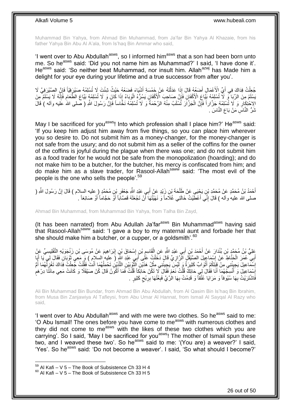Muhammad Bin Yahya, from Ahmad Bin Muhammad, from Ja'far Bin Yahya Al Khazaie, from his father Yahya Bin Abu Al A'ala, from Is'haq Bin Ammar who said,

'I went over to Abu Abdullah<sup>asws</sup>, so I informed him<sup>asws</sup> that a son had been born unto me. So he<sup>asws</sup> said: 'Did you not name him as Muhammad?' I said, 'I have done it'. He<sup>asws</sup> said: 'So neither beat Muhammad, nor insult him. Allah<sup>azwj</sup> has Made him a delight for your eye during your lifetime and a true successor from after you'.

جُعِلْتُ فِدَاكَ فِي أَيِّ الْأَعْمَالِ أَصْعُهُ قَالَ إِذَا عَدَلْتَهُ عَنْ خَمْسَةِ أَشْيَاءَ فَصَعْهُ حَيْثُ شِئْتَ لَا تُسْلِمْهُ صَيْرٍفِيًّا فَإِنَّ الصَّيْرَفِيَّ لَا<br>مُعِلْتُ فِدَاكَ فِي أَيِّ الْأَعْمَالِ أَصْعُهُ َ ْ َ َ ْ  $\frac{1}{2}$ َسْلَمُ مِنَ الرِّبَا ۖ وَ لَا تُسْلِمْهُ بَيَّاعَ الْأَكْفَانِ فَإِنَّ صَاحِبَ الْأَكْفَانِ يَسُرُّهُ الْوَبَاءُ إِذَا كَانَ وَ لَا تُسْلِمْهُم بَيَّاعَ الْطَعَامِ فَإِنَّهُ لَا يَسْلَمُ مِنَ ِ ِ ِ ْ الِاِحْتِكَارِ وَ لَا تُسْلِمْهُ جَزَّاراً فَإِنَّ الْمَذَّارَ تُسْلَبُ مِنْهُ الرَّحْمَةُ وَ لَا تُسْلِمْهُ نَخَّاساً فَإِنَّ رَسُولَ اللَّهِ ( صلى الله عليه وأله ) قَالَ ِ ْ ِ **∶** ثَنَرُّ النَّاس*ِّ مَنْ* بَاعَ النَّاسَ <sub>.</sub>

May I be sacrificed for you<sup>asws</sup>! Into which profession shall I place him?' He<sup>asws</sup> said: 'If you keep him adjust him away from five things, so you can place him wherever you so desire to. Do not submit him as a money-changer, for the money-changer is not safe from the usury; and do not submit him as a seller of the coffins for the owner of the coffins is joyful during the plague when there was one; and do not submit him as a food trader for he would not be safe from the monopolization (hoarding); and do not make him to be a butcher, for the butcher, his mercy is confiscated from him; and do make him as a slave trader, for Rasool-Allahsaww said: 'The most evil of the people is the one who sells the people'.<sup>59</sup>

أَحْمَدُ بْنُ مُحَمَّدٍ عَنْ مُحَمَّدِ بْنِ يَجْيَيِ عَنْ طَلْحَةَ بْنِ زَيْدٍ عَنْ أَبِي عَبْدِ اللَّهِ جَعْفَرِ بْنِ مُحَمَّدٍ ( عليه السلام ) قَالَ إِنَّ رَسُولَ اللَّهِ ( **∶** ْ َ ِ صلى الله عليه وآله ) قَالَ إِنِّي أَعْطَيْتُ خَالَتِي غُلَاماً وَ نَهَيْتُهَا أَنْ تَجْعَلَهُ قَصَّاباً أَوْ حَجَّاماً أَوْ صَائِغاً . اً<br>ا ِ َ َ

Ahmad Bin Muhammad, from Muhammad Bin Yahya, from Talha Bin Zayd,

(It has been narrated) from Abu Adullah Ja'far<sup>asws</sup> Bin Muhammad<sup>asws</sup> having said that Rasool-Allah<sup>saww</sup> said: 'I gave a boy to my maternal aunt and forbade her that she should make him a butcher, or a cupper, or a goldsmith'. $60$ 

عَلِيُّ بْنُ مُحَمَّدٍ بْنِ بُنْدَارَ عَنْ أَحْمَدَ بْنِ أَبِي عَبْدِ اللَّهِ عَنِ الْقَاسِمِ بْنِ إِسْحَاقَ بْنِ إِبْرَاهِيمَ عَنْ مُوسَى بْنِ زَنْجَوَيْهِ التَّفْلِسِيِّ عَنْ ِ ِ ֧֧֧֧֢׆֧ ْ َ أَبِي ۖ عُمَرَ الْحَنَّاطِ عَنْ إِسْمَاعِيلَ الصَّيْقَلِ الْرَّازِيِّ قَالَ دَخَلْتُ عَلَى أَبِيَ عَبْدِ النَّهِ (َ عِليه السلام ) وَ مَعِي ثَوْبَانِ فَقَالَ لِي يَا أَبَا َ ْ ِ ِ ْ َ َ َ ْسَمَاعِيلَ يَجِيئُنِي مِنْ قِبَلِكُمْ أَثْوَابٌ كَثِيرَةٌ وَ لَيْسَ يَجِيئُنِي مِثْلُ هَذَيْنِ الثَّوْبَيْنِ اللَّذَيْنِ تَحْمِلُهُمَا أَنْتَ فَقُلْتُ جُعِلْتُ فَذَاكَ تَغْزِلُهُمَا أَمْ ْ َ ِ ر<br>أ ُ ِ ْ ْ َ ُ َّ َّ ْ اَسْمَاعِيلَ وَ أَنْسِكُهُمَا أَنَا فَقَالَ لِي حَائِكٌ قُلْتُ نَعَمْ فَقَالَ لَا تَكُنْ حَائِكَا قُلْتُ فَمَا أَكُونُ قَالَ كُنْ صَيْقَلًا وَ كَانَتْ مَعِي مِائَتَا دِرْهَمِ َ ْ ْ َ ِ ׇ֖֖֖֖֦֦֦֚֚֚֬֝֝֓֝֝ فَاتْنْتَرَيْتُ بِهَا سُُيُوفاً وَ مَرَايَا عُثُقاً وَ قَدِمْتُ بِهَا الْرَّيَّ فَبِعْتُهَا بِرِبْحٍ كَثِيرٍ . ٍ ِ ِ **∶** ِ

Ali Bin Muhammad Bin Bundar, from Ahmad Bin Abu Abdullah, from Al Qasim Bin Is'haq Bin Ibrahim, from Musa Bin Zanjawiya Al Tafleysi, from Abu Umar Al Hannat, from Ismail Al Sayqal Al Razy who said,

'I went over to Abu Abdullah<sup>asws</sup> and with me were two clothes. So he<sup>asws</sup> said to me: 'O Abu Ismail! The ones before you have come to measws with numerous clothes and they did not come to me<sup>asws</sup> with the likes of these two clothes which you are carrying'. So I said, 'May I be sacrificed for you<sup>asws</sup>! The mother of Ismail spun these two, and I weaved these two'. So he<sup>asws</sup> said to me: '(You are) a weaver?' I said, 'Yes'. So he<sup>asws</sup> said: 'Do not become a weaver'. I said, 'So what should I become?'

 $59$  Al Kafi – V 5 – The Book of Subsistence Ch 33 H 4

 $60$  Al Kafi – V 5 – The Book of Subsistence Ch 33 H 5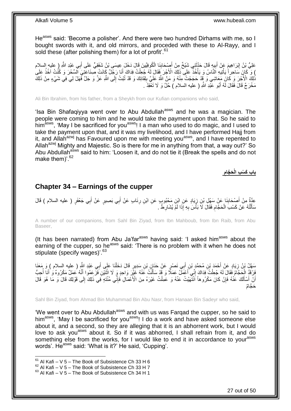He<sup>asws</sup> said: 'Become a polisher'. And there were two hundred Dirhams with me, so I bought swords with it, and old mirrors, and proceded with these to Al-Rayy, and I sold these (after polishing them) for a lot of profit<sup>'.61</sup>

ْ ُكوِفِّيي َن َقا َل َد َخ َل ِعي َسى ْب ُن َشَف َنا ال ْص َحاب ِني َشْي ٌخ ِم ْن أ ي ِه َقا َل َحَّدث ب َم َع ْن أ ْب َرا ِهي ِي َعْبِد ََّّللا َعلِ ُّي ْب ُن <sup>إ</sup> ِ ) عليه السالم ب ِق ٍّي َعلَى أ **!** َ َ  $\frac{1}{2}$ َ <u>֖֓</u> َ ) وَ كَانَ سَاحِراً يَأْتِيهِ اَلنَّاسُ وَ يَأْخُذُ عَلَى ذَلِكَ الْأَجْرَ فَقَالَ لَهُ جُعِلْتُ فِدَاكَ أَنَا رَجّلٌ كَانَتْ صِّنَاعَتِيَ الْسِّحْرَ وَ كُنُّتُ آخُذُ عَلَى ة<br>أ **ٔ** َ ْ ُنْلِكَ الْأَجْرَ وَ كَانَ مَعَاشِي وَ قَدْ حَجَجْتُ مِنْهُ وَ مَنَّ اللَّهُ عَلَيَّ بِلِقَائِكَ وَ قَدْ تُبْتُ إِلَى اللَّهِ عَزَّ وَ جَلَّ فَّهَلْ لِي فِي شَيْءٍ مِنْ ذَلِكَ ِ ِ :<br>نا مَخْرَ جٌ قَالَ فَقَالَ لَهُ أَبُو عَبْدِ اللَّهِ ( عليه السلام ) حُلَّ وَ لَا تَغْقِدْ َ . َ

Ali Bin Ibrahim, from his father, from a Sheykh from our Kufian companions who said,

'Isa Bin Shafaqiyya went over to Abu Abdullah<sup>asws</sup> and he was a magician. The people were coming to him and he would take the payment upon that. So he said to him<sup>asws</sup>, 'May I be sacrificed for you<sup>asws</sup>! I a man who used to do magic, and I used to take the payment upon that, and it was my livelihood, and I have performed Hajj from it, and Allah<sup>azwj</sup> has Favoured upon me with meeting you<sup>asws</sup>, and I have repented to Allah<sup>azwj</sup> Mighty and Majestic. So is there for me in anything from that, a way out?' So Abu Abdullah<sup>asws</sup> said to him: 'Loosen it, and do not tie it (Break the spells and do not make them)<sup>'.62</sup>

> **ِ َح َّجام باب َك ْس ِب الْ**

### <span id="page-26-0"></span>**Chapter 34 – Earnings of the cupper**

عِدَّةٌ مِنْ أَصْحَابِذَا عَنْ سَهْلِ بْنِ زِيَادٍ عَنِ ابْنِ مَحْبُوبٍ عَنِ ابْنِ رِنَابٍ عَنْ أَبِي بَصِيرٍ عَنْ أَبِي جَعْفَرٍ ( عليه السلام ) قَالَ<br>مَنْ َ َ ِ ॄ<br>१ **∣** َ سَأَلْتُهُ عَنْ كَسْبَ الْحَجَّامِ فَقَالَ لَاَ بَأْسَ بِهِ إِذَا لَمَّ يُشَارِطْ . ْ ֺ֧֦֧֦֧֦֦֦֦֖֦֪֦֪֦֧֦֪֦֪֦֪֪֦֪֪֦֪֪֦֪֦֪֪֦֝֟֟֟֟֟֟֟֟֟֟֟֟֟֟֟֟֟֟֟֟֟֟֓֕֟֓֟֓֟֓֟֓֟֓֟֓֟֓֟֓֟֓֟֓֟֟֟֝֟֟֟֟֟֟֟֝֟ َ ِ ِ ة<br>أ ِ

A number of our companions, from Sahl Bin Ziyad, from Ibn Mahboub, from Ibn Raib, from Abu Baseer,

(It has been narrated) from Abu Ja'far<sup>asws</sup> having said: 'I asked him<sup>asws</sup> about the earning of the cupper, so he<sup>asws</sup> said: 'There is no problem with it when he does not stipulate (specify wages)<sup>'.63</sup>

يَانُ بْنُ زِيَادٍ عَنْ أَحْمَدَ بْنِ مُحَمَّدٍ بْنِ أَبِي نَصْرٍ عَنْ خَذَإِنِ بْنِ سَدِيرٍ قَالَ دَخَلْنَا عَلَي أَبِي عَبْدِ اللَّهِ ( عليه السلام ) وَ مَعَنَا َ ْ َ َ ِ َوْفَدٌ الْحَجَّامُ فَقَالَ لَهُ جُعِلْتُ فِدَاكَ إِنِّي أَعْمَلُ عَمَلاً وَ قَدْ سَأَلْتُ عَنْهُ غَيْرَ وَاحِدٍ وَ لَا اثْنَيْنِ فَزَّعَمُوا أَنَّهُ عَمَلٌ مَكْرُوهٌ وَ أَنَا أُحِبُّ **ٔ** ْ َ َ ِ ْ ،<br>أ َ َ أَنْ أَسْأَلَكَ عَنْهُ فَإِنْ كَانَ مَكْرُوهاً أَنْتَّهَيْتُ عَنْهُ وَ عَمِلْتُ غَيْرَهُ مِنَ الْأَعْمَالِ فَإِنِّي مُنْتَهِ فِي ذَلِكَ إِلَى قَوْلِكَ قَالَ وَ مَا هُوَ قَالَ ِ لَ َ َ لَ ِ ا∣<br>ِ∘ ْ َح َّجا ٌم

Sahl Bin Ziyad, from Ahmad Bin Muhammad Bin Abu Nasr, from Hanaan Bin Sadeyr who said,

'We went over to Abu Abdullah<sup>asws</sup> and with us was Fargad the cupper, so he said to him<sup>asws</sup>, 'May I be sacrificed for you<sup>asws</sup>! I do a work and have asked someone else about it, and a second, so they are alleging that it is an abhorrent work, but I would love to ask you<sup>asws</sup> about it. So if it was abhorred, I shall refrain from it, and do something else from the works, for I would like to end it in accordance to your<sup>asws</sup> words'. He<sup>asws</sup> said: 'What is it?' He said, 'Cupping'.

 $61$  Al Kafi – V 5 – The Book of Subsistence Ch 33 H 6

 $^{62}$  Al Kafi – V 5 – The Book of Subsistence Ch 33 H 7

 $63$  Al Kafi – V 5 – The Book of Subsistence Ch 34 H 1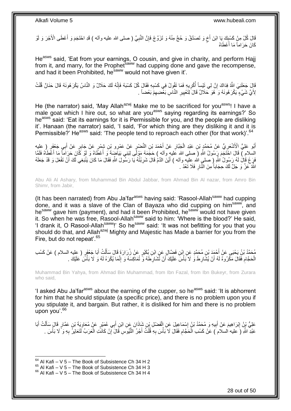قَالَ كُلْ مِنْ كَسْبِكَ بَا ابْنَ أَخٍ وَ تَصَدَّقْ وَ حُجَّ مِنْهُ وَ تَزَوَّجْ فَإِنَّ النَّبِيَّ ( صلى الله عليه وآله ) قَدِ احْتَجَمَ وَ أَعْطَى الْأَجْرَ وَ لَوْ ِ ِ ٍ ِ َ كَانَ حَرَاماً مَا أَعْطَاهُ ا<br>ا

He<sup>asws</sup> said, 'Eat from your earnings, O cousin, and give in charity, and perform Hajj from it, and marry, for the Prophet<sup>saww</sup> had cupping done and gave the recompense, and had it been Prohibited, he<sup>saww</sup> would not have given it'.

ِ قَالَ جَعَلَنِيَ اللَّهُ فِدَاكَ إِنَّ لِي تَيْساً أُكْرِيهِ فَمَا تَقُولُ فِي كَسْبِهِ فَقَالَ كُلْ كَسْبَهُ فَإِنَّهُ لَكَ حَلَالٌ وَ النَّاسُ يَكْرَ هُونَهُ قَالَ حَنَانٌ قُلْتُ **∶** ُ יִי, ْ ِ لِأُيِّ شَيْءٍ يَكْرَ هُونَهُ وَ هُوَ حَلَالٌ قَالَ لِتَعْيِيرِ النَّاسِ بَعْضِهِمْ بَعْضاً . َ ِ ِ **!** 

He (the narrator) said, 'May Allah<sup>azwj</sup> Make me to be sacrificed for you<sup>asws</sup>! I have a male goat which I hire out, so what are you<sup>asws</sup> saying regarding its earnings?' So he<sup>asws</sup> said: 'Eat its earnings for it is Permissible for you, and the people are disliking it'. Hanaan (the narrator) said, 'I said, 'For which thing are they disliking it and it is Permissible?' He<sup>asws</sup> said: 'The people tend to reproach each other (for that work)'.<sup>64</sup>

أَبُو عَلِيٍّ الْأَسْعَرِيُّ عَنْ مُحَمَّدٍ بْنِ عَبْدِ الْجَبَّارِ عَنْ أَحْمَدَ بْنِ النَّصْرِ عَنْ عَبْرِهِ عَلْ جَابِرٍ عَنْ أَبِي جَعْفَرٍ ( عليه ِ َ ِ ْ **∶** َ السلام ) قَالَ احْتَجْمَ رِسُولُ اللَّهِ (َ صلى الله عَليهِ وآله ) حَجَمَهُ مَوْلَى لِبَنِي بَيَاضِهَ وَ أَعْطًاهُ وَ لَوْ كَانَ حَرِاماً مَا أَعْطَاهُ فَلَقًا َ َ َفَرَغَ قَالَ لَمُ رَسُولُ اللّهِ ( صلى الله عليه وآله ) أَيْنَ الدَّمُ قَالَ شَرِبْتُهُ يَا رَسُولَ اللّهِ فَقَالَ مَا كَانَ يَنْبَغِي لَكَ أَنْ تَفْعَلَ وَ قَدْ جَعَلَهُ **ٍ** َ َ اللَّهُ عَنَّ وَ جَلَّ لَكَ حِجَاباً مِنَ النَّارِ فَلَا تَعُدْ . **∶** 

Abu Ali Al Ashary, from Muhammad Bin Abdul Jabbar, from Ahmad Bin Al nazar, from Amro Bin Shimr, from Jabir,

(It has been narrated) from Abu Ja'far<sup>asws</sup> having said: 'Rasool-Allah<sup>saww</sup> had cupping done, and it was a slave of the Clan of Bayaza who did cupping on him<sup>saww</sup>, and hesaww gave him (payment), and had it been Prohibited, hesaww would not have given it. So when he was free, Rasool-Allah<sup>saww</sup> said to him: 'Where is the blood?' He said, 'I drank it, O Rasool-Allahsaww!' So hesaww said: 'It was not befitting for you that you should do that, and Allah<sup>azwj</sup> Mighty and Majestic has Made a barrier for you from the Fire, but do not repeat'.<sup>65</sup>

مُحَمَّدُ بْنُ يَحْيَى عَنْ أَحْمَدَ بْنِ مُحَمَّدٍ عَنِ إِبْنِ فَضَّالٍ عَنِ ابْنِ بِكَيْرٍ عَنْ زُرَارَةَ قَالَ سَأَلْتُ أَبَا جَعْفَرٍ ( عِليه السلام ) عَنْ كَسْبِ َ ْ ĺ الْحَجَّام فَقَالَ مَكْرُوهٌ لَهُ أَنْ يُشَارِطَ وَ لَا بَأْسَ عَلَيْكَ أَنْ تُشَارِطَهُ وَ تُمَاكِسَهُ وَ إِنَّمَا يُكْرَهُ لَهُ وَ لَا بَأْسَ عَلَيْكَ . **∶** اً ْ ِ َ ِ ْ ْ ِ

Muhammad Bin Yahya, from Ahmad Bin Muhammad, from Ibn Fazal, from Ibn Bukeyr, from Zurara who said,

'I asked Abu Ja'far<sup>asws</sup> about the earning of the cupper, so he<sup>asws</sup> said: 'It is abhorrent for him that he should stipulate (a specific price), and there is no problem upon you if you stipulate it, and bargain. But rather, it is disliked for him and there is no problem upon you'.<sup>66</sup>

عَلِيُّ بِنُ إِبْرَاهِيمَ عَنْ أَبِيهِ وَ مُحَمَّدُ بْنُ إِسْمَاعِيلَ عَنِ الْفَضْلِ بْنِ شَاذَانَ عَنِ ابْنِ أَبِي عُمَيْرٍ عَنْ مُعَاوِيَةَ بْنِ عَمَّارٍ قَالَ سَأَلْتُ أَبَا ∣l<br>∶ **!** َ ِ َ ْ َ ِ َ ْ ْ عَبْدِ اللَّهِ (َ عليه السلام َ) عَنْ كَسْبِ الْحَجَّامِ فَقَالَ لَا بَأْسَ بِهِ قُلْتُ أَجْرُ النُّيُوسِ قَالَ إِنْ كَانَتَ الْعَرَبُ لَنَعَايَرُ بِهِ وَ ۗ لَا بَأْسَ . ِ ْ ِ **ٔ** ِ ْ ْ ِ

 $64$  Al Kafi – V 5 – The Book of Subsistence Ch 34 H 2

 $^{65}$  Al Kafi – V 5 – The Book of Subsistence Ch 34 H 3

 $66$  Al Kafi – V 5 – The Book of Subsistence Ch 34 H 4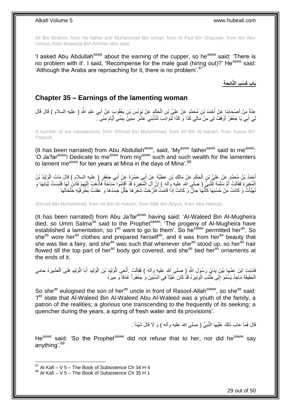Ali Bin Ibrahim, from his father and Muhammad Bin Ismail, from Al Fazl Bin Shazaan, from Ibn Abu Umeyr, from Muawiya Bin Ammar who said,

'I asked Abu Abdullah<sup>asws</sup> about the earning of the cupper, so he<sup>asws</sup> said: 'There is no problem with it'. I said, 'Recompense for the male goat (hiring out)?' He<sup>asws</sup> said: 'Although the Arabs are reproaching for it, there is no problem'.<sup>67</sup>

**باب َك ْس ِب الَّنائِ َح ِة**

## <span id="page-28-0"></span>**Chapter 35 – Earnings of the lamenting woman**

عِدَّةٌ مِنْ أَصْحَابِنَا عَنْ أَحْمَدَ بْنِ مُحَمَّدٍ عَنْ عَلِيٍّ بْنِ الْحَكَمِ عَنْ يُونُسَ بْنِ يَعْقُوبَ عَنْ أَبِي عَبْدِ اللَّهِ ( عليه السلام ) قَالَ قَالَ<br>-َ ِ َ ِ ْ لِي أَبِي يَا جَعْفَرُ ۖ أَوْقِفْ لِي مِنْ مَالِي كَذَا وَ كَذَا لِّنَوَادِبَ تَنْذُبُٰنِي عَشْرَ سِنِينَ بِمِنًى أَيَّامَ مِنًى ۖ ـ َ ِ َ َ

A number of our companions, from Ahmad Bin Muhammad, from Ali Bin Al hakam, from Yunus Bin Yaqoub,

(It has been narrated) from Abu Abdullah<sup>asws</sup>, said, 'My<sup>asws</sup> father<sup>asws</sup> said to me<sup>asws</sup>: (it has been narrated) herm has haddled.<br>'O Ja'far<sup>asws</sup>! Dedicate to me<sup>asws</sup> from my<sup>asws</sup> such and such wealth for the lamenters to lament me<sup>asws</sup> for ten years at Mina in the days of Mina'.<sup>68</sup>

أَحْمَدُ بْنُ مُحَمَّدٍ عَنْ عَلِيٍّ بْنِ الْحَكَمِ عَنْ مَالِكِ بْنِ عَطِيَّةَ عَنْ أَبِي حَمْزَةَ عَنْ أَبِي جَعْفَرٍ ( عليه السلام ) قَالَ مَاتَ الْوَلِيدُ بْنُ<br>أَحْمَدُ بْنُ مُحَمَّدٍ عَنْ عَلِيٍّ بِنِ الْحَكَمِ عَنْ َ َ ِ ْ ْ الْمُغِيرَةِ فَقَالَتْ أُمُّ سَلَمَةَ لِّلنَّبِيٍّ ( صَلْبى الله عليه وِاله ) إِنَّ الَ الْمُغِيرَةِ قَدْ أَقَامُواَ مَنَاحَةً فَأَذْهُبُ إِلَيْهِمْ فَأَذِنْ لَمَا فَلَبِسَتْ ثِيَابَهَا وَ ْ ِ **∶** ا<br>ا ِ َ ِ لَ ِ ا<br>: َ َ َّنَهَيَّأَتْ وَ كَانَتْ مِنْ حُسْنِهَا كَأَنَّهَا جَانٌّ وَ كَانَتْ إِذَا قَامَتْ فَأَرْخَتْ شَعْرَهَا جَلَّلَ جَسَدَهَا وَ عَقَدَتْ بِطَرَفَيْهِ خَلْخَالَهَا َّ َ َ َ ْ ِ

Ahmad Bin Muhammad, from Ali Bin Al Hakam, from Mlik Bin Atiyya, from Abu Hamza,

(It has been narrated) from Abu Ja'far<sup>asws</sup> having said: 'Al-Waleed Bin Al-Mugheira died, so Umm Salma<sup>as</sup> said to the Prophet<sup>saww</sup>: 'The progeny of Al-Mugheira have established a lamentation, so las want to go to them'. So he<sup>saww</sup> permitted heras. So she<sup>as</sup> wore her<sup>as</sup> clothes and prepared herself<sup>as</sup>, and it was from her<sup>as</sup> beauty that she was like a fairy, and she<sup>as'</sup> was such that whenever she<sup>as</sup> stood up, so her<sup>as</sup> hair flowed till the top part of her<sup>as</sup> body got covered, and she<sup>as</sup> tied her<sup>as ornaments at</sup> the ends of it.

فَنَدَبَتِ ابْنَ عَمِّهَا بَيْنَ يَدَيْ رَسُولِ اللَّهِ ( صلى اللهِ عليه وأله ) فَقَالَتْ ۚ أَنْعَى الْوَلِيدِ أَبَا الْوَلِيدِ فَتَى الْعَشِيرَهْ حَامِى ْ ْ َ ْ ْ الْحَقِيقَةِ مَاجِدٌ يَسْمُو إِلَى طَٰلَبِ الْوَتِيرَةْ قَذْ كَانَ غَيْثاً فِي السِّنِينَ وَ جَعْفَراً غَدَقاً وَ مِيرَهْ ْ ِ

So she<sup>as</sup> eulogised the son of her<sup>as</sup> uncle in front of Rasool-Allah<sup>saww</sup>, so she<sup>as</sup> said: 'I<sup>as</sup> state that Al-Waleed Bin Al-Waleed Abu Al-Waleed was a vouth of the family, a patron of the realities; a glorious one transcending to the frequently of its seeking; a quencher during the years, a spring of fresh water and its provisions'.

> قَالَ فَمَا عَابَ ذَٰلِكَ عَلَيْهَا النَّبِيُّ ( صلى الله عليه وأله ) وَ لَا قَالَ شَيْئاً <sub>.</sub> ِ

He<sup>asws</sup> said: 'So the Prophet<sup>saww</sup> did not refuse that to her, nor did he<sup>saww</sup> say anything'.<sup>69</sup>

 $67$  Al Kafi – V 5 – The Book of Subsistence Ch 34 H 4

 $68$  Al Kafi – V 5 – The Book of Subsistence Ch 35 H 1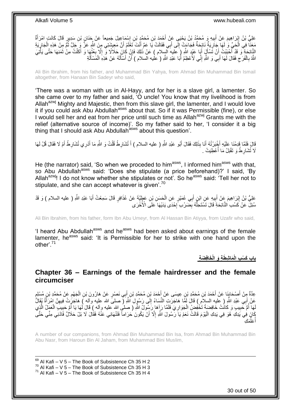عَلِيُّ بْنُ إِبْرَاهِيمَ عَنْ أَبِيهِ وَ مُحَمَّدُ بْنُ يَحْيَى عَنْ أَحْمَدَ بْنِ مُحَمَّدٍ بْنِ إِسْمَاعِيلَ جَمِيعاً عَنْ جَذَانٍ بْنِ سَدِيرٍ قَالَ كَانَتِ امْرَأَةٌ ∣l<br>∶ َ ِ َ ֦֧֦֧֦֧֦֦֦֦֦֦֦֦֧֦֧֦֧֦֦֦֦֦֦֦֦֦֦֦֦֦֝ َ مَعَنَّا فِي الْحَيِّ وَ لَهَا جَارِيَةٌ نَائِحَةٌ فَجَاءَتْ إِلَى أَبِي فَقَالَتْ يَا عَمِّ أَنْتَ تَعْلَمُ أَنَّ مَعِيشَتِي مِنَ اللَّهِ عَزَّ وَ جَلَّ نُمَّ مِنْ هَذِهِ الْجَارِيَةِ<br>مَعَنَّا فِي الْحَيِّ وَ لَهُمَا بَرِ اُ َ َ ِ ِ ْ ِ ْ ُ َ النَّائِحَةِ ۖ وَ قَدْ أَحْبَبْتُ أَنْ تَسْأَلَ أَبَا عَبْدِ اللَّهِ (َ عليهَ السلام ) عَنْ ذَلِكَ فَإِنْ كَانَ حَلَالًا وَّ إِلَّا بِعْنُهَا وَ أَكَلْتُ مِنْ ثَمَنِهَا حَتَّى يَأْتِيَ َ َ ْ َ ِ ِ ∣lٍ َ ا<br>أ اللَّهُ بِالْفَرَّحِ فَقَالَ لَمَهَا أَبِي وَ اللَّهِ إِنَّـي لَأُعْظِمُ أَبَا عَبْدِ اللَّهِ ( عليه السلام ) أَنْ أَسْأَلَهُ عَنْ هَذِهِ الْمَسْأَلَةِ َ َ ِ َ  $\zeta$ ْ **∶** لَ Í ْ لَ َ َ

Ali Bin Ibrahim, from his father, and Muhammad Bin Yahya, from Ahmad Bin Muhammad Bin Ismail altogether, from Hanaan Bin Sadeyr who said,

'There was a woman with us in Al-Hayy, and for her is a slave girl, a lamenter. So she came over to my father and said, 'O uncle! You know that my livelihood is from Allah<sup>azwj</sup> Mighty and Majestic, then from this slave girl, the lamenter, and I would love it if you could ask Abu Abdullah<sup>asws</sup> about that. So if it was Permissible (fine), or else I would sell her and eat from her price until such time as Allah<sup>azwj</sup> Grants me with the relief (alternative source of income)'. So my father said to her, 'I consider it a big thing that I should ask Abu Abdullah<sup>asws</sup> about this question'.

َّفَلَّمَ أَقِرْشَا عَلَيْهِ أَخْبَرْتُهُ أَنَا بِذَلِكَ فَقَالَ أَبُو عَبْدِ اللَّهِ ( عليه السلام ) أَ تُشَارِطُ قُلْتُ وَ اللَّهِ مَا أَدْرِي تُشَارِطُ أَمْ لَا فَقَالَ قُلْ لَهَا ْ **∶** َ َ َ َ ِ َ لَا تُشَارِطُ وَ تَقْبَلُ مَا أُعْطِيَتْ . :<br>ا ِ

He (the narrator) said, 'So when we proceded to him<sup>asws</sup>, I informed him<sup>asws</sup> with that, so Abu Abdullah<sup>asws</sup> said: 'Does she stipulate (a price beforehand)?' I said, 'By Allah<sup>azwj</sup>! I do not know whether she stipulates or not'. So he<sup>asws</sup> said: 'Tell her not to stipulate, and she can accept whatever is given'.<sup>70</sup>

عَلِيُّ بْنُ إِبْرَاهِيمَ عَنْ أَبِيهِ عَنِ اِبْنٍ أَبِي عُمَيْرٍ عَنِ الْحَسَنِ بْنِ عَطِيَّةَ عَنْ عُذَافِرٍ قَالَ سَمِعْتُ أَبَا عَبْدِ اللَّهِ ( عليه السلام ) وَ قَدْ ْ َ **!** َ **∶** َ مُّذَلِّ عَنْ كَسْبَ النَّائِحَةِ ۚ قَالَ تَشَّتَخِلُّهُ بِضَرْبِّ إِحْدَى يَدَيْهَا ۖ عَلَى الْأُخْرَى **∶** ِ ُّ

Ali Bin Ibrahim, from his father, form Ibn Abu Umeyr, from Al Hassan Bin Atiyya, from Uzafir who said,

'I heard Abu Abdullah<sup>asws</sup> and he<sup>asws</sup> had been asked about earnings of the female lamenter, he<sup>asws</sup> said: 'It is Permissible for her to strike with one hand upon the other'.<sup>71</sup>

**َما ِش َط ِة َو الْ َخافِ َض ِة باب َك ْس ِب الْ**

### <span id="page-29-0"></span>**Chapter 36 – Earnings of the female hairdresser and the female circumciser**

عِدَّةٌ مِِنْ أَصْحَابِنَا عَنْ أَحْمَدَ بْنِ مُحَمَّدِ بْنِ عِيسَى عَنْ أَحْمَدَ بْنِ مُحَمَّدِ بْنِ إِلَي نَصْرٍ عَنْ هَارُونَ بْنِ الْجَهْمِ عَنْ مُحَمَّدِ بْنِ مُسْلِمِ َ َ  $\frac{1}{2}$ َ ٍ ِ ْ عَنْ أَبِي عَبْدِ اللَّهِ ( عَليهِ السلاِّمِ ) قَالَ لَمَّا هَاجَرَتِ النِّسَاءُ إِلَي رَسُولِ اللَّهِ ( صلى الله عليه وآله ) هَاجَرَتْ فِيهِنَّ امْرَأَةٌ يُقَالُ ∣∣<br>ِ َ ِ لَهَا أُمُّ خَبِيبٍ وَ كَانَتْ خَافِضَةً تَخْفِضُ الْجَوَارِيَ فَلَمَّا رَإِهَا رَسِّولُ اللَّهِ ( صلْي الله عليه وأله ) قَالَ لَمَها يَا أُمَّ حَبِيبَ الْعَمَلُ الَّذِي **!** ُ ْ ِ ِ ْ َّ كَانَ فِي يَدِكِ هُوَ فِي يَدِكِ الْيَوْمَ قَالَتْ نَعَمْ يَا رَسُولَ اللَّهِ إِلَّا أَنْ يَكُونَ حَرَاماً فَتَنْهَانِي عَنْهُ فَقَالَ لَا بَلْ حَلَالٌ فَادْنِي مِنِّي حَتَّى ِ مَكِ ِّ َعل ا<br>ا أ

A number of our companions, from Ahmad Bin Muhammad Bin Isa, from Ahmad Bin Muhammad Bin Abu Nasr, from Haroun Bin Al Jaham, from Muhammad Bini Muslim,

 $69$  Al Kafi – V 5 – The Book of Subsistence Ch 35 H 2  $70$  Al Kafi – V 5 – The Book of Subsistence Ch 35 H 3  $71$  Al Kafi – V 5 – The Book of Subsistence Ch 35 H 4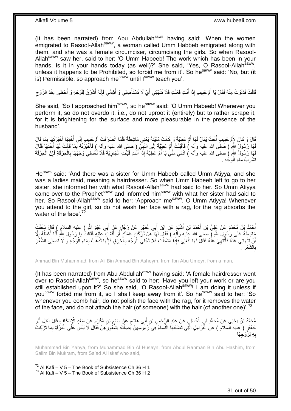(It has been narrated) from Abu Abdullah<sup>asws</sup> having said: 'When the women emigrated to Rasool-Allah<sup>saww</sup>, a woman called Umm Habbeb emigrated along with them, and she was a female circumciser, circumcising the girls. So when Rasool-Allah<sup>saww</sup> saw her, said to her: 'O Umm Habeeb! The work which has been in your hands, is it in your hands today (as well)?' She said, 'Yes, O Rasool-Allah<sup>saww</sup>, unless it happens to be Prohibited, so forbid me from it'. So he<sup>saww</sup> said: 'No, but (it is) Permissible, so approach mesaww until Isaww teach you'.

قَالَتْ فَدَنَوْتُ مِنْهُ فَقَالَ يَا أُمَّ حَبِيبٍ إِذَا أَنْتِ فَعَلْتِ فَلَا تَنْهَكِي أَيْ لَا تَسْتَأْصِلِي وَ أَشِمِّي فَإِنَّهُ أَشْرَقُ لِلْوَجْهِ وَ أَحْظَى عِنْدَ الزَّوْجِ َ ْ َ ْ اً<br>ا **!** المناسب المستقبل المستقبل المستقبل المستقبل المستقبل المستقبل المستقبل المستقبل المستقبل المستقبل المستقبل الم<br>المستقبل المستقبل المستقبل المستقبل المستقبل المستقبل المستقبل المستقبل المستقبل المستقبل المستقبل المستقبل ال ِ َ ْ َ ا∣<br>ِ∘ِ

She said, 'So I approached him<sup>saww</sup>, so he<sup>saww</sup> said: 'O Umm Habeeb! Whenever you perform it, so do not overdo it, i.e., do not uproot it (entirely) but to rather scrape it, for it is brightening for the surface and more pleasurable in the presence of the husband'.

قَالَ وَ كَانَ لِأُمٍّ حَبِيبٍ أُخْتٌ يُقَالُ لَهَا أُمُّ عَطِيَّةَ وَ كَانَتْ مُقَيِّنَةً يَعْنِي مَاشِطَةً فَلَمَّا انْصَرَفَتْ أُمُّ حَبِيبٍ إِلَى أُخْتِهَا أَخْبَرَتْهَا بِمَا قَالَ ِ  $\frac{1}{2}$ ِ ِ َ لَهَا رَسُولُ النَّهِ ( صَلَّى الله عليه وآله ) فَأَقْبَلَتْ أُمُّ عَطِيَّةَ إِلَى النَّبِيِّ ( صلى الله عليه وآله ) فَأَخْبَرَتْهُ بِمَا قَالَتْ لَمَهَا أَخْتُهَا فَقَالَ ِ ∣∣<br>∶ ا<br>ا َ ِ َ لِهَا رَسُولُ اللَّهِ (صلى الله عليه وأله ) ادْنِي مِنِّي يَا أُمَّ عَطِيَّةَ إِذَا أَنْتِ قَيَّنْتِ الْجَارِيَةَ فَلَا تَغْسِلِي وَجْهََهَا بِالْخِرْقَةِ فَإِنَّ الْخِرْقَةَ ِ ْ َ ا<br>ا ْ ∣ļ ْ **∶** تَشْرَبُ مَاءَ الْوَجْهِ . :<br>ا

He<sup>asws</sup> said: 'And there was a sister for Umm Habeeb called Umm Atiyya, and she was a ladies maid, meaning a hairdresser. So when Umm Habeeb left to go to her sister, she informed her with what Rasool-Allahsaww had said to her. So Umm Atiyya came over to the Prophet<sup>saww</sup> and informed him<sup>saww</sup> with what her sister had said to her. So Rasool-Allah<sup>saww</sup> said to her: 'Approach me<sup>saww</sup>, O Umm Atiyya! Whenever you attend to the girl, so do not wash her face with a rag, for the rag absorbs the water of the face'. $7<sup>2</sup>$ 

أَحْمَدُ بِنُ مُحَمَّدٍ عَنْ عَلِيٍّ بْنِ أَحْمَدَ بْنِ أَشْيَمَ عَنِ ابْنِ أَبِي عُمَيْرٍ عَنْ رَجُلٍ عَنْ أَبِي عَبْدِ اللَّهِ ( عليه السلامِ ) قَالَ دَخَلَتْ َ َ َ َ مَاشِطَةٌ عَلَى رَسُوِلِ اللَّهِ ( صَلى الله عَليه وألْهِ ) فَقَالَ لَمَهَا ۖ هَلْ تَرَكْتِ عَمَلَكٍ أَوْ أَقَمْتَ عَلَيْهِ فَقَالَتْ يَا رَسُولَ اللَّهِ أَنَا أَعْمَلُهُ إِلَّا **∶** ُ َ َ َ َ أَنْ تَتْٰهَانِي عَنْهُ فَأَنْتَهِيَ عَذُهُ فَقَالَ لَهَا افْعَلِي فَإِذَا مُشَطْتِ فَلَا تَجْلِي الْوَجْهَ بِالْخِرَقِ فَإِنَّهَا تَذْهَبُ بِمَاءِ الْوَجْهِ وَ لَا تَصِلِي الشَّغْرَ ا∣<br>ِ∘ِ ْ ِ ْ ِ َ ْ ِ . ِ الشَّعْر ِ ب

Ahmad Bin Muhammad, from Ali Bin Ahmad Bin Asheym, from Ibn Abu Umeyr, from a man,

(It has been narrated) from Abu Abdullah<sup>asws</sup> having said: 'A female hairdresser went over to Rasool-Allah<sup>saww</sup>, so he<sup>saww</sup> said to her: 'Have you left your work or are you still established upon it?' So she said, 'O Rasool-Allah<sup>saww</sup>! I am doing it unless if you<sup>saww</sup> forbid me from it, so I shall keep away from it'. So he<sup>saww</sup> said to her: 'So whenever you comb hair, do not polish the face with the rag, for it removes the water of the face, and do not attach the hair (of someone) with the hair (of another one)<sup>73</sup>

֧֖֧֖֧֧֧֚֚֓֝֝֝֝֝֟֓֝֬֝֓֝֓֟֓֬֝֓֬֝֓֬֝֓֟֓֟֓֟֓֝֬֝֓֝ مُحَمَّدُ بْنُ يَحْيَى عَنْ مُحَمَّدِ بْنِ الْحُسَيْنِ عَنْ عَيْدِ الرَّحْمَنِ بْنِ أَبِي هَاشِمٍ عَنْ سَالِمٍ بْنِ مُكْرَمٍ عَنْ سَعْدِ الْإِسْكَافِ قَالَ سُئِلَ أَبُو<br>محمَّدُ بْنُ يَحْيَى عَنْ مُحَمَّدِ بْنِ الْحُسَيْنِ **∶** ֦֖֧֦֧֦֧֦֝֝֟֝֝֝֝ َ ْ َ جَعْفَرٍ ( عليه السلام ) عَنِ الْقَرَامِلِ الَّتِي تَضَعُهَا النِّسَاءُ فِي رُءُوسيونَ يُصِلْنَهُ بِشُكُورِ هِنَّ فَقَالَ لَا بَأْسَ عَلَى الْمَرْأَةِ بِمَا تَزَيَّنَتْ ِ ِ ْ ِ َّ ْ ِ َ ْ ْ هِ لِزَّوْجِهَا ِ ب

Muhammad Bin Yahya, from Muhammad Bin Al Husayn, from Abdul Rahman Bin Abu Hashim, from Salim Bin Mukram, from Sa'ad Al Iskaf who said,

 $72$  Al Kafi – V 5 – The Book of Subsistence Ch 36 H 1  $^{73}$  Al Kafi – V 5 – The Book of Subsistence Ch 36 H 2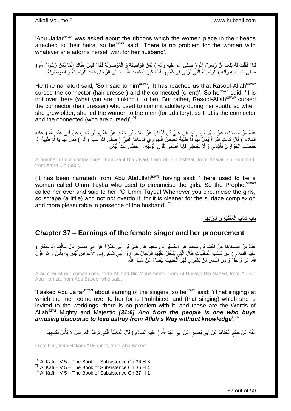'Abu Ja'far<sup>asws</sup> was asked about the ribbons which the women place in their heads attached to their hairs, so he<sup>asws</sup> said: 'There is no problem for the woman with whatever she adorns herself with for her husband'.

قَالَ فَقُلْتُ لَمُه بَلَغَنَا أَنَّ رَسُولَ اللَّهِ ( صلى الله عليه وألمه ) لَعَنَ الْوَاصِلَةَ وَ الْمَوْصُولَةَ فَقَالَ لَبْسَ هُذَاكَ إِنَّمَا لَعَنَ رَسُولُ اللَّهِ ( ْ ْ اً ْ ֦֧֦֧֦֦֦֦֦֦֦֦֦֦֦֧֦ׅ֦ׅ֦֧ׅ֦֧֦֧ׅ֧֦֧ׅ֧֦֧ׅ֧ׅ֧֦֧֦֧֦֧֦֧֦֧֦֧֦֧֧֦֧֦֚֓֕֝֘֝֝֝֘֜֜֓֜֓֜֓֓֜֓֜֓֜ صلى الله عليه وآله ) الْوَاصِلَةَ الَّذِي تَزْنِي فِي شَبَابِهَا فَلَمَّا كَبِرَتْ قَادَتِ النِّسَاءَ إِلَى الرِّجَالِ فَتِلْكَ الْوَاصِلَةُ وَ الْمَوْصُولَةُ . ْ ْ ْ ْ ِ ِ ِ َّ

He (the narrator) said, 'So I said to him<sup>asws</sup>, 'It has reached us that Rasool-Allah<sup>saww</sup> cursed the connector (hair dresser) and the connected (client)'. So he<sup>asws</sup> said: 'It is not over there (what you are thinking it to be). But rather, Rasool-Allah<sup>saww</sup> cursed the connector (hair dresser) who used to commit adultery during her youth, so when she grew older, she led the women to the men (for adultery), so that is the connector and the connected (who are cursed)'.<sup>74</sup>

َ عِدَّةٌ مِنْ أَصْحَابِنَا عَنْ سَهْلِ بْنِ زِيَادٍ عَنْ عَلِيٍّ بْنِ أَسْبَاطٍ عَنْ خَلَفٍ بْنِ حَمَّادٍ عَنْ غَرْو بْنِ ثَابِتٍ عَنْ أَبِي عَبْدِ الشَّرِ ( عِليهِ<br>بِدَعَت مِن أَصْحَابَهِ اُ **∶** ِ َ َ ֢֦֦֦֦֦֦֦֦֦֚֝֝֝֝֝֝ السِلام ) قَالَ كَاَنَتِ امْرَأَةٌ يُقَالُ لَمَا أُمُّ طَيْنِيَةٌ تَخْفِضُ الْجَوَارِيَ فَدَعَاهَا النَّبِيُّ (صلى الله عليه وآله ) فَقَالَ لَّهَا يَا أُمَّ طَيْنَةَ إِذَا ِ ِ ْ ِ<br>ا َ ا<br>استعمال خَفَضْتِ الْجَوَارِيَ فَأَشِمِّي وَ لَا تُجْحِفِي فَإِنَّهُ أَصْفَى لِلَوْنِ الْوَجْهِ وَ أَحْظَى عِنْذَ الْبَعْلِ . ْ ِ َ ِ ْ ْ

A number of our companions, from Sahl Bin Ziyad, from Ali Bin Asbaat, from Khalaf Bin Hammad, from Amro Bin Sabit,

(It has been narrated) from Abu Abdullah $a$ <sup>asws</sup> having said: 'There used to be a woman called Umm Tayba who used to circumcise the girls. So the Prophet<sup>saww</sup> called her over and said to her: 'O Umm Tayba! Whenever you circumcise the girls, so scrape (a little) and not not overdo it, for it is cleaner for the surface complexion and more pleasurable in presence of the husband'.<sup>75</sup>

**ُمَغِّنَي ِة َو ِشَرائِ َها باب َك ْس ِب الْ**

### <span id="page-31-0"></span>**Chapter 37 – Earnings of the female singer and her procurement**

َ عِدَّةٌ مِنْ أَصْحَابِذَا عَنْ أَحْمَدَ بْنِ مُحَمَّدٍ عَنِ الْحُسَيْنِ بْنِ سَعِيدٍ عَنْ عَلِيٍّ بْنِ أَبِي حَمْزَةَ عَنْ أَبِي بَصِيرٍ قَالَ سَأَلْتُ أَبَا جَعْفَرٍ ( َ ْ َ **ِ** ْ ĺ َ عِلِيه السِّلام ) عَنْ كَسْبٍ الْمُغَنِّيَاتٍ فَقَالَ الَّتِي يَدْخُلُّ عَلَّيْهَا الرَّجَالُ حَرَامٍّ وَ ۗ الَّتِي تُدْعَى إِلَى الْأَعْرَاسِ لَّيْسَ بِهِ بَأْسٌ وَ هُوَ قَوَّلُ ِ َّ َّ ْ ِ اللَّهِ عَنَّ وَ جُلٌّ وَ مِنَ النَّاسِ مَنْ يَشْتَرِي لَهْوَ ٱلْحَدِيثِ لِيُضِلَّ عَنْ سَبِيلِ اللَّهِ . ْ **!** 

A number of our companions, form Ahmad Bin Muhammad, from Al Husayn Bin Saeed, from Ali Bin Abu Hamza, from Abu Baseer who said,

'I asked Abu Ja'far<sup>asws</sup> about earning of the singers, so he<sup>asws</sup> said: '(That singing) at which the men come over to her for is Prohibited, and (that singing) which she is invited to the weddings, there is no problem with it, and these are the Words of Allah<sup>azwj</sup> Mighty and Majestic [31:6] And from the people is one who buys *amusing discourse to lead astray from Allah's Way without knowledge*'.<sup>76</sup>

عَنْهُ عَنْ حَكَمٍ الْحَنَّاطِ عَنْ أَبِي بَصِيرٍ عَنْ أَبِي عَبْدِ اللَّهِ ( عليه السلام ) قَالَ الْمُغَنِّيَةُ الَّتِي تَزُفُّ الْعَرَائِسَ لَا بَأْسَ بِكَسْبِهَا َّ ْ َ ْ ٍ ِ ِ ْ ْ

From him, from Hakam Al Hannat, from Abu Baseer,

 $74$  Al Kafi – V 5 – The Book of Subsistence Ch 36 H 3

 $^{75}$  Al Kafi – V 5 – The Book of Subsistence Ch 36 H 4

 $76$  Al Kafi – V 5 – The Book of Subsistence Ch 37 H 1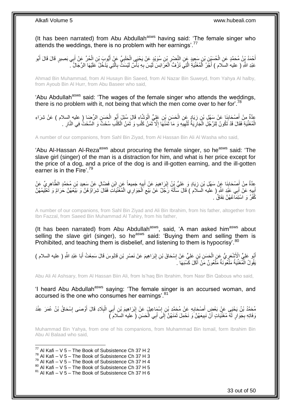(It has been narrated) from Abu Abdullah<sup>asws</sup> having said: 'The female singer who attends the weddings, there is no problem with her earnings'.<sup>77</sup>

أَحْمَدُ يِنُ مُحَمَّدٍ عَنِ الْحُسَيْنِ بْنِ سَعِيدٍ عَنِ النَّصْرِ بْنِ سُوَيْدٍ عَنْ يَحْيَى الْحَلَبِيِّ عَنْ أَيُوبَ بْنِ الْحُرِّ عَنْ أَبِي بَصِيرٍ قَالَ قَالَ أَبُو ْ **ٍ** ْ َ َ ْ َ **∶** عَبْدِ اللَّهِ ( عليه السلام ) أَجْرُ الْمُغَنِّيَةِ الَّتِي تَرُفُّ الْعَرَائِسَ لَيْسَ بِهِ بَأْسٌ لَيْسَتٌ بِالَّتِي يَدْخُلُ عَلَيْهَا الرِّجَالُ ۖ. َّ ِ ا<br>ا ِ ْ َّ ْ َ

Ahmad Bin Muhammad, from Al Husayn Bin Saeed, from Al Nazar Bin Suweyd, from Yahya Al halby, from Ayoub Bin Al Hurr, from Abu Baseer who said,

'Abu Abdullah<sup>asws</sup> said: 'The wages of the female singer who attends the weddings, there is no problem with it, not being that which the men come over to her for'.<sup>78</sup>

عِدَّةٌ مِنْ أُصْحَابِذَا عَنْ سَهْلِ بْنِ زِيَادٍ عَنِ الْحَسَنِ بْنِ عَلِيٍّ الْوَشَاءِ قَالَ سُئِلَ أَبُو الْحَسَنِ الرِّضَا ( عليه السلام ) عَنْ شِرَاءِ<br>وَمَدِّ مَنِ أُصْحَابِذَا عَنْ سَهْلِ بْنِ زِيَادٍ عِنِ الْحَسَن ْ َ ْ ْ ِ **ِ** َ الْمُغَنِّيَةِ فَقَالَ قَدْ تَكُونُ لِلرَّجُلِ الْجَارِيَةُ تُلْهِيَهِ وَ مَا ثَمَنُهَا إِلَّا ثَمَنُ كَلْبٍ وَ ثَمَنُ الْكَلْبِ سُحْتٌ وَ السُّحْتُ فِي النَّارِ . ِ ْ ِ ْ ْ ِ ْ ْ ة<br>أ ْ ة<br>أ ِ ة<br>أ

A number of our companions, from Sahl Bin Ziyad, from Al Hassan Bin Ali Al Washa who said,

'Abu Al-Hassan Al-Reza<sup>asws</sup> about procuring the female singer, so he<sup>asws</sup> said: 'The slave girl (singer) of the man is a distraction for him, and what is her price except for the price of a dog, and a price of the dog is and ill-gotten earning, and the ill-gotten earner is in the Fire'.<sup>79</sup>

عِدَّةٌ مِنْ أَصْحَابِنَا عَنْ سَهْلِ بْنِ زِيَادٍ وَ عَلِيُّ بِنُ إِبْرَاهِيمَ عَنْ أَبِيهٍ جَمِيعاً عَنِ ابْنِ فَضَّالٍ عَنْ سَعِيدِ بْنِ مُحَمَّدٍ الطَّاهِرِيِّ عَنْ ِ **∣** َ ِ **!** َ ِ اَبِيهِ عَنْ أَبِي عَذِّدِ الثَّهِ ( عليه السلَّام ) قَالَ سَأَلَهُ رَجُلٌ عَنْ بَيْعِ الْجَوَارِي الْمُغَّنِّيَاتِ فَقَالَ شِرَاؤُهُنَّ وَ بَيْعُهُنَّ حَرَامٌ وَ تَعْلِيمُهُنَّ ْ ْ ِ لَ َ َ ِ كُفْرٌ وَ اسْتِمَاۚعُهُنَّ نِفَاقٌۢ .

A number of our companions, from Sahl Bin Ziyad and Ali Bin Ibrahim, from his father, altogether from Ibn Fazzal, from Saeed Bin Muhammad Al Tahiry, from his father,

(It has been narrated) from Abu Abdullah<sup>asws</sup>, said, 'A man asked him<sup>asws</sup> about selling the slave girl (singer), so he<sup>asws</sup> said: 'Buying them and selling them is Prohibited, and teaching them is disbelief, and listening to them is hypocrisy'.<sup>80</sup>

ِ أُبُو عَلِيٍّ الْأَشْعَرِ يُّ عَنِ الْحَسَنِ بْنِ عَلِيٍّ عَنْ إِسْحَاقَ بْنِ إِبْرَاهِيمَ عَنْ نَصْنِ بْنِ قَابُوسَ قَالَ سَمِعْتُ أَبَا عَبْدِ اللَّهِ ( عليه السلام )<br>أُبُرِ عَلَيِّ الْأَشْعَرِ يُّ عِنِ الْحَسَنِ بْنِ عَ َ َ ِ ِ ِ ْ يَقُولُ الْمُغَنِّيَةُ مَلْعُونَةٌ مَلْعُونٌ مَنْ أَكَلَ كَسْبَهَا ۚ َ ْ ْ ْ

Abu Ali Al Ashsary, from Al Hassan Biin Ali, from Is'haq Bin Ibrahim, from Nasr Bin Qabous who said,

'I heard Abu Abdullah<sup>asws</sup> saying: 'The female singer is an accursed woman, and accursed is the one who consumes her earnings'.<sup>81</sup>

مُحَمَّدُ بْنُ يَحْيَى عَنْ بَعْضٍ أَصْحَابِهِ عَنْ مُحَمَّدِ بْنِ إِسْمَاعِيلٍ عَنْ إِبْرَاهِيمَ بْنِ أَبِي الْبِلَادِ قَالَ أَوْصَى إِسْحَاقُ بْنُ عُمَرَ عِنْدَ ِ **∶** َ ِ َ **∶** ْ َ ِ وَفَاتِهِ بِجَوَارٍ لَهُ مُغَنِّيَاتٍ أَنْ نَبِيعَهُنَّ وَ نَحْمِلَ ثَمَنَهُنَّ إِلَى أَبِي الْحَسَنِ (َ عليه السلام ّ) ْ َ  $\frac{1}{2}$ ان<br>ا ِ َ ِ

Muhammad Bin Yahya, from one of his companions, from Muhammad Bin Ismail, form Ibrahim Bin Abu Al Balaad who said,

 $^{77}$  Al Kafi – V 5 – The Book of Subsistence Ch 37 H 2

 $^{78}$  Al Kafi – V 5 – The Book of Subsistence Ch 37 H 3

 $79$  Al Kafi – V 5 – The Book of Subsistence Ch 37 H 4

 $80$  Al Kafi – V  $5$  – The Book of Subsistence Ch 37 H 5

 $81$  Al Kafi – V 5 – The Book of Subsistence Ch 37 H 6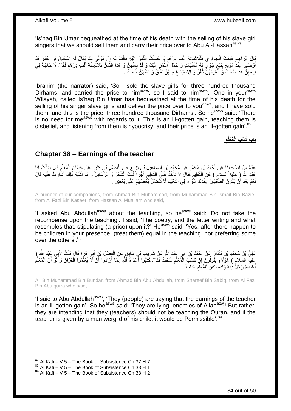'Is'haq Bin Umar bequeathed at the time of his death with the selling of his slave girl singers that we should sell them and carry their price over to Abu Al-Hassan<sup>asws</sup>.

قَالَ إِبْرَاهِيمُ فَبِعْتُ الْجَوَارِيَ بِثَلَاثِمِائَةِ أَلْفِ دِرْهَمِ وَ حَمَلْتُ الثَّمَنَ إِلَيْهِ فَقُلْتُ لِهُ إِنَّ مَوْلِمَي لَكَ يُقَالُ لَهُ إِسْحَاقُ بْنُ عُمَرَ قَدْ **ֽו** اِ ْ لَ ِ َّ ْ ٍ ْ َ ِ ِ ْ **∶** ِ أَوْصَنِّي عِنْدُ مَوْتِهٍ بِبَيْعِ جَوَّالٍ لَهُ مُغَنِّيَاتٍ وَ حَمْلٍ الثَّمَنِ إِلَيْكَ وَ قَدْ بِغُثُهُنَّ وَ هَذَا الثُّمَنُ ثَلاثُمِائَةِ أَلْفِ دِرْهَمٍ فَقَالَ لَا حَاجَةً لِي لَ ِ َّ ِ ِ م ْ َ ر ووجه ا ة<br>مواليد ِ فِيهِ إِنَّ هَذَا سُحْتٌ وَ تَّغْلِيمَهُنَّ كُفْرٌ وَ الِاسْتِمَاعَ مِنْهُنَّ نِفَاقٌ وَ ثَمَنَهُنَّ سُحْتٌ . َ יֲ<br>י

Ibrahim (the narrator) said, 'So I sold the slave girls for three hundred thousand Dirhams, and carried the price to him<sup>asws</sup>, so I said to him<sup>asws</sup>, 'One in your<sup>asws</sup> Wilayah, called Is'haq Bin Umar has bequeathed at the time of his death for the selling of his singer slave girls and deliver the price over to you<sup>asws</sup>, and I have sold them, and this is the price, three hundred thousand Dirhams'. So he<sup>asws</sup> said: 'There is no need for me<sup>asws</sup> with regards to it. This is an ill-gotten gain, teaching them is disbelief, and listening from them is hypocrisy, and their price is an ill-gotten gain'.<sup>82</sup>

> **ِ ُمَعلِّم باب َك ْس ِب الْ**

## <span id="page-33-0"></span>**Chapter 38 – Earnings of the teacher**

عِدَّةٌ مِنْ أَصْحَابِذَا عَنْ أَحْمَدَ بْنِ مُحَمَّدٍ عَنْ مُحَمَّدٍ بْنِ إِسْمَاعِيلَ بْنِ بَزِيعٍ عَنِ الْفَضْلِ بْنِ كَثِيرٍ عَنْ جَسَّانَ الْمُعَلِّمِ قَالَ سَأَلْتُ أَبَا ْ ٍ **ٍ** ِ َ **∣** َ َ ِ ِّ ْ َ ْ َعْبْدِ اللَّهِ إِ عليهِ السلامِ ) عَنِ الْتَّعْلِيمِ فَقَالَ لَا يَأْخُذْ عَلَى التَّعْلِيمِ أَجْرِاً قُلْتُ الشِّعْرُ وَ الرَّسَائِلُ وَ مَا أَشْبُهَ ذَلِكَ أُشَارِطُ عَلَيْهِ قَالَ ْ َ ِ **ٔ** ْ ِ ِ ا<br>ا َ نَعَمْ بَعْدَ أَنْ يَكُونَ الصَّبْيَانُ عِنْدَكَ سَوَاءً فِي النَّعْلِيمِ لَا تُفَضِّلُ بَعْضِهِمْ عَلَى بَعْضٍ م<br>ا ِ

A number of our companions, from Ahmad Bin Muhammad, from Muhammad Bin Ismail Bin Bazie, from Al Fazl Bin Kaseer, from Hassan Al Muallam who said,

'I asked Abu Abdullah<sup>asws</sup> about the teaching, so he<sup>asws</sup> said: 'Do not take the recompense upon the teaching'. I said, 'The poetry, and the letter writing and what resembles that, stipulating (a price) upon it?' He<sup>asws</sup> said: 'Yes, after there happen to be children in your presence, (treat them) equal in the teaching, not preferring some over the others'.<sup>83</sup>

َ عَلِيُّ بْنُ مُحَمَّدِ بْنِ بُنْدَارٍ عِنْ أَحْمَدَ بْنِ أَبِي عَبْدِ اللَّهِ عَنْ شَرِيفٍ بْنِ سَابِقٍ عَنٍ الْفَضْلِ بْنِ أَبِي قُرٍّةَ قَالَ قُلْتُ لِأَبِي عَنْدِ اللَّهِ ( ْ ِ َ ا<br>ا ْ عليه السلام ) هَؤُلَاءِ يَقُولُونَ إِنَّ كَسْبَ اَلْمُعَلِّمِ سُحْتٌ فَقَالَ كَذَبُوا أَعْدَاءُ اَشَّهِ إِنَّمَا أَرَادُوا أَنْ لَا يُعَلِّمُوا الْقُرْآنَ وَ لَوّْ أَنَّ الْمُعَلِّمَ<br>وَمَنَا عِباباتِ كَفَرَ فَقَوْلُونَ إِ ِ َ ْ ِّ َ َ َّ ٌ ِ َ ِّ ْ ِّ ْ أَعْطَاهُ رَجُلٌٰ ذِيَةَ وَلَدِهِ لَكَانَ لِلْمُعََلِّمِ مُبَاحاً . ِ ِّ ْ َ

Ali Bin Muhammad Bin Bundar, from Ahmad Bin Abu Abdullah, from Shareef Bin Sabiq, from Al Fazl Bin Abu qurra who said,

'I said to Abu Abdullah<sup>asws</sup>, 'They (people) are saying that the earnings of the teacher is an ill-gotten gain'. So he<sup>asws</sup> said: 'They are lying, enemies of Allah<sup>azwj</sup>! But rather, they are intending that they (teachers) should not be teaching the Quran, and if the teacher is given by a man wergild of his child, it would be Permissible'.<sup>84</sup>

 $82$  Al Kafi – V 5 – The Book of Subsistence Ch 37 H 7

 $83$  Al Kafi – V  $5$  – The Book of Subsistence Ch 38 H 1

 $84$  Al Kafi – V 5 – The Book of Subsistence Ch 38 H 2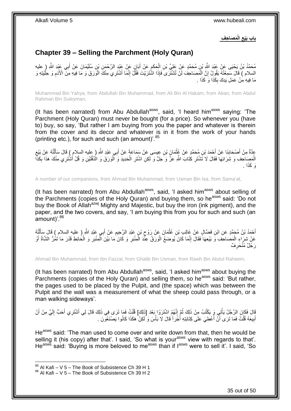**َم َصا ِح ِف الْ باب َبْيع ِ**

# <span id="page-34-0"></span>**Chapter 39 – Selling the Parchment (Holy Quran)**

مُحَمَّدُ بْنُ يَحْيَى عَنْ عَبْدِ اللَّهِ بْنِ مُحَمَّدٍ عَنْ عَلِيٍّ بْنِ الْحَكَمِ عَنْ أَبَانٍ عَنْ عَبْدِ الزَّحْمَنِ بْنِ سُلَيْمَانَ عَنْ أَبِي عَبْدِ اللَّهِ ( عليه **∶** َ َ ِ ْ السلام ) قَالَ سَمِعْتُهُ يَقُولُ إِنَّ الْمََصَاحِفَ لَنْ تُشْتَرَى فَإِذَا اشْتَرَيْتَ فَقُلْ إِنَّمَا أَشْتَرِي مِنْكَ الْوَرَقَ وَ مَا فِيهِ مِنَّ الْأَدَمِ وَ حِلْيَتِهِ وَ َ ِ ْ ِ ْ ِ ْ مَا فِيهِ مِنْ عَمَلِ يَدِكَ بِكَذَا وَ كَذَا . ِ

Muhammad Bin Yahya, from Abdullah Bin Muhammad, from Ali Bin Al Hakam, from Aban, from Abdul Rahman Bin Suleyman,

(It has been narrated) from Abu Abdullah<sup>asws</sup>, said, 'I heard him<sup>asws</sup> saying: 'The Parchment (Holy Quran) must never be bought (for a price). So whenever you (have to) buy, so say, 'But rather I am buying from you the paper and whatever is therein from the cover and its decor and whatever is in it from the work of your hands (printing etc.), for such and such (an amount)'.<sup>85</sup>

عِدَّةٌ مِنْ أَصْحَابِذَا عَنْ أَحْمَدَ بْنِ مُحَمَّدٍ عَنْ عُثْمَانَ بْنِ عِيسَى عَنْ سَمَاعَةَ عَنْ أَبِي عَبْدِ اللَّهِ ( عليه السلام ) قَالَ سَأَلْتُهُ عَنْ بَيْعِ<br>أَمَر عَين حَمَّدَ عَن بَيَّة عَنَدَ عَقَدَ عَقَدَ عَ َ ْ َ ِ ْ َ الْمَصِاحِفِ وَ شِرَائِهَا فَقَالَ لَا تَشْتَرِ كِتَابَ اللَّهِ عَزَّ وَ َجَلَّ وَ لَكِنِ اشْتَرِ الْحَدِيدَ وَ الْوَرَقَ وَ الْذَفَّتَيْنِ وَ قُلْ أَشْتَرِي مِنْكَ هَذَا بِكَذَّا ْ ْ ِ ِ ْ **∶** َ ا . َو َكذَ

A number of our companions, from Ahmad Bin Muhammad, from Usman Bin Isa, from Sama'at,

(It has been narrated) from Abu Abdullah<sup>asws</sup>, said, 'I asked him<sup>asws</sup> about selling of the Parchments (copies of the Holy Quran) and buying them, so he<sup>asws</sup> said: 'Do not buy the Book of Allah<sup>azwj</sup> Mighty and Majestic, but buy the iron (ink pigment), and the paper, and the two covers, and say, 'I am buying this from you for such and such (an amount)<sup>'.86</sup>

أَحْمَدُ بْنُ مُحَمَّدٍ عَنِ ابْنِ فَضَّالٍ عَنْ غَالِبٍ بْنِ عُثْمَانَ عَنْ رَوْحٍ بْنٍ عَبْدِ الرَّحِيمِ عَنْ أَبِي عَبْدِ اللَّهِ ( عليه السلام ) قَالَ سَأَلْتُهُ<br>. َ ِ ِ **ٔ** َ ْ َ عَنْ شِرَاءِ الْمَصَاحِفِ وَ بَيْعِهَا فَقَالَ إِنَّمَا كَانَ يُوضَعُ الْوَرَقُ عِنّْدَ الْمِنْبَرِ وَ كَانَ مَا بَيْنَ الْمِنْبَرِ وَ الْحَائِطِ قَدْرَ مَا تَمُرُّ الشَّاةُ أَوْ ْ ِ ْ ْ ِ َ ْ ِ رَجُلٌ مُنْحَرِفٌ ِ

Ahmad Bin Muhammad, from Ibn Fazzal, from Ghalib Bin Usman, from Rawh Bin Abdul Raheem,

(It has been narrated) from Abu Abdullah $a<sup>asws</sup>$ , said, 'I asked him $a<sup>asws</sup>$  about buying the Parchments (copies of the Holy Quran) and selling them, so he<sup>asws</sup> said: 'But rather, the pages used to be placed by the Pulpit, and (the space) which was between the Pulpit and the wall was a measurement of what the sheep could pass through, or a man walking sideways'.

قَالَ فَكَانَ الرَّجُلُ يَأْتِي وَ يَكْتُبُ مِنْ ذَلِكَ ثُمَّ إِنَّهُمُ اشْتَرَوْا بَعْدَ [ذَلِكَ] قُلْتُ فَما تَرَى فِي ذَلِكَ قَالَ لِي أَشْتَرِي أَحَبُّ إِلَيَّ مِنْ أَنْ<br>وَيَدَفِّزُوْ الْمَرْضُوْلُ يَأْتِي وَجَهَدَتُ ِ ا ماہ<br>سال ْ َ لَ ِ َ َ ْ أَبِيعَهُ قُلْتُ فَمَا تَرَى أَنْ أُعْطِيَ عَلَى كِتَابَتِهِ أَجْرٍ أَ قَالَ لَا بَأْسَ وَ لَكِنْ هَكَذَا كَانُوا يَصْنَعُونَ . ،<br>ا َ .<br>ا اً ْ **!** َ

He<sup>asws</sup> said: 'The man used to come over and write down from that, then he would be selling it (his copy) after that'. I said, 'So what is your<sup>asws</sup> view with regards to that'. He<sup>asws</sup> said: 'Buying is more beloved to me<sup>asws</sup> than if l<sup>asws</sup> were to sell it'. I said, 'So

 $85$  Al Kafi – V 5 – The Book of Subsistence Ch 39 H 1

 $86$  Al Kafi – V 5 – The Book of Subsistence Ch 39 H 2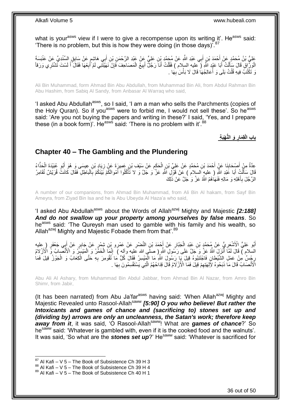what is your<sup>asws</sup> view if I were to give a recompense upon its writing it'. He<sup>asws</sup> said: 'There is no problem, but this is how they were doing (in those days)<sup>'.87</sup>

عَلِيُّ بْنُ مُحَمَّدٍ عَنْ أَحْمَدَ بْنِ أَبِي عَبْدِ اللَّهِ عَنْ مُحَمَّدٍ بِْنِ عَلِيٍّ عَنْ عَبْدَ عَنْ م<br>عَلِيُّ بْنُ مُحَمَّدٍ عَنْ أَحْمَدَ بْنِ أَبِي عَبْدِ اللَّهِ عَنْ مُحَمَّدٍ بِْنِ عَلِيٍّ عَنْ عَلَيْهِ مَا َ َ ֧֖֧֦֧֦֧֦֧֦֚֝֝֝֝֝ الْوَرِّ أَقِ قَالَ سَأَلْتُ أَبَا عَيْدٍ اللَّهِ ( مليه السلام ) فَقُلْتُ أَنَا رَجُلٌّ أَبِيعُ الْمَصَاحِفَ فَإِنْ نَهَيْتَنِّنِي لَمْ أَبِعْهَا فَقَالَ أَ لَسْتَ تَشْتَرِي وَرَقاً ∣ٍ إ ْ ِ َ َ ْ َ ْ َ ْ لَ َ ِ َ لَ وَ تَكْتُبُ فِيهِ قُلْتُ بَلَى وَ أَعَالِجُهَا قَالَ لَا بَأْسَ بِهَا . ْ ِ ْ

Ali Bin Muhammad, form Ahmad Bin Abu Abdullah, from Muhammad Bin Ali, from Abdul Rahman Bin Abu Hashim, from Sabiq Al Sandy, from Anbasar Al Warraq who said,

'I asked Abu Abdullah<sup>asws</sup>, so I said, 'I am a man who sells the Parchments (copies of the Holy Quran). So if you<sup>asws</sup> were to forbid me, I would not sell these'. So he<sup>asws</sup> said: 'Are you not buying the papers and writing in these?' I said, 'Yes, and I prepare these (in a book form)'. He<sup>asws</sup> said: 'There is no problem with it'.  $88$ 

> **َو الُّن ْهَب ِة باب الْقِ َمار ِ**

### <span id="page-35-0"></span>**Chapter 40 – The Gambling and the Plundering**

عِدَّةٌ مِنْ أَصْحَابِنَا عَنْ أَحْمَدَ بْنِ مُحَمَّدٍ عَنْ عَلِيِّ بْنِ الْحَكَمِ عَنْ سَيْفِ بْنِ عَمِيرَةَ عَنْ زِيَادٍ بْنِ عِيسَى وَ هُوَ أَبُو عُبَيْدَةَ الْحَذَّاءُ<br>ِ ِ ِ ْ **∣** َ ْ َ قَالَ سَأَلْتُ أَبَا عَبْدِ اللَّهِ ( عليهٍ السلام ) عَنْ قَوْلِ اللَّهِ عَزّ وَ جَلَّ وَ لا تَأْكُلُوا أَمْوالَكُمْ بَيْنَكُمْ بِالْباطِلِ فَقَالَ كَانَتْ قُرَيْشٌ تُقَامِرُ َ **ٔ** َ ْ ْ ِ الرَّجُلَ بِأَهْلِهِ وَ مَالِهِ فَنَهَاٰهُمُ اللَّهُ عَزَّ وَ ٰجَلَّ عَنْ ذَلِكَ َ **∶** 

A number of our companions, from Ahmad Bin Muhammad, from Ali Bin Al hakam, from Sayf Bin Ameyra, from Ziyad Bin Isa and he is Abu Ubeyda Al Haza'a who said,

'I asked Abu Abdullah<sup>asws</sup> about the Words of Allah<sup>azwj</sup> Mighty and Majestic *[2:188] And do not swallow up your property among yourselves by false means*. So he<sup>asws</sup> said: 'The Qureysh man used to gamble with his family and his wealth, so Allah<sup>azwj</sup> Mighty and Majestic Fobade them from that<sup>'.89</sup>

أَبُو عَلِيٍّ الْأَشْعَرِيُّ عَنْ مُحَمَّدٍ بْنِ عَيْدِ الْجَبَّارِ عَنْ أَحْمَدَ بْنِ النَّضْرِ عَنْ عَمْرِو بْنِ شِمْرٍ عَنْ جَابِرٍ عَنْ أَبِي جَعْفَرٍ (عليه **∶** َ ِ َ ِ ْ ْ السّلام ) قَالَ لَمَّاۤ أَنْزَلَ اللَّهُ عَنَّ وَ حَمْلً عَلَى رَسُولِ اللَّهِ إِ صلَّى الله عَليه وآله ) ۚ إِنَّمَا الْخَمَّرُ وَ الْمَيْسَرِّرُ وَ الْأَنْصَابُ وَّ الْأَزْلاُمُ ْ ِ َ رِجْسٌ مِنْ عَمَلِ الشَّيْطانِ فَاجْتَنِبُوهُ قِيلَ يَإِ رَسُولَ اللَّهِ مَا الْمَيْسِرُ فَقَالَ كُلُّ مَا تُقُومِرَ بِهِ حَتَّى الْكِعَابُ وَ الْجَوْزُ قِيلَ فَمَا **∶** ْ ِ ْ ْ الْأَنْصَابُ قَالَ مَا ذَبَحُوهُ لِأَلِهَتِهِمْ قِبْلَ فَمَا الْأَزْ لَاَمُ قَالَ قِدَاحُهُمُ الَّتِي يَسْتَقْسِمُونَ بِهَا . ِ **∶** َّ

Abu Ali Al Ashary, from Muhammad Bin Abdul Jabbar, from Ahmad Bin Al Nazar, from Amro Bin Shimr, from Jabir,

(It has been narrated) from Abu Ja'far<sup>asws</sup> having said: 'When Allah<sup>azwj</sup> Mighty and Majestic Revealed unto Rasool-Allah<sup>saww</sup> [5:90] O you who believe! But rather the *Intoxicants and games of chance and (sacrificing to) stones set up and (dividing by) arrows are only an uncleanness, the Satan's work; therefore keep*  away from *it*, it was said, 'O Rasool-Allah<sup>saww</sup>! What are games of chance?' So he<sup>saww</sup> said: 'Whatever is gambled with, even if it is the cooked food and the walnuts'. It was said, 'So what are the *stones set up*?' Hesaww said: 'Whatever is sacrificed for

 $87$  Al Kafi – V 5 – The Book of Subsistence Ch 39 H 3

 $88$  Al Kafi – V  $5$  – The Book of Subsistence Ch 39 H 4

<sup>89</sup> Al Kafi – V 5 – The Book of Subsistence Ch 40 H 1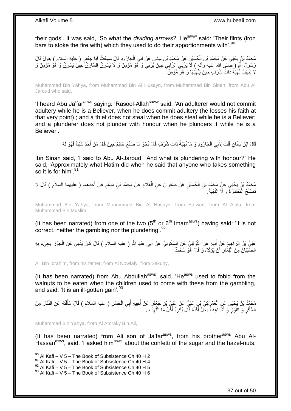their gods'. It was said, 'So what the *dividing arrows*?' He<sup>saww</sup> said: 'Their flints (iron bars to stoke the fire with) which they used to do their apportionments with'.<sup>90</sup>

مُحَمَّدُ بْنُ يَحْيَى عَنْ مُحَمَّدِ بْنِ الْحُسَيْنِ عَنْ مُحَمَّدِ بْنِ سِنَانٍ عَنْ أَبِي الْجَارُودِ قَالَ سَمِعْتُ أَبَا جَعْفَرٍ ( عليه السلام ) يَقُولُ قَالَ َ ْ َ ْ رَسُولُ اللَّهِ (صِّلى الله عليه وَاله ) لاَ يَرْنِي الزَّانِي حِينَ يَّزْنِي وَ َهُوَ مُؤْمِنٌ وَ لاَ يَسْرِقُ السَّارِقُ حِينَ يَسْرِقُ وَ ٰهُوَ مُؤْمِنٌ وَ ِ ِ ِ لَا يَذْهَبُ نُهْبَةً ذَاتَ شَرَفٍ حِينَ يَذْهَبُهَا وَ هُوَ مُؤْمِنٌ

Muhammad Bin Yahya, from Muhammad Bin Al Husayn, from Muhammad Bin Sinan, from Abu Al Jaroud who said,

'I heard Abu Ja'far<sup>asws</sup> saying: 'Rasool-Allah<sup>saww</sup> said: 'An adulterer would not commit adultery while he is a Believer, when he does commit adultery (he losses his faith at that very point),; and a thief does not steal when he does steal while he is a Believer; and a plunderer does not plunder with honour when he plunders it while he is a Believer'.

> قَالَ ابْنُ سِنَانٍ قُلْتُ لِأَبِي الْجَارُودِ وَ مَا نُهْبَةٌ ذَاتُ شَرَفٍ قَالَ نَحْوُ مَا صَنَعَ حَاتِمٌ حِينَ قَالَ مَنْ أَخَذَ شَيْئاً فَهُوَ لَهُ . ْ ْ َ

Ibn Sinan said, 'I said to Abu Al-Jaroud, 'And what is plundering with honour?' He said, 'Approximately what Hatim did when he said that anyone who takes something so it is for him'.<sup>91</sup>

مُحَمَّدُ بْنُ يَحْيَى عَنْ مُحَمَّدٍ بْنِ الْحُسَيْنِ عَنْ صَفْوَانَ عَنِ الْعَلَاءِ عَنْ مُحَمَّدِ بْنِ مُسْلِمٍ عَنْ أَحَدِهِمَا ( عليهما السلام ) قَالَ لَا<br>رَحَدُّهُ بِنُ يَحْيَى عَنْ مُحَمَّدٍ بْنِ الْحُسَيْنِ عَنْ ص َ ֧֖֖֚֚֚֓֝֬֝ ْ ْ ْ تَصْلُحُ الْمُقَامَرَةُ وَ لَا النُّهْبَةُ. ُ

Muhammad Bin Yahya, from Muhammad Bin Al Husayn, from Safwan, from Al A'ala, from Muhammad Bin Muslim,

(It has been narrated) from one of the two  $(5<sup>th</sup>$  or  $6<sup>th</sup>$  Imam<sup>asws</sup>) having said: 'It is not correct, neither the gambling nor the plundering'.<sup>92</sup>

عَلِيُّ بْنُ إِبْرَاهِيمَ عَنْ أَبِيهِ عَنِ النَّوْفَلِيِّ عَنِ السَّكُونِيِّ عَنْ أَبِي عَبْدِ اللَّهِ ( عليه السلام ) قَالَ كَانَ يَنْهَى عَنِ الْجَوْزِ يَجِيءُ بِهِ <u>֖֚֚֚֓</u> ِ ْ َ  $\frac{1}{2}$ **∶** الصِّبْيَانُ مِنَ الْقِمَارِ أَنْ يُؤْكَلَ وَ قَالَ هُوَ سُحْتٌ . َ ِ ْ

Ali Bin Ibrahim, from his father, from Al Nowfaly, from Sakuny,

(It has been narrated) from Abu Abdullah $a<sup>asws</sup>$ , said, 'He $a<sup>asws</sup>$  used to fobid from the walnuts to be eaten when the children used to come with these from the gambling, and said: 'It is an ill-gotten gain'. $93$ 

مُحَمَّدُ بْنُ يَجْيَى عَنِ الْعَمْرِكِيِّ بْنِ عَلِيٍّ عَنْ عَلِيٍّ بْنِ جَعْفَرٍ عَنْ أُخِيهِ أَبِي الْحَسَنِ ( عليه السلام ) قَالَ سَأَلْتُهُ عَنِ النَّثَارِ مِنَ<br>مُحَمَّدُ بْنُ يَجْيَى عَنِ الْغَمْرِكِيِّ بْنِ مُعْلِيٍ ْ ِ َ ْ َ ْ َ َ السُّكَّرِ وَ اللَّوْزِ وَ أَشْبَاهِهِ أَ يَحِلُّ أَكْلُهُ قَالَ يُكْرَهُ أَكِّلُ مَا انْتُهِبَ . ِ َ ا<br>ا َ ۔<br>ا َ ِ َّ ِ

Muhammad Bin Yahya, from Al Amraky Bin Ali,

1

(It has been narrated) from Ali son of Ja'far<sup>asws</sup>, from his brother<sup>asws</sup> Abu Al-Hassan<sup>asws</sup>, said, 'I asked him<sup>asws</sup> about the confetti of the sugar and the hazel-nuts,

 $90$  Al Kafi – V 5 – The Book of Subsistence Ch 40 H 2

 $91$  Al Kafi – V 5 – The Book of Subsistence Ch 40 H 4

 $^{92}$  Al Kafi – V 5 – The Book of Subsistence Ch 40 H 5

 $93$  Al Kafi – V 5 – The Book of Subsistence Ch 40 H 6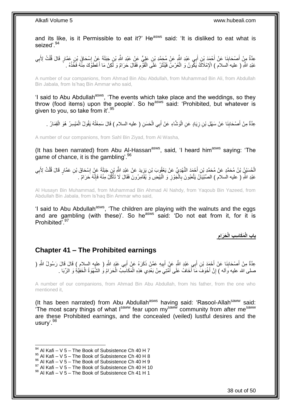and its like, is it Permissible to eat it?' He<sup>asws</sup> said: 'It is disliked to eat what is seized'.<sup>94</sup>

عِدَّةٌ مِنْ أَصْحَابِنَا عَنْ أَحْمَدَ بْنِ أَبِي عَبْدِ اللَّهِ عَنْ مُحَمَّدِ بْنِ عَلِيٍّ عَنْ عَبْدِ اللَّهِ بْنِ جَبَلَةَ عَنْ إِسْحَاقَ بْزِ، عَمَّارٍ قَالَ قُلْتُ لِأَبِي َ **∣** َ ِ ْ ِ عَبْدِ اللَّهِ ( عليه السلام ) الْإِمْلَاكَ يَكُّونُ وَ الْعُرْسُ فَيُنْثَرُ عَلَى الْقَوّْمِ فَقَالَ حَرَامٌ وَ لَكِنْ مَا أَعْطَوْكَ مِنْهُ فَخُذْهُ . **ٔ** َ ِ ْ َ ْ

A number of our companions, from Ahmad Bin Abu Abdullah, from Muhammad Bin Ali, from Abdullah Bin Jabala, from Is'haq Bin Ammar who said,

'I said to Abu Abdullah<sup>asws</sup>, 'The events which take place and the weddings, so they throw (food items) upon the people'. So he<sup>asws</sup> said: 'Prohibited, but whatever is given to you, so take from it'.<sup>95</sup>

ِ عِدَّةٌ مِنْ أَصْحَابِنَا عَنْ سَهْلِ بْنِ زِيَادٍ عَنِ الْوَشَاءِ عَنْ أَبِي الْحَسَنِ ( عليه السلام ) قَالَ سَمِعْتُهُ يَقُولُ الْمَيْسِرُ ۚ هُوَ الْقِمَارُ ۚ . َ :<br>ا ِ **∣** َ ْ ْ ْ

A number of our companions, from Sahl Bin Ziyad, from Al Washa,

(It has been narrated) from Abu Al-Hassan<sup>asws</sup>, said, 'I heard him<sup>asws</sup> saying: 'The game of chance, it is the gambling'.<sup>96</sup>

الْحُسَيْنُ بْنُ مُحَمَّدٍ عَنْ مُحَمَّدِ بْنِ أَحْمَدَ النَّهْدِيِّ عَنْ يَعْقُوبَ بْنِ يَزِيدَ عَنْ عَبْدِ الثَّهِ بِّي جَبَلَةَ عَنْ إِسْحَاقَ بْنِ عَمَّارٍ قَالَ قُلْتُ لِأَبِي ِ َ ِ ْ ِ ْ عَبْدِ اللَّهِ ( عليه السلام ) الصِّبْيَاَنُ يَلْعَبُونَ بِالْمَوْزِ وَ الْبَيْضِ وَ يُقَامِرُونَ فَقَالَ لَا تَأْكُلْ مِنْهُ فَإِنَّهُ حَرَامٌ . **∶** ْ ِ :<br>أ ْ **∶** 

Al Husayn Bin Muhammad, from Muhammad Bin Ahmad Al Nahdy, from Yaqoub Bin Yazeed, from Abdullah Bin Jabala, from Is'haq Bin Ammar who said,

'I said to Abu Abdullah<sup>asws</sup>, 'The children are playing with the walnuts and the eggs and are gambling (with these)'. So he<sup>asws</sup> said: 'Do not eat from it, for it is Prohibited<sup>797</sup>

> **ِ َح َرام َم َكا ِس ِب الْ باب الْ**

## <span id="page-37-0"></span>**Chapter 41 – The Prohibited earnings**

عِدَّةٌ مِنْ أَصْحَابِنَا عَنْ أَحْمَدَ بْنِ أَبِي عَبْدِ اللَّهِ عَنْ أَبِيهِ عَمَّنْ ذَكَرَهُ عَنْ أَبِي عَبْدِ اللَّهِ ( عليه السلام ) قَالَ قَالَ رَسُولُ اللَّهِ ( َ ِ َ ِ َ َ ْ صلى الله عليه وَاله ) إِنَّ أُخْوَفَ مَا أَخَافُ عَلَى أُمَّتِيَ مِنْ بَعْدِي هَذِهِ الْمَكَاسِبُ الْحَرَامُ وَ اللَّمَّهُوَةُ الْخَفِيَّةِ وَ الرِّبَا . ْ ْ ُ َ َ ֧<u>׀</u>

A number of our companions, from Ahmad Bin Abu Abdullah, from his father, from the one who mentioned it,

(It has been narrated) from Abu Abdullah<sup>asws</sup> having said: 'Rasool-Allah<sup>saww</sup> said: The most scary things of what Isaww fear upon my<sup>saww</sup> community from after me<sup>saww</sup> are these Prohibited earnings, and the concealed (veiled) lustful desires and the usury'.<sup>98</sup>

 $94$  Al Kafi – V 5 – The Book of Subsistence Ch 40 H 7

 $95$  Al Kafi – V  $5$  – The Book of Subsistence Ch 40 H 8

<sup>96</sup> Al Kafi – V 5 – The Book of Subsistence Ch 40 H 9

 $^{97}$  Al Kafi – V 5 – The Book of Subsistence Ch 40 H 10

 $98$  Al Kafi – V 5 – The Book of Subsistence Ch 41 H 1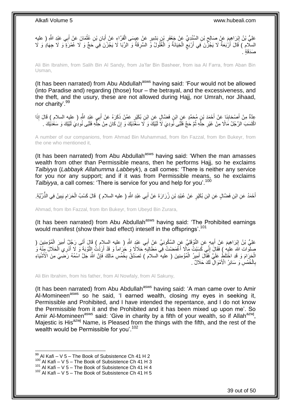عَلِيُّ بْنُ إِبْرَاهِيِمَ عَنْ صَالِحٍ بْنِ السِّنْدِيِّ عَنْ جَعْفَرِ بْنِ بَشِيرٍ عَنْ عِيسَى الْفَرَّاءِ عَنْ أَبَانِ بْنِ عُثْمَانَ عَنْ أَبِي عَبْدِ اللَّهِ ( عليه َ ْ **∶** ِ ِ َ السلّام ) قَالَ أَرْبَعَةٌ لَا يَجُزَّنَ فِي أَرْبَعٍ الْخِيَانَةُ وَ الْغُلُولُ وَّ السَّرِقَةُ وَ الرِّبَا لَا يَجُزْنَ فِي حَجٍّ وَ لَا عُمْرَةٍ وَ لَا جِهَادٍ وَ لَا ِ ْ ْ ٍ َ صَدَقَة

Ali Bin Ibrahim, from Salih Bin Al Sandy, from Ja'far Bin Basheer, from isa Al Farra, from Aban Bin Usman,

(It has been narrated) from Abu Abdullah<sup>asws</sup> having said: 'Four would not be allowed (into Paradise and) regarding (those) four – the betrayal, and the excessiveness, and the theft, and the usury, these are not allowed during Hajj, nor Umrah, nor Jihaad, nor charity'.<sup>99</sup>

عِّدَّةٌ مِنْ أَصْحَابِنَا عَنْ أَحْمَدَ بْنِ مُحَمَّدٍ عَنِ ابْنِ فَضَّالٍ عَنِ ابْنِ بُكَيْرٍ عَمَّنْ ذَكَرَهُ عَنْ أَبِي عَيْدِ اللَّهِ ( عليه السلام ) قَالَ إِذَا َ **∣** َ اكْتَسَبَ الرَّجُلُ مَالًا مِنْ غَيْرِ حِلَّهِ ثُمَّ حَجَّ فَلَّتَى نُودِيَ لَا لَّبَيْكَ وَ لَا سَعْدَيْكَ وَ إِنْ كَانَ مِنْ حِلَّهِ فَلَبًى نُودِيَ لَبَيْكَ وَ سَعْدَيْكَ . ِّ ِ ٔ.<br>ـ ِّ ِ

A number of our companions, from Ahmad Bin Muhammad, from Ibn Fazzal, from Ibn Bukeyr, from the one who mentioned it,

(It has been narrated) from Abu Abdullah<sup>asws</sup> having said: 'When the man amasses wealth from other than Permissible means, then he performs Hajj, so he exclaims *Talbiyya* (*Labbayk Allahumma Labbeyk*), a call comes: 'There is neither any service for you nor any support; and if it was from Permissible means, so he exclaims *Talbiyya*, a call comes: 'There is service for you and help for you'.<sup>100</sup>

أَحْمَدُ عَنِ ابْنِ فَضَّالٍ عَنِ ابْنِ بُكَيْرٍ عَنْ عُبَيْدِ بْنِ زُرَارَةَ عَنْ أَبِي عَبْدِ اللَّهِ ( عليه السلام ) قَالَ كَسْبُ الْحَرَامِ يَبِينُ فِي الذَّرِّيَّةِ. َ َ ِ ِ ْ

Ahmad, from Ibn Fazzal, from Ibn Bukeyr, from Ubeyd Bin Zurara,

(It has been narrated) from Abu Abdullah<sup>asws</sup> having said: 'The Prohibited earnings would manifest (show their bad effect) inteself in the offsprings'.<sup>101</sup>

عَلِيُّ بْنُ إِبْرَاهِيمَ عَنْ أَبِيهٍ عَنِ النَّوْفَلِيِّ عَنٍ السَّكُونِيِّ عَنْ أَبِي عَبْدٍ اللَّهِ ( عليه السلام ) قَالَ أَتَى رَجُلٌ أَمِيرَ الْمُؤْمِنِينَ ( **!** َ ِ ْ َ َ صلوات الله عليه ) فَقَالَ إِنِّي كَسَبْتُ مَآلًا أَغْمَضْتُ فِي مَطَالِبِهِ حَلَالًا وَ حَرَاماً وَ قَدْ أَرَدْتُ التَّوْبَةَ وَ لَا أُدْرِي الْحَلَالَ مِنْهُ وَ<br>وَمَا الْقَرْبَةَ وَ لَا أُدْرِي الْحَلَالَ مِنْهُ وَأَوْسَ ِ ْ َ اُ **∶** َ الْجَرَامَ وَ قَدِ اخْتَلَطُ عَلَيَّ فَقَالَ أَمِيرُ الْمُؤْمِنِينَ ( عليه السلامَ ) تَصَدَّقْ بِخُمُسِ مَالِكَ فَإِنَّ اللَّهَ جَلَّ اسْمُهُ رَضِيَ مِنَ الْأَشْيَاءِ ِ **∶** ْ َ بِالْخُمُسِ ۖ وَ سَائِرُ الْأَمْوَالِّ لَكَ حَلَالٌ ۚ ـ **∶** 

Ali Bin Ibrahim, from his father, from Al Nowfaly, from Al Sakuny,

(It has been narrated) from Abu Abdullah<sup>asws</sup> having said: 'A man came over to Amir Al-Momineen<sup>asws</sup> so he said, 'I earned wealth, closing my eyes in seeking it, Permissible and Prohibited, and I have intended the repentance, and I do not know the Permissible from it and the Prohibited and it has been mixed up upon me'. So Amir Al-Momineen<sup>asws</sup> said: 'Give in charity by a fifth of your wealth, so if Allah<sup>azwj</sup>, Majestic is His<sup>azwj</sup> Name, is Pleased from the things with the fifth, and the rest of the wealth would be Permissible for you'.<sup>102</sup>

 $99$  Al Kafi – V 5 – The Book of Subsistence Ch 41 H 2

 $100$  Al Kafi – V 5 – The Book of Subsistence Ch 41 H 3

<sup>101</sup> Al Kafi – V 5 – The Book of Subsistence Ch 41 H 4

 $102$  Al Kafi – V 5 – The Book of Subsistence Ch 41 H 5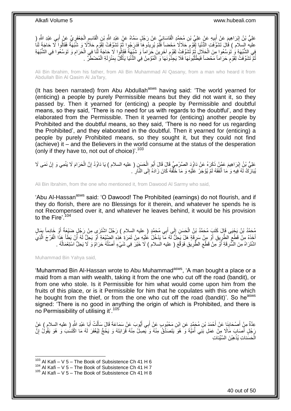عَلِيُّ بْنُ إِبْرَاهِيمَ عَنْ أَبِيهِ عَنْ عَلِيِّ بْنِ مُحَمَّدٍ الْقَاسَانِيِّ عَنْ رَجُلٍ سَمَّاهُ عَنْ عَبْدِ اللَّهِ الصَّلَّامِ الْحَعْفَرِيِّ عَنْ أَبِي عَبْدِ الثَّهِ ( ْ **!** َ ِ َ ِ ْ ِ ْ ֧֚֚֓֝֝֓֝֬֝ عليه السلام ) قَالَ تَشَوَّفَتِ الدُّنْيَا لِقَوْمِ حَلاَلًا مَحْضاً فَلَّمْ يُرِيدُوهِا فَدَرَجُوٍا ثُمَّ تَشَوَّفَتْ لِقَوْمِ حَلَاَلًا وَ شُبْهَةً فَقَالُوا لَّا حَاجَةَ لَنَا  $\ddot{\phantom{0}}$ ِ ٍ َفِي الشُّبْهَةِ وَ تَوَسَّعُوا مِنَ الْحَلَالِ ثُمَّ تُّشَوَّفَتْ لِقَوْمِ آخَرِينَ حَرَاماً وَ شُبْهَةً فَقَالُوا لَا حَاجَةَ لَّذَا فِي الْحَرَامِ وَ تَوَسَّعُوا فِي الشُّبْهَةِ ِ ٍ ُ ْ ِ ْ ثُمَّ تَشَوَّفَتْ لِقَوْمٍ حَرَاماً مَحْضاً فَيَطْلُبُونَهَا فَلَا يَجِّدُونَهَا َوَ الْمُؤْمِنُ فِي الدُّنْيَا يَأْكُلُ بِمَنْزِلَةِ الْمُضْطَرِّ ۚ . اً<br>ا ٍ ُ ْ لَ ِ ِ ْ ْ

Ali Bin Ibrahim, from his father, from Ali Bin Muhammad Al Qasany, from a man who heard it from Abdullah Bin Al Qasim Al Ja'fary,

(It has been narrated) from Abu Abdullah<sup>asws</sup> having said: 'The world yearned for (enticing) a people by purely Permissible means but they did not want it, so they passed by. Then it yearned for (enticing) a people by Permissible and doubtful means, so they said, 'There is no need for us with regards to the doubtful', and they elaborated from the Permissible. Then it yearned for (enticing) another people by Prohibited and the doubtful means, so they said, 'There is no need for us regarding the Prohibited', and they elaborated in the doubtful. Then it yearned for (enticing) a people by purely Prohibited means, so they sought it, but they could not find (achieve) it – and the Believers in the world consume at the status of the desperation (only if they have to, not out of choice)'.<sup>103</sup>

ِ َم َعلِ ُّي ْب ُن إ َح َرا َّن ال َح َس ِن ) عليه السالم ( َيا َداُوُد إ ُبو ال َك َرهُ َع ْن َداُوَد ال َّص ْر ِم ِّي َقا َل َقا َل أ َم َع َّم ْن ذَ ْن َن َمى ََل ْب َرا ِهي ِمي َو إ ََل َينْ ْ ِ ْ َ ِ يُبَارَكُ لَهُ فِيهِ وَ مَا أَنْفَقَهُ لَمْ يُؤْجَرْ عَلَيْهِ وَ مَا خَلْفَهُ كَانَ زَادَهُ إِلَى النَّاَرِ ۚ . ِ َّ َ ِ

Ali Bin Ibrahim, from the one who mentioned it, from Dawood Al Sarmy who said,

'Abu Al-Hassan<sup>asws</sup> said: 'O Dawood! The Prohibited (earnings) do not flourish, and if they do florish, there are no Blessings for it therein, and whatever he spends he is not Recompensed over it, and whatever he leaves behind, it would be his provision to the Fire'.<sup>104</sup>

مُحَمَّدُ بْنُ يَجْيَى قَإِلَ كَتَبٍ مُحَمَّدُ بْنُ الْحَسَنِ إِلَى أَبِي مُحَمَّدٍ ( عليه السِلام ) رَجُلٌ اشْتَرَى مِنْ رَجُلٍ ضَيْعَةً أَوْ خَادِماً بِهَالٍ<br>يَهَذَهُ بَنُ يَجْيَى قَإِلَ كَتَبٍ مُحَمَّدُ بْنُ الْحَسَنِ ب َ ∣∣<br>; ْ ِ َ َ أَخَذَهُ مِنْ قَطْعِ الطَّرِيقِ أَوْ مِنْ سَرِقَةٍ هَلْ يَجِلُّ لَّهُ مَا يَدْخُلُ عُلَيْهِ مِنْ ثَمَرَةٍ فِذِهِ الضَّيْعَةِ أَوْ يَجِلُّ لَهُ أَنْ يَطَأَ هَذَا الْفَرْجَ الَّذِيَّ َ ِ َ ِ ِ َّ ْ َ َ اشْتَرَاهُ مِنَ السَّرِقَةِ أَوْ مِنْ قَطْعِ الطَّرِيقِ فَوَقَّعَ ( عليه السلام ) لَا خَيْرَ فِي شَيْءٍ أَصْلُهُ حَرَامٌ وَ لَا يَحِلُّ اسْتِعْمَالُهُ . **∶** ِ َ **∶** ُ ُ َ

Muhammad Bin Yahya said,

1

'Muhammad Bin Al-Hassan wrote to Abu Muhammad<sup>asws</sup>, 'A man bought a place or a maid from a man with wealth, taking it from the one who cut off the road (bandit), or from one who stole. Is it Permissible for him what would come upon him from the fruits of this place, or is it Permissible for him that he copulates with this one which he bought from the thief, or from the one who cut off the road (bandit)'. So he<sup>asws</sup> signed: 'There is no good in anything the origin of which is Prohibited, and there is no Permissibility of utilising it'.<sup>105</sup>

عِدَّةٌ مِنْ أَصْحَابِنَا عَنْ أَحْمَدَ بْنِ مُجَمَّدٍ عَنِ ابْنِ مَحْبُوبٍ عَنْ أَبِي أَيُّوبَ عَنْ سَمَاعَةَ قَالَ سَأَلْتُ أَبَا عَبْدِ اللَّهِ ( عليه السلام ) عَنْ َ َ َ **∣** َ َ ْ َ رَجُٰلٍ أَصَابَ مَالًا مِنْ عَمَلِ بَنِي أُمَيَّةَ وَ هُوَ يَتَصَدَّقُ مِنْهُ وَ يَصِلُ مِنْهُ قَرَابَتَهُ وَ يَحُجُّ لِيُغْفَرَ لَهُ مَا اكْتَسَٰبَ وَ هُوَ يَقُولُ إِنَّ ا<br>ا ِ الْحَسَناتِ يُذهِبْنَ السَّيِّئاتِ **ٔ** ْ

 $103$  Al Kafi – V 5 – The Book of Subsistence Ch 41 H 6

 $^{104}$  Al Kafi – V 5 – The Book of Subsistence Ch 41 H 7

 $105$  Al Kafi – V 5 – The Book of Subsistence Ch 41 H 8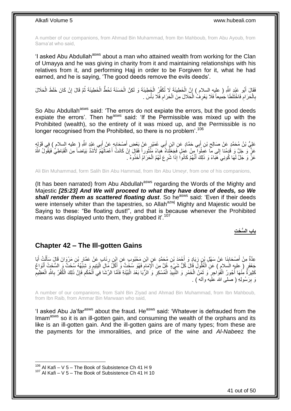A number of our companions, from Ahmad Bin Muhammad, from Ibn Mahboub, from Abu Ayoub, from Sama'at who said,

'I asked Abu Abdullah<sup>asws</sup> about a man who attained wealth from working for the Clan of Umayya and he was giving in charity from it and maintaining relationships with his relatives from it, and performing Hajj in order to be Forgiven for it, what he had earned, and he is saying, 'The good deeds remove the evils deeds'.

ْ فَقَالَ أَبُو عَبْدِ اللَّهِ ( عليه السلام ) إِنَّ الْخَطِيئَةَ لَا تُكَفِّرُ الْخَطِيئَةَ وَ لَكِنَّ الْحَسَنَةَ تَحُطُّ الْخَطِيئَةَ ثُمَّ قَالَ إِنْ كَانَ خَلَطَ الْحَلَالَ ْ ِ َ ْ ِ ُ ْ ْ بِالْحَرَام فَاخْتَلَطَا جَمِيعاً فَلَا يَعْرِفُ الْحَلَالَ مِنَ الْحَرَام فَلَا بَأْسَ . ْ ِ ْ ا<br>ا ِ **ُ** ْ ِ

So Abu Abdullah<sup>asws</sup> said: 'The errors do not expiate the errors, but the good deeds expiate the errors'. Then he<sup>asws</sup> said: 'If the Permissible was mixed up with the Prohibited (wealth), so the entirety of it was mixed up, and the Permissible is no longer recognised from the Prohibited, so there is no problem'.<sup>106</sup>

عَلِيُّ بْنُ مُحَمَّدٍ عَنْ صَالِحٍ بْنِ أَبِي حَمَّادٍ عَنِ ابْنِ أَبِي عُمَيْرٍ عَنْ بَعْضِ أَصْحَابِهِ عَنْ أَبِي عَبْدِ اللَّهِ ( عليه السلام ) فِي قَوْلِهِ<br>. َ ֦֧<u>֓</u> َ َ َ ِ عَزَّ وَ جَلَّ وَ قَدْمنا إِلى مَا عَمِلُوا مِنْ عَمَلٍ فَجَعَلْناهُ هَباءً مَنْثُوراً فَقَالَ إِنْ كَانَتْ أَعْمَالُهُمْ لَأَشَدَّ بَيَاضُاً مِنَ الْقَبَاطِيُّ فَيَقُولُ اللَّهُ יֲ<br>י ر دین<br>سال ْ ∣∣<br>∶ ْ ُ َ عَزَّ وَ جَلَّ لَهَا كُونِيَ هَبَاءً وَ ذَلِكَ أَنَّهُمْ كَانُواً إِذَا شُرِعَ لَهُمُ الْحَرَامُ أَخَذُوهُ َ ـ ْ ِ َ

Ali Bin Muhammad, form Salih Bin Abu Hammad, from Ibn Abu Umeyr, from one of his companions,

(It has been narrated) from Abu Abdullah<sup>asws</sup> regarding the Words of the Mighty and Majestic *[25:23] And We will proceed to what they have done of deeds, so We*  shall render them as scattered floating dust. So he<sup>asws</sup> said: 'Even if their deeds were intensely whiter than the tapestries, so Allah<sup>azwj</sup> Mighty and Majestic would be Saying to these: "Be floating dust!", and that is because whenever the Prohibited means was displayed unto them, they grabbed it'.<sup>107</sup>

**باب ال ُّس ْح ِت**

## <span id="page-40-0"></span>**Chapter 42 – The Ill-gotten Gains**

َئا ٍب َع ْن َع ِن ر ِن َم ْحُبو ٍب َع ِن اْب ِن ُم َح َّمٍد َع ِن اْب ْح َمَد ْب َياٍد َو أ ِن ز َنا َع ْن َس ْه ِل ْب ْص َحاب َبا ِم ْن أ ِعَّدةٌ ُت أ ل ِن َم ْرَوا َن َقا َل َسأ ْب َّمار ِ َ **∶** ِ َ َ ْ َ ِ جَعْفَرٍ ( عليه السلام ) عَنِ الْغُلُولَ قَالَ كُلُّ شَيْءٍ غُلَّ مِنَ الْإِمَامَ فَهُوَ سُحْتٌ وَ أَكْلُ مَالِ الْيَتِيمِ وَ شِبْهُهُ سُحْتٌ وَ السُّحْتُ أَنْوَاعٌ ْ َ ِ ْ َ ្ទ្រ كَثِيرَةً مِنْهَا أُجُورُ الْفُوَاجِرِ وَ ثَمَنُ الْخَمْرِ وَ النَّبِيَذِ الْمُسْكِرِ وَ الزِّبَا بَعْدَ الْبَيِّنَةِ فَأَمَّا الرِّشَا فِي اَلْحُكْمِ فَإِنَّ ذَلِكَ الْكُفْرُ بِاللَّهِ الْعَظِيمِ َ ْ **∶** ْ **! ∶** ْ َ ِ ْ اً<br>المسابق ْ ∣ļ ِ ْ ِ ْ ِ رَ بِرَسُولِهِ ( صلَّى الله عليه وألَّه ) . ِ

A number of our companions, from Sahl Bin Ziyad and Ahmad Bin Muhammad, from Ibn Mahboub, from Ibn Raib, from Ammar Bin Marwaan who said,

'I asked Abu Ja'far<sup>asws</sup> about the fraud. He<sup>asws</sup> said: 'Whatever is defrauded from the Imam<sup>asws</sup> so it is an ill-gotten gain, and consuming the wealth of the orphans and its like is an ill-gotten gain. And the ill-gotten gains are of many types; from these are the payments for the immoralities, and price of the wine and *Al-Nabe*ez the

 $106$  Al Kafi – V 5 – The Book of Subsistence Ch 41 H 9

 $107$  Al Kafi – V 5 – The Book of Subsistence Ch 41 H 10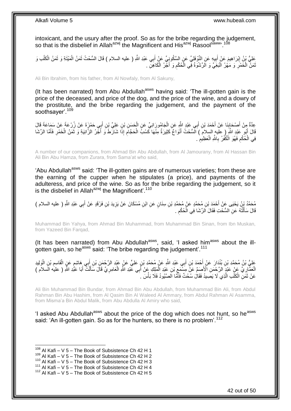intoxicant, and the usury after the proof. So as for the bribe regarding the judgement, so that is the disbelief in Allah<sup>azwj</sup> the Magnificent and His<sup>azwj</sup> Rasool<sup>saww</sup>'.<sup>108</sup>

َعْلِيُّ بِنُ إِبْرَاهِيمَ عَنْ أَبِيهٍ عَنِ النَّوْفَلِيِّ عَنٍ السَّكُونِِيِّ عَنْ أَبِي عَبْدِ اللَّهِ ( عليه السلام ) قَالَ السُّحْتُ ثَمَنُ الْمَيْتَةِ وَ ثَمَنُ الْكَلْبِ وَ **!** َ ِ ْ ْ َ ْ َ َ َمَنٌ الْخَمْرِ وَ مَهْرُ الْبَغِّيِّ وَ الرِّشْوَةُ فِي الْحُكْمِ وَ أَجْرُ الْكَاهِنِّ . ْ َ ِ ا<br>ا :<br>ا ِ ْ َ

Ali Bin Ibrahim, from his father, from Al Nowfaly, from Al Sakuny,

(It has been narrated) from Abu Abdullah<sup>asws</sup> having said: 'The ill-gotten gain is the price of the deceased, and price of the dog, and the price of the wine, and a dowry of the prostitute, and the bribe regarding the judgement, and the payment of the soothsayer'.<sup>109</sup>

ِ عِدَّةٌ مِنْ أَصْحَابِنَا عَنْ أَحْمَدَ بْنِ أَبِي عَبْدِ اللَّهِ عَنِ الْجَامُورَ انِيِّ عَنِ الْحَسَنِ بْنِ عَلِيٍّ بْنِ أَبِي حَمْزَةَ عَنْ زُرْعَةً عَنْ سَمَاعَةَ قَالَ َ ْ ْ َ **∣** َ قَالَ أَبُو عَلِدٍ اللَّهِ ( عليهٍ السلام ) السُّحْتُ أَنْوَاعٌ كَثِيرَةٌ مِنْهَا كَسْبُ الْحَجَّامِ إِذَا شَارَطَ وَ أَجْرُ الزَّانِيَةِ وَ ثَمَنُ الْخَمْرِ فَأَمَّا الرِّشَا َ َ ِ ْ َ َ ِ ْ َ فِي الْحُكْم فَهُوَ الْكُفْرُ بِاللَّهِ الْعَظِيمْ . ِ ْ ِ ِ ْ

A number of our companions, from Ahmad Bin Abu Abdullah, from Al Jamourany, from Al Hassan Bin Ali Bin Abu Hamza, from Zurara, from Sama'at who said,

'Abu Abdullah<sup>asws</sup> said: 'The ill-gotten gains are of numerous varieties; from these are the earning of the cupper when he stipulates (a price), and payments of the adulteress, and price of the wine. So as for the bribe regarding the judgement, so it is the disbelief in Allah<sup>azwj</sup> the Magnificent'.<sup>110</sup>

مُحَمَّدُ بِنُ يَحْيَى عَنْ أَحْمَدَ بْنِ مُحَمَّدٍ عَنْ مُحَمَّدِ بْنِ سِنَانٍ عَنِ ابْنِ مُسْكَانَ عَنْ يَزِيدَ بْنِ فَرْقَدٍ عَنْ أَبِي عَبْدِ اللَّهِ ( عليه السلام )<br>يُرْسَفُ بِنُ يَحْيَى عَنْ أَحْمَدَ بْنِ مُحَمَّدٍ ِ ِ َ قَالَ سَأَلْتُهُ عَنِ السُّحْتِ فَقَالَ الرِّشَا فِي الْحُكْمِ . ِ ْ ֺ֦֦֪֦֧֦֦֖֦֦֪֦֧֦֪֦֧֦֪֪֦֧֦֪֦֪֪֦֧֦֪֦֧֦֧֦֪֦֧֦֧֦֪֪֦֧֪֦֧֪֦֧֦֧֦֧֝֟֟֟֟֟֟֟֟֟֟֟֟֟֟֟֟֟֟֟֟֟֟֓֕֬֟֓֡֟֓֟֓֞֟֟֓֞֟֟֟֟֟֟֟֩֓֞֟֟֟֟֟֟ َ

Muhammad Bin Yahya, from Ahmad Bin Muhammad, from Muhammad Bin Sinan, from Ibn Muskan, from Yazeed Bin Farqad,

(It has been narrated) from Abu Abdullah<sup>asws</sup>, said, 'I asked him<sup>asws</sup> about the illgotten gain, so he<sup>asws</sup> said: 'The bribe regarding the judgement'.<sup>111</sup>

عَلِيُّ بْنُ مُحَمَّدِ بْنِ بُنْدَارَ عَنْ أَحْمَدَ بْنِ أَبِي عَبْدِ اللَّهِ عَنْ مُحَمَّدِ بْنِ عَلِيٍّ عَنْ عَبْدِ الرَّحْمَنِ بْنِ إِبِي مَاشِمٍ عَنِ الْقَاسِمِ بْنِ الْوَلِيدِ َ  $\ddot{\phantom{0}}$ َ ْ ِ ْ الْعَمَّارِيِّ عَنْ عَنْدٍ الرَّحْمَنِ الْأَصَمِّ عَنْ مَسْمَعٍ بْنِ عَنْدِ الْمَلِكِ عَنْ أَبِي عَنْدِ اللَّهِ الْعَامِرِيِّ قَالَ سَأَلْتُ أَبَا عَنُّدِ اللَّهِ ( عليه السلام ) **∶** ْ َ ْ ِ ¦ َ ْ َ عَنْ ثَمَنِ الْكَلْبِ الَّذِي لَا يَصِبِدُ فَقَالَ سُحْتٌ فَأَمَّا الَصَّبُودُ فَلَا بَأْسَ . َّ ْ ْ ْ َ

Ali Bin Muhammad Bin Bundar, from Ahmad Bin Abu Abdullah, from Muhammad Bin Ali, from Abdul Rahman Bin Abu Hashim, from Al Qasim Bin Al Waleed Al Ammary, from Abdul Rahman Al Asamma, from Misma'a Bin Abdul Malik, from Abu Abdulla Al Amiry who said,

'I asked Abu Abdullah<sup>asws</sup> about the price of the dog which does not hunt, so he<sup>asws</sup> said: 'An ill-gotten gain. So as for the hunters, so there is no problem'.<sup>112</sup>

 $108$  Al Kafi – V 5 – The Book of Subsistence Ch 42 H 1

 $109$  Al Kafi – V 5 – The Book of Subsistence Ch 42 H 2

 $110$  Al Kafi – V 5 – The Book of Subsistence Ch 42 H 3

<sup>111</sup> Al Kafi – V 5 – The Book of Subsistence Ch 42 H 4

 $112$  Al Kafi – V 5 – The Book of Subsistence Ch 42 H 5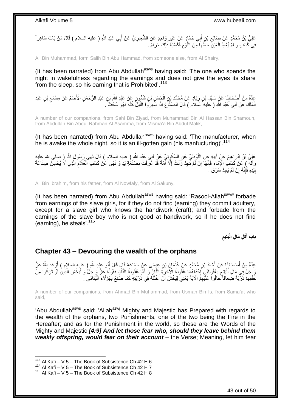عَلِيُّ بْنُ مُحَمَّدٍ عَنْ صَالِحٍ بْنٍ أَبِي حَمَّادٍ عَنْ غَيْرِ وَاحِدٍ عَنِ الشَّعِيرِ يِّ عَنْ أَبِي عَبْدِ اللَّهِ ( عليه السلام ) قَالَ مَنْ بَاتَ سَاهِراً َ  $\zeta$ َ **ٍ** ِ فِي كَسْبٍ وَ لَمْ يُعْطِ الْعَيْنَ حَظَّهَا مِنَ النَّوْمِ فَكَسْبُهُ ذَلِكَ حَرَامٌ . ِ ْ

Ali Bin Muhammad, form Salih Bin Abu Hammad, from someone else, from Al Shairy,

(It has been narrated) from Abu Abdullah<sup>asws</sup> having said: 'The one who spends the night in wakefulness regarding the earnings and does not give the eyes its share from the sleep, so his earning that is Prohibited'.<sup>113</sup>

عِدَّةٌ مِنْ أَصْحَابِنَا عَنْ سَهْلِ بْنِ زِيَادٍ عَنْ مُحَمَّدٍ بْنِ الْحَسَنِ بْنِ شَمُّونٍ عَنْ عَبْدِ اللَّهِ بْنِ عَبْدِ الرَّحْمَنِ الْأَصَمِّ عَنْ مِسْمَعِ بْنِ عَبْدِ **∣** َ ْ ِ ِ الْمَلِكِ عَنْ أَبِي َعَبْدِ اللَّهِ ( عَليه السَلام ) قَالَ الصُّنَّاَعُ إِذَا سَهِرُوَا اللَّيْلَ كُلَّهُ فَهُوَ سُحْتٌ َ َّ َّ ِ َ ْ

A number of our companions, from Sahl Bin Ziyad, from Muhammad Bin Al Hassan Bin Shamoun, from Abdullah Bin Abdul Rahman Al Asamma, from Misma'a Bin Abdul Malik,

(It has been narrated) from Abu Abdullah<sup>asws</sup> having said: 'The manufacturer, when he is awake the whole night, so it is an ill-gotten gain (his manfucturing)<sup>'.114</sup>

عَلِيُّ بْنُ إِبْرَاهِيمَ عَنْ أَبِيهِ عَنِ النَّوْفِلِيِّ عَنِ السَّكُونِيِّ عَنْ أَبِي عَبْدِ اللَّهِ ( عليه السلام ) قَالَ نَهَى رَسُولُ اللَّهِ ( صلى الله عليه َ ِ َ ِ واله ) عَنَّ كَسْبِ الْإِمَاءِ فَإِنَّهَا إِنْ لَمْ تَجِدْ زَنَتْ إِلَّا أَمَةً قَدْ عُرِّفَتْ بِصَنْعَةٍ بَدٍ وَ نَهَى عَنْ كَسْبِ الْغُلَامِ الَّذِي لَا يُحْسِنُ صِنَاعَةً ْ **∶** َ ِ ِ ِ َّ ِ بِيَدِهِ فَإِنَّهُ إِنْ لَمْ يَجِدْ سَرَقَ ۚ. ِ ِ **∣** 

Ali Bin Ibrahim, from his father, from Al Nowfaly, from Al Sakuny,

(It has been narrated) from Abu Abdullah<sup>asws</sup> having said: 'Rasool-Allah<sup>saww</sup> forbade from earnings of the slave girls, for if they do not find (earning) they commit adultery, except for a slave girl who knows the handiwork (craft); and forbade from the earnings of the slave boy who is not good at handiwork, so if he does not find (earning), he steals<sup>'.115</sup>

> **ِ َيتِيم ْكِل َما ِل الْ باب أ َ**

### <span id="page-42-0"></span>**Chapter 43 – Devouring the wealth of the orphans**

عِدَّةٌ مِنْ أَصْحَابِنَا عَنْ أَحْمَدَ بْنِ مُحَمَّدٍ عَنْ عُثْمَانَ بْنِ عِيِسَى عَنْ سَمَاعَةَ قَالَ قَالَ أَبُو عَبْدِ اللَّهِ ( عليه السلام ) أَوْ عَدَ اللَّهُ عَنَّ َ **ِ** َ َ َ ْ وَ جَلَّ فِي مَالِ اَلْيَتِيمِ بِعُقُوبَتَيْنِ إِحْدَاهُمَا عُقُوبَةُ الْآخِرَةِ النَّارُ وَ أَمَّا عُقُوبَةُ الدُّنْيَا فَقَوْلُهُ عَنَّ وَ جَلَّ وَ لَيَخْشَ الَّذِينَٰ لَوْ تَرَكُوا مِنْ َ ¦<br>∶ **∶** ِ ْ َّ ْ خَلْفِهِمْ ذُرِّيَّةً ضَعافاً خَافُوا ۚ عَلَيْهِمْ الْآيَةَ يَعْنِي لِيَخْشَ أَنْ أَخْلُفَهُ فِي ذُرِّيَّتِهِ كَمَا صَنَعَ بِهَؤُلَاءِ الْيَتَامَى ۚ **∶** ُ َ ِ ِ **ٔ** ْ

A number of our companions, from Ahmad Bin Muhammad, from Usman Bin Is, from Sama'at who said,

'Abu Abdullah<sup>asws</sup> said: 'Allah<sup>azwj</sup> Mighty and Majestic has Prepared with regards to the wealth of the orphans, two Punishments, one of the two being the Fire in the Hereafter; and as for the Punishment in the world, so these are the Words of the Mighty and Majestic *[4:9] And let those fear who, should they leave behind them weakly offspring, would fear on their account* – the Verse; Meaning, let him fear

 $113$  Al Kafi – V 5 – The Book of Subsistence Ch 42 H 6

 $114$  Al Kafi – V 5 – The Book of Subsistence Ch 42 H 7

 $115$  Al Kafi – V 5 – The Book of Subsistence Ch 42 H 8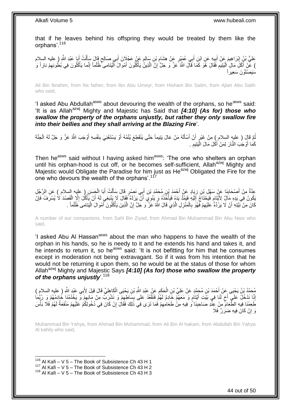that if he leaves behind his offspring they would be treated by them like the orphans'.<sup>116</sup>

عَلِيُّ بْنُ إِبْرَاهِيمَ عَنْ أَبِيهِ عَنِ ابْنِ أَبِي عُهَنْدٍ عَنْ هِشَامٍ بْنِ سَالِمٍ عَنْ عَجْلَانَ أَبِي صَالِحٍ قَالَ سَأَلْتُ أَبَا عَبْدِ اللَّهِ ( عليه السلام ٍ َ ֧֧֧֧֧֧֧֧֧֓֝֓֝֓֝֓֝֬֟֓֓֝֓֓֝֬֓֝֓<del>֛</del> ِ َ **∣** َ ِ ْ ĺ ) عَنْ أَكْلَ مَالِ الْيَتِيمِ فَقَالَ هُوَ كَمَا قَالَ اللَّهُ عَنَّ وَ جَلَّ إِنَّ الَّذِينُ يَأْكُلُونَ أَمْوا $\vec{0}$  أَمْوا الْيَتامى ۖ ظُلُماً إِنَّما يَأْكُلُونَ فِي بُطُونِهِمْ ناراً وَ ِ ا<br>ا ْ ِ ْ ْ َ ْ َّ ِ ْسَيَصْلَوْنَ سَعِيراً

Ali Bin Ibrahim, from his father, from Ibn Abu Umeyr, from Hisham Bin Salim, from Ajlan Abu Salih who said,

'I asked Abu Abdullah<sup>asws</sup> about devouring the wealth of the orphans, so he<sup>asws</sup> said: 'It is as Allah<sup>azwj</sup> Mighty and Majestic has Said that **[4:10] (As for) those who** *swallow the property of the orphans unjustly, but rather they only swallow fire into their bellies and they shall arriving at the Blazing Fire*'.

نُّمَّ فَإِلَ ( عليهِ السلام ِ) مِنْ غَيْرٍ أَنْ أَسْأَلَهُ مَنْ عَالَ يَتِيماً حَتَّى يَنْقَطِعَ يُتْمُهُ أَوْ يَسْتَغْنِيَ بِنَفْسِهِ أَوْجَبَ اللَّهُ عَنَّ وَ جَلَّ لَهُ الْجَنَّةَ ِ َ لَ َ َ اُ Į. ُ ْ َ كَمَا أَوْجَبَ النَّارَ لِمَنْ أَكَلَ مَالَ الْيَتِيمِ . َ ِ :<br>ا

Then he<sup>asws</sup> said without I having asked him<sup>asws</sup>: 'The one who shelters an orphan until his orphan-hood is cut off, or he becomes self-sufficient, Allah<sup>azwj</sup> Mighty and Majestic would Obligate the Paradise for him just as He<sup>azwj</sup> Obligated the Fire for the one who devours the wealth of the orphans'.<sup>117</sup>

عِدَّةٌ مِنْ أَصْحَابِذَا عَنْ سَفْلِ بْنِ زِيَادٍ عَنْ أَحْمَدَ بْنِ أَبِي إِي نَصْرٍ قَالَ سَأَلْتُ أَبَا الْحَسَنِ ( عليه السلام ) عَنِ الرَّجُلِ<br>مُسْتَمَّةٌ مِنْ أَصْحَابِيْهِ عَنِّ سَفْلِ بْنِ زِيَادٍ عَنْ أَمُّهُ مُح ْ َ ْ َ َ ¦ **∣** َ م يَكُونُ فِي بَدِهِ مَالٌ لِأَيْتَامٍ فَيَحْتَاجُ إِلَيْهِ فَهَدُّدٌ يَدَهُ فَيَأْخُذُهُ وَ يَنْوِيِّ أَنَّ يَرُدَّهُ فَفَالَ لَإِ يَنْبَغِي لَهُ أَنْ يَأْكُلَ إِلَّا إِلْفَصَدَ لَا يُسْرِفُ فَإِنَّ ِ ْ َ َ ْ لَ  $\frac{1}{2}$ ِ ِ ْ كَانَ مِنْ نَّنِيَّتِهِ أَنْ لَا يَرُدَّهُ عَلَيْهِمْ فَهُوَّ بِالْمَنْزِلِ الَّذِي قَالَ اللَّهُ عََنَّ وَ جَلَّ إِنَّ الَّذِينَ يَأْكُلُونَ أَمْوالَ الْيَتَامى َظُلْماً . َّ **∶** ْ ِ ِ ْ ْ َ ْ َّ ِ

A number of our companions, from Sahl Bin Ziyad, from Ahmad Bin Muhammad Bin Abu Nasr who said,

'I asked Abu AI Hassan<sup>asws</sup> about the man who happens to have the wealth of the orphan in his hands, so he is needy to it and he extends his hand and takes it, and he intends to return it, so he<sup>asws</sup> said: 'It is not befitting for him that he consumes except in moderation not being extravagant. So if it was from his intention that he would not be returning it upon them, so he would be at the status of those for whom Allah<sup>azwj</sup> Mighty and Majestic Says **[4:10] (As for) those who swallow the property** *of the orphans unjustly*'.<sup>118</sup>

ِ مُحَمَّدُ بْنُ يَحْيَى عَنْ أَحْمَدَ بْنِ مُحَمَّدٍ عَنْ عَلِيِّ بْنِ الْحَكَمِ عَنْ عَبْدِ اللَّهِ بْنِ يَحْيَى الْكَاهِلِيِّ قَالَ قِيلَ لِأَبِي عَبْدِ اللَّهِ ( عليه السلام )<br>-ْ ْ إِنَّا نَدْخُلٌ عَلَى أَخ لَنَا فِي بَيْتِ أَيْتَام وَ مَعَهُمْ خَادِمٌ لَهُمْ فَنَقْعُدُ عَلَى بِسَاطِهِمْ وَ نَشْرَبٌ مِنْ مَائِهِمْ وَ يَخْدُمُنَا خُادِمُهُمْ وَ رُبِّمَاٰ ِ **∣** ٍ َ ٍ ِ ِ ظَّعِمْنَا فِيهِ الطَّعَامِّ مِنْ عِنْدِ صَاحِبِنَا ًو فِيهِ مِنْ طَعَامِهِمْ فَمَا تَرَى فِي ذَلِكَ فَقَالَ إِنْ كَانَ فِي دُخُولِكُمْ عَلَيْهِمْ مَنْفَعَةٌ لَهُمْ فَلَا بَأْسَ ِ ِ **∣** ْ لَ ِ رَ إِنْ كَانَ فِيهِ ضَرَرٌ ۚ فَلَا יֲ<br>י

Muhammad Bin Yahya, from Ahmad Bin Muhammad, from Ali Bin Al hakam, from Abdullah Bin Yahya Al kahily who said,

 $116$  Al Kafi – V 5 – The Book of Subsistence Ch 43 H 1

<sup>117</sup> Al Kafi – V 5 – The Book of Subsistence Ch 43 H 2

 $118$  Al Kafi – V 5 – The Book of Subsistence Ch 43 H 3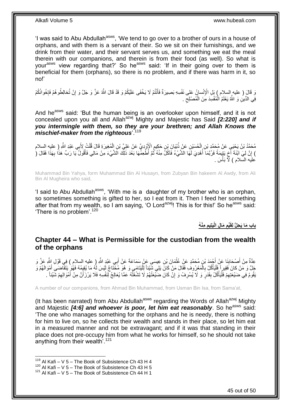'I was said to Abu Abdullah<sup>asws</sup>, 'We tend to go over to a brother of ours in a house of orphans, and with them is a servant of their. So we sit on their furnishings, and we drink from their water, and their servant serves us, and something we eat the meal therein with our companions, and therein is from their food (as well). So what is your<sup>asws</sup> view regarding that?' So he<sup>asws</sup> said: 'If in their going over to them is beneficial for them (orphans), so there is no problem, and if there was harm in it, so no!'

ْي ُكْم َو َقْد َقا َل ََّّللاُ َع َّز ْم ََل َي ْخَفى َعلَ تُ نْ ِس ِه َب ِصي َرةٌ َفأ نْسا ُن َعلى َنفْ ْْلِ ِل ا َو َقا َل ) عليه السالم ( َب ْخوانُ ُطو ُه ْم َفإ ْن تُخالِ ُك َو َج َّل َو إ ْم َ  $\frac{1}{2}$ ِ فِي الدِّينِ وَ اللَّهُ يَعْلَمُ الْمُفْسِدَ مِنَ الْمُصْلِحِ .  $\zeta$ ْ :<br>ا

And he<sup>asws</sup> said: 'But the human being is an overlooker upon himself, and it is not concealed upon you all and Allah<sup>azwj</sup> Mighty and Majestic has Said *[2:220] and if you intermingle with them, so they are your brethren; and Allah Knows the mischief-maker from the righteous*'.<sup>119</sup>

مُحَمَّدُ بْنُ يَحْيَى عَنْ مُحَمَّدِ بْنِ الْحُسَيْنِ عَنْ ذُبْيَانَ بْنِ حَكِيمٍ الْإَوْدِيِّ عَنْ عَلِيٍّ بْنِ الْمُغِيرَةِ قَالَ قُلْتُ لِأَبِي عَبْدِ اللَّهِ ( عليهِ السلام<br>مُحَمَّدُ بْنُ يَحْيَى عَنْ مُحَمَّدِ بْنِ ا ْ ֖֧֖֧֧֧֧ׅ֧֧֧֧֧֧֧֧֧֛֛֧֚֚֚֚֚֚֚֚֚֚֚֚֚֚֚֚֚֚֚֚֬֝֘֝֝֓֝֓֝֬֜֓֝֓֓֓֜֡֓֜֜֓֜֜֓ ْ ْ ) إِنَّ لِيَ ابْنَةَ أَخٍ يَتِيمَةً فَرُبَّمَا ۖ أُهْدِيَ لَمَّا الشَّيْءُ فَآكُلُّ مِنْهُ نُمَّ أُطْعِمَّهَا بَعْدَ ذَلِّكَ الَّشَيْءَ مِنْ مَالِي فَأَقُولُ يَا رَبِّ هَذَا بِهَذَا فَقَالَ ( المناسب المستقبل المستقبل المستقبل المستقبل المستقبل المستقبل المستقبل المستقبل المستقبل المستقبل المستقبل الم<br>المستقبل المستقبل المستقبل المستقبل المستقبل المستقبل المستقبل المستقبل المستقبل المستقبل المستقبل المستقبل ال ٍ ِ ُ ِ َ علَيه السلام ) لَأَ بَأْسَ .

Muhammad Bin Yahya, form Muhammad Bin Al Husayn, from Zubyan Bin hakeem Al Awdy, from Ali Bin Al Mugheira who said,

'I said to Abu Abdullah<sup>asws</sup>, 'With me is a daughter of my brother who is an orphan, so sometimes something is gifted to her, so I eat from it. Then I feed her something after that from my wealth, so I am saying, 'O Lord<sup>azwj</sup>! This is for this!' So he<sup>asws</sup> said: 'There is no problem'.<sup>120</sup>

> **ِمْن ُه َيتِيم َما ِل الْ ِّيم باب َما َي ِحلُّ لِقَ ِ ِ**

## <span id="page-44-0"></span>**Chapter 44 – What is Permissible for the custodian from the wealth of the orphans**

عِدَّةٌ مِنْ أَصْحَابِنَا عَنْ أَحْمَدَ بْنِ مُحَمَّدٍ عَنْ عُثْمَانَ بْنِ عِيسَى عَنْ سَمَاعَةَ عَنْ أَبِي عَبْدِ اللَّهِ ( عليه السلام ) فِي قَوْلِ اللَّهِ عَزَّ وَ َ **ٔ** َ ِ جَلَّ وَ مَنْ كانَ فَقِيراً فَلْيَأْكُلْ بِالْمَعْرُوفِ فَقَالَ مَنْ كَانَ يَلِي شَيْئاً لِلْيَتَامَى وَ هُوَ مُخْتَاجٌ لَيْسَ لَهُ مَا يُقِيمُهُ فَهُوَ يَتَقَاضَى أَهْوَالَهُمْ وَ ْ ْ ِ ْ ْ َ َبَقُومُ فِي ضَيْعَتِهِمْ فَلْيَأْكُلْ بِقَدَرٍ وَ لَا يُسْرِفْ وَ إِنْ كَانَ ضَيْعَتُهُمْ لَا تَشْغَلْهُ عَمَّا يُعَالِجُ لِّنَفْسِهِ فَلَا يَرْزَأَنَّ مِنْ أَمْوَالِهِمْ شَيْئاً . ُ ِ ِ **∣ ٔ** ا<br>ا ِ ِ َ أ

A number of our companions, from Ahmad Bin Muhammad, from Usman Bin Isa, from Sama'at,

(It has been narrated) from Abu Abdullah<sup>asws</sup> regarding the Words of Allah<sup>azwj</sup> Mighty and Majestic [4:6] and whoever is poor, let him eat reasonably. So he<sup>asws</sup> said: 'The one who manages something for the orphans and he is needy, there is nothing for him to live on, so he collects their wealth and stands in their place, so let him eat in a measured manner and not be extravagant; and if it was that standing in their place does not pre-occupy him from what he works for himself, so he should not take anything from their wealth'.<sup>121</sup>

 $119$  Al Kafi – V 5 – The Book of Subsistence Ch 43 H 4

 $120$  Al Kafi – V 5 – The Book of Subsistence Ch 43 H 5

 $121$  Al Kafi – V 5 – The Book of Subsistence Ch 44 H 1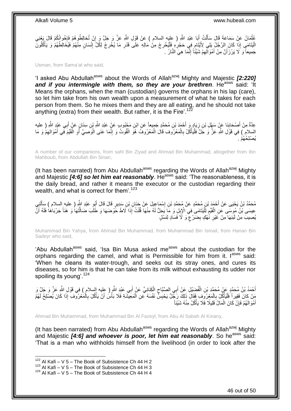عُثْمَانُ عَنْ سَمَاعَةَ قَالَ سَأَلْتُ أَبَا عَبْدِ اللّهِ ( عليه السلام ) عَنْ قَوْلِ اللّهِ عَزَّ وَ جَلَّ وَ إِنْ تُخالِطُوهُمْ فَإِخْوانُكُمْ قَالَ يَعْنِي ِ َ ْ َ  $\frac{1}{2}$ الْيَتَامَيِّ إِذَا كَانَ الرَّجُلُ يَلِي لِأَيْتَامٍ فِي حَجْرِهِ فَلْيُخْرِجْ مِنْ مَالِهِ عَلَى قَدْرِ مَا يُخْرِجُ لِكَلِّ إِنْسَانٍ مِنْهُمْ فَيُخَالِطُهُمْ وَ يَأْكُلُونَّ ِ ِ ِ ْ ِ ٍ ُ ْ ِ جَمِيعاً وَ لَا يَرْزَأَنَّ مِنْ أَمْوَالِهِمْ شَيْئًاً إِنَّمَا هِيَ النَّارُ . ِ ِ َ اً

Usman, from Sama'at who said,

'I asked Abu Abdullah<sup>asws</sup> about the Words of Allah<sup>azwj</sup> Mighty and Majestic [2:220] and if you intermingle with them, so they are your brethren. He<sup>asws</sup> said: 'It Means the orphans, when the man (custodian) governs the orphans in his lap (care), so let him take from his own wealth upon a measurement of what he takes for each person from them. So he mixes them and they are all eating, and he should not take anything (extra) from their wealth. But rather, it is the Fire'.<sup>122</sup>

عِدَّةٌ مِنْ أَصْحَابِنَا عَنْ سَهْلِ بْنِ زِيَادٍ وَ أَحْمَدَ بْنِ مُحَمَّدٍ جَمِيعاً عَنِ ابْنِ مَجْبُوبٍ عَنٍْ عَبْدِ اللَّهِ بْنِ سِنَانٍ عَنْ أَبِي عَبْدِ اللَّهِ ( عليه َ ِ **∣** َ َ السلام ) فِي قَوْلِ اللَّهِ عَزَّ وَ جَلَّ فَلْيَأْكُلْ بِالْمَعْرُوفِ قَالَ الْمَعْرُوفُ هُوَ الْقُوتُ وَ إِنَّمَا عَنَى الْوَصِيَّ أَوِ الْقَيِّمَ فِي أَمْوَالِهِمْ وَ مَا ْ ِ ْ ْ ِ َ ْ ِ َ ْ ِ ْ ْ يُصْلِحُهُمْ .

A number of our companions, from sahl Bin Ziyad and Ahmad Bin Muhammad, altogether from Ibn Mahboub, from Abdullah Bin Sinan,

(It has been narrated) from Abu Abdullah<sup>asws</sup> regarding the Words of Allah<sup>azwj</sup> Mighty and Majestic *[4:6] so let him eat reasonably*. He<sup>asws</sup> said: 'The reasonableness, it is the daily bread, and rather it means the executor or the custodian regarding their wealth, and what is correct for them'.<sup>123</sup>

َ مُحَمَّدُ بْنُ يَحْيَى عَنْ أَحْمَدَ بْنِ مُحَمَّدٍ عَنْ مُحَمَّدِ بْنِ إِسْمَاعِيلَ عَنْ جَذَانِ بْنِ سَدِيرٍ قَالَ قَالَ أَبُوٍ عَبْدِ اللَّهِ ( عليهِ السلام ) سَأَلَنِي ∣l<br>∶ لَ Í عِيسَى بْنُ مُوسَى عَنِ الْقَيِّمِ لِلَّيْتَامَى فِي الْإِبِلِ وَ مَاَ يَحِلُّ لَهُ مِنْهَا قُلْتُ إِذَا لَاطَ خَوْضَهَا وَ طَلَبَ ضَالَّتَهَا وَ هَذَاً جَرْبَاهَا فَلَهُ أَنَّ ْ ِ ْ َ َ َّ ْ يُصِيبَ مِنْ لَبَنِهَا مِنْ غَيْرِ نَّهْكٍ بِضَرْعٍ وَ لَاَ فَسَادٍ لِنَسْلٍ ٍ ِ ِ

Muhammad Bin Yahya, from Ahmad Bin Muhammad, from Muhammad Bin Ismail, from Hanan Bin Sadeyr who said,

'Abu Abdullah<sup>asws</sup> said, 'Isa Bin Musa asked me<sup>asws</sup> about the custodian for the orphans regarding the camel, and what is Permissible for him from it. I<sup>asws</sup> said: 'When he cleans its water-trough, and seeks out its stray ones, and cures its diseases, so for him is that he can take from its milk without exhausting its udder nor spoiling its young<sup>' 124</sup>

أَحْمَدُ بْنُ مُحَمَّدٍ عَنْ مُحَمَّدِ بْنِ الْفُضِّيْلِ عَنْ أَبِي الصَّبَّاحِ الْكِنَانِيِّ عَنْ أَبِي عَبْدِ اللَّهِ ( عليه السلام ) فِي قَوْلِ اللَّهِ عَنَّ وَ جَلَّ وَ َ ْ ِ َ ْ مَنْ كانَ فَقِيراً فَلْيَأْكُلْ بِالْمَعْرُوِفِ فَقَالَ ذَلِكَ رَجُّلٌ يَحْبِسٌ نَفْسَهُ عَنِ الْمَعِيشَةِ فَلَا بَأْسَ أَنْ يَأْكُلَ بِالْمَعْرُوفِ إِذَا كَانَ يُصلِحُ لَهُمْ َ ْ ْ **∣** ْ ِ ،<br>ا ْ ْ ِ ْ ْ أَمْوَ الْهُمْ فَإِنْ كَانَ الْمَالُ قَلِيلًا فَلَا يَأْكُلْ مِنْهُ شَيْئاً ِ َ ْ

Ahmad Bin Muhammad, from Muhammad Bin Al Fazeyl, from Abu Al Sabah Al Kinany,

(It has been narrated) from Abu Abdullah<sup>asws</sup> regarding the Words of Allah<sup>azwj</sup> Mighty and Majestic **[4:6] and whoever is poor, let him eat reasonably**. So he<sup>asws</sup> said: 'That is a man who withholds himself from the livelihood (in order to look after the

 $122$  Al Kafi – V 5 – The Book of Subsistence Ch 44 H 2

 $123$  Al Kafi – V 5 – The Book of Subsistence Ch 44 H 3

 $124$  Al Kafi – V 5 – The Book of Subsistence Ch 44 H 4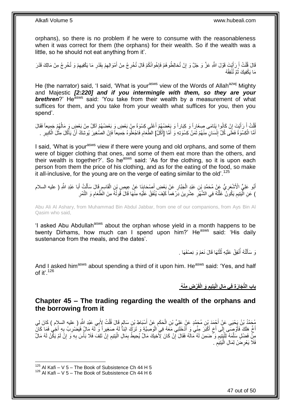orphans), so there is no problem if he were to consume with the reasonableness when it was correct for them (the orphans) for their wealth. So if the wealth was a little, so he should not eat anything from it'.

قَالَ قُلْتُ أَ رَأَيْتَ قَوْلَ اللَّهِ عَزَّ وَ جَلَّ وَ إِنْ تُخالِطُوهُمْ فَإِخْوانُكُمْ قَالَ تُخْرِجُ مِنْ أَمْوَالِهِمْ بِقَدْرِ مَا يَكْفِيهِمْ وَ تُخْرِجُ مِنْ مَالِكَ قَدْرَ ِ َ ِ יֲ<br>י יֲ<br>י َ َ ْ ِ ِ ِ ِ مَا يَكْفِيكَ ثُمَّ تُنْفِقُهُ ُ

He (the narrator) said, 'I said, 'What is your<sup>asws</sup> view of the Words of Allah<sup>azwj</sup> Mighty and Majestic *[2:220] and if you intermingle with them, so they are your*  **brethren**?' He<sup>asws</sup> said: 'You take from their wealth by a measurement of what suffices for them, and you take from your wealth what suffices for you, then you spend'.

فُلْتُ أَ رَأَيْتَ إِنْ كَانُوا يَتَامَى صِغَاراً وَ كِبَاراً وَ بَعْضُهُمْ أَعْلَي كِسْوَةً مِنْ بَعْضٍ وَ بَعْضُهُمْ آكَلُ مِنْ بَعْضٍ وَ مَالُهُمْ جَمِيعاً فَقَالَ َ ِ َ **∫** ْ ∣lٍ أَمَّا الْكِسْوَةُ فَعَلَى كُلِّ إِنْسَانٍ مِنْهُمْ ثَمَنُ كِسْوَتِهِ وَ أَمَّا [أَكْلُ] الطَّعَامِ فَاجْعَلُوهُ جَمِيعاً فَإِنْ الصُّغِيرَ يُوشِكُ أَنْ يَأْكُلَ مِثْلُ الْكَبِيرِ . ِ َ َ َ ِ ْ َ ِ ِ ْ **ٔ** ْ َ

I said. 'What is your<sup>asws</sup> view if there were young and old orphans, and some of them were of bigger clothing that ones, and some of them eat more than the others, and their wealth is together?'. So he<sup>asws</sup> said: 'As for the clothing, so it is upon each person from them the price of his clothing, and as for the eating of the food, so make it all-inclusive, for the young are on the verge of eating similar to the old'.<sup>125</sup>

أَبُو عَلِيٍّ الْأَشْعَرِيُّ عَنْ مُحَمَّدٍ بْنِ عَبْدٍ الْجَبَّارِ عَنْ بَعْضِ أَصْحَابِنَا عَنْ عِيصِ بْنِ الْقَاسِمِ قَالَ سَأَلْتُ أَبَا عَبْدِ اللَّهِ ( عليه السلام ِ ْ **∶** َ ِ ْ ِ َ َ ْ َ ) عَنِ الّْيَتِيمِ يَكُونُ ۖ غَلَّتُهُ فِي الشَّهْرِ ۚ عِشْرِينَ دِرْ هَماً كَيْفَ يُنْفَقُ عَلَيْهِ مِنْهَا قَالَ قُوتُهُ مِنَ الْطَّعَامِ وَ التَّمْرِ ِ ِ َّ ِ ا<br>ا ِ ِ

Abu Ali Al Ashary, from Muhammad Bin Abdul Jabbar, from one of our companions, from Ays Bin Al Qasim who said,

'I asked Abu Abdullah<sup>asws</sup> about the orphan whose yield in a month happens to be twenty Dirhams, how much can I spend upon him?' He<sup>asws</sup> said: 'His daily sustenance from the meals, and the dates'.

> ُ<br>ا نَ سَأَلْتُهُ أَنْفِقُ عَلَيْهِ ثُلُثَهَا قَالَ نَعَمْ وَ نِصْفَهَا . ُ ا<br>أ ْ َ  $\ddot{\phantom{0}}$

And I asked him<sup>asws</sup> about spending a third of it upon him. He<sup>asws</sup> said: 'Yes, and half of it'. $126$ 

### **ْر ِض ِمْن ُه َو الْقَ َيتِيم باب الِّت َجا َر ِة فِي َما ِل الْ ِ**

### <span id="page-46-0"></span>**Chapter 45 – The trading regarding the wealth of the orphans and the borrowing from it**

مُحَمَّدُ بْنُ يَحْيَى عَنْ أَجْمَدَ بْنِ مُحَمَّدٍ عَنْ عَلِيِّ بْنِ الْحَكَمِ عَنْ أَسْبَاطِ بْنِ سَالِمٍ قَالَ قُلْتُ لِأَبِي عَبْدِ اللَّهِ ( عليه السلام ) كَانَ لِي<br>يَهْدَمَّذُ بْنُ يَحْيَى عَنْ أَجْمَدَ بْنِ مُحَمَّد ْ ٍ َ ِ ْ أَخٌ هَلَكَ فَأَوْصِنَى إِلَى أَخ أَكْبَرَ مِنِّيَ وَ أَدْخَلَنِيّ مَعَهُ فِي الْوَصِيَّةِ وَ تَرَكَ ابْناً لَهُ صَغِيراً وَ لَّهُ مَالٌ فَيَضْرِبُ بِهِ أَخِي فَمَا كَانَّ َ َ ٍ ِ ز<br>ا َ ِ ِ لَ ْ مِنْ فَضْلٍ سَلَّمَهُ لِلْيَتِيمِ وَ ضَمِنَ لَهُ مَالَهُ فَقَالَ إِنْ كَانَ لِأَخِيكَ مَالٌ يُحِيطُ بِمَالِ الْيَتِيمِ إِنْ تَلِفَ فَلَا بَأْسَ بِهِ ۖ وَ إِنَّ لَمْ يَكِّنْ لَهُ مَالٌ ِ  $\ddot{\phantom{a}}$ ْ ِ ِ ِ ֺ֖֖֦֖֦֪֦֧֦֦֧֦֝֟֟֟֟֟֟֟֟֟֟֟֟֟֟֟֟֟֟֟֟֟֟֟֟֟֟֞֟֞֟֟֟֟֟֟֟֓֞֟֟֟֩֞֟֩֞ َّ ِ ِ ْ فَلَا يَعْرِضُ لِمَالِ الْيَتِيَمِ . **ُ** ْ ِ

 $125$  Al Kafi – V 5 – The Book of Subsistence Ch 44 H 5

 $126$  Al Kafi – V 5 – The Book of Subsistence Ch 44 H 6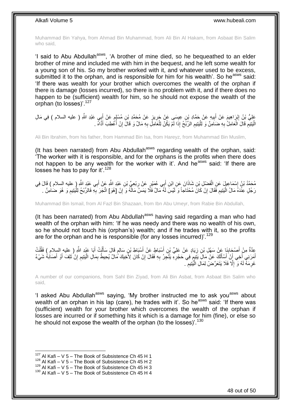Muhammad Bin Yahya, from Ahmad Bin Muhammad, from Ali Bin Al Hakam, from Asbaat Bin Salim who said,

'I said to Abu Abdullah<sup>asws</sup>, 'A brother of mine died, so he bequeathed to an elder brother of mine and included me with him in the bequest, and he left some wealth for a young son of his. So my brother worked with it, and whatever used to be excess, submitted it to the orphan, and is responsible for him for his wealth'. So he<sup>asws</sup> said: 'If there was wealth for your brother which overcomes the wealth of the orphan if there is damage (losses incurred), so there is no problem with it, and if there does no happen to be (sufficient) wealth for him, so he should not expose the wealth of the orphan (to losses)<sup>'.127</sup>

عَلِيُّ بْنُ إِبْرَاهِيمَ عَنْ أَبِيهِ عَنْ حَمَّادِ بْنِ عِيسَى عَنْ حَرِيزٍ عَنْ مُحَمَّدِ بْنِ مُسْلِمٍ عَنْ أَبِي عَبْدِ اللَّهِ ( عليه السلام ) فِي مَالِ َ م<br>م **∶** ِ َ ِ ْ الْيَتِيْمِ قَالَ الْعَامِلُ بِهِ صَنَامِنٌ وَ لِلْيَتِيمِ الرِّبَحُ إِذَا لَمْ يَكُنْ لِلْعَامِلِ بِهِ مَالٌ وَ قَالَ إِنْ أَعْطِبَ أَذَّاهُ . ِ ْ **∶** ْ ِ :<br>ا َ ا<br>ا ِ ِ

Ali Bin Ibrahim, from his father, from Hammad Bin Isa, from Hareyz, from Muhammad Bin Muslim,

(It has been narrated) from Abu Abdullah<sup>asws</sup> regarding wealth of the orphan, said: 'The worker with it is responsible, and for the orphans is the profits when there does not happen to be any wealth for the worker with it'. And he<sup>asws</sup> said: 'If there are losses he has to pay for it'.<sup>128</sup>

مُحَمَّدُ بْنُ إِسْمَاعِيلَ عَنِ الْفَضْلِ بْنِ شَاذَانَ عَنِ ابْنِ أَبِي عُمَيْرٍ عَنْ رِبْعِيٍّ بْنِ عَبْدِ اللَّهِ عَنْ أَبِي عَبْدِ اللَّهِ ( عليه السلام ) قَالَ فِي َ ْ َ ِ رَجُلٍ عِنْدَهُ مَالُ الْيَتِيمِ فَقَالَ إِنْ كَانَ مُحْتَاجاً وَ لَيْسَ لَهُ مَالٌ فَلَا يَمَسَّ مَالَّهُ وَ إِنْ [هُوَ] اتَّجَرَ بِهِ فَالرِّبْحُ لِلْيَتِيمِ وَ هُوَ ضَامِنٌ . ِ ِ ِ ا<br>ا ِ ْ **∶** 

Muhammad Bin Ismail, from Al Fazl Bin Shazaan, from Ibn Abu Umeyr, from Rabie Bin Abdullah,

(It has been narrated) from Abu Abdullah<sup>asws</sup> having said regarding a man who had wealth of the orphan with him: 'If he was needy and there was no wealth of his own, so he should not touch his (orphan's) wealth; and if he trades with it, so the profits are for the orphan and he is responsible (for any losses incurred)'.<sup>129</sup>

عِدَّةٌ مِنْ أَصْحَابِنَا عَنْ سَهْلِ بْنِ زِيَادٍ عَنْ عَلِيِّ بْنِ أَسْبَاطٍ عَنْ أَسْبَاطٍ بْنِ سَالِمٍ قَالَ سَأَلْتُ أَبَا عَبْدِ اللَّهِ ( عليه السلام ) فَقُلْتُ<br>مِنَّةٌ مِنْ أَصْبَحَابَهَ مَنْ سَهْلِ بْنِ زِيَادٍ عَ َ **∶ ∣** َ ْ َ ْ َ ֧֧֖֧֖֧֖֧֧֧֧֧֧֧֧֧֧֧֧֚֚֚֓֝֝֝֝֝֟֓֝֓֬֝֓֝֬֟֓֟֓֝֬֟֓֟֓֝֬֝֬֝֓֟֓֝֬֜֝֬֝֓֝֬֝֓ َ أَمَرَنِي أَخِي أَنْ َأِسْأَلَكَ عَنْ مَالٍ يَبْتِمٍ فِي حَجْرِهِ يَتَّجِرُ بِهِ فَقَالَ إِنْ كَانَ لِأَخِيكَ مَالٌ يُحِيطُ بِمَالِ الْيَتِيمِ إِنْ تَلِفَ أَوْ أَصَابَهُ شَيْءٌ ِ ِ ِ ِ ֧֧֖֚֚֓֝֝֓֝ لَ َ َ َ َ َ َ ِ ِ ْ غَرِمَهُ لَهُ وَ ۚ إِلَّا فَلَا يَتَعَرَّضْ لِمَالِ الْيَّتِيمِ ۚ . ِ ْ  $\ddot{\phantom{a}}$ ِ

A number of our companions, from Sahl Bin Ziyad, from Ali Bin Asbat, from Asbaat Bin Salim who said,

'I asked Abu Abdullah<sup>asws</sup> saying, 'My brother instructed me to ask you<sup>asws</sup> about wealth of an orphan in his lap (care), he trades with it'. So he<sup>asws</sup> said: 'If there was (sufficient) wealth for your brother which overcomes the wealth of the orphan if losses are incurred or if something hits it which is a damage for him (fine), or else so he should not expose the wealth of the orphan (to the losses)<sup>'.130</sup>

 $127$  Al Kafi – V 5 – The Book of Subsistence Ch 45 H 1

 $128$  Al Kafi – V 5 – The Book of Subsistence Ch 45 H 2

 $^{129}$  Al Kafi – V 5 – The Book of Subsistence Ch 45 H 3

 $130$  Al Kafi – V 5 – The Book of Subsistence Ch 45 H 4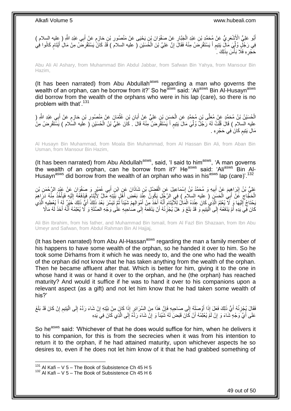أَبُو عَلِيٍّ الْأَشْعَرِيُّ عَنْ مُحَمَّدٍ بْنِ عَبْدِ الْجَيَّارِ عَنْ صَفْوَانَ بْنِ يَحْيَى عَنْ مَنْصُورِ بْنِ حَازِمٍ عَنْ أَبِي عَبْدِ اللَّهِ ( عِليه السلام ) ֧֖֖֧֢֚֚֚֚֚֚֚֚֚֚֚֚֚֚֚֓֝֬֘֝֓֝֓׆֧ ِ **∶** ِ ْ ِ َ َ فِي رَجُلٍ وُلَّمٍ مَالٍ يَتِيمٍ أَ يَسْتَقْرِضُ مِنْهُ فَقَالَ إِنَّ عَلِيَّ بْنَ الْخُسَيْنِ ( عليه السلامَ ) قَدْ كَانَّ يَسْتَقْرِضَ مِنْ مَالِ أَيْتَامٍ كَانُوا فِي ِّ م<br>وا َ ِ ْ ِ ِ َ ٍ حَجْرِهِ فَلَا بَأْسَ بِذَلِكَ ۚ ـ ا<br>ا ِ

Abu Ali Al Ashary, from Muhammad Bin Abdul Jabbar, from Safwan Bin Yahya, from Mansour Bin Hazim,

(It has been narrated) from Abu Abdullah<sup>asws</sup> regarding a man who governs the wealth of an orphan, can he borrow from it?' So he<sup>asws</sup> said: 'Ali<sup>asws</sup> Bin Al-Husayn<sup>asws</sup> did borrow from the wealth of the orphans who were in his lap (care), so there is no problem with that'.<sup>131</sup>

ِ الْحُسَيْنُ بْنُ مُحَمَّدٍ عَنْ مُعَلَّى بْنِ مُحَمَّدٍ عَنِ الْحَسَنِ بْنِ عَلِيٍّ عَنْ أَبَانِ بْنِ عُثْمَانَ عَنْ مَنْصُورِ بْنِ حَازِمٍ عَنْ أَبِي عَبْدِ اللَّهِ ( ْ َ ْ َ ٍ ِ عليه السلام ) قَالَ قُلْتُ لَهُ رَجُلٌ وُلِّيَ مَالَ يَتِيمٍ أَ يَسْتَقْرِضُ مِنْهُ قَالَ . كَانَ عَلِيُّ بْنُ الْحُسَيْنِ ( عليه الَسَّلام ) يَسْتَقْرِضُ مِنْ ِّ ْ ْ **ٍ** َ ٍ مَالِ يَتِيمٍ كَانَ فِي حَجْرِهِ . ِ ٍ

Al Husayn Bin Muhammad, from Moala Bin Muhammad, from Al Hassan Bin Ali, from Aban Bin Usman, from Mansour Bin Hazim,

(It has been narrated) from Abu Abdullah<sup>asws</sup>, said, 'I said to him<sup>asws</sup>, 'A man governs the wealth of an orphan, can he borrow from it?' He<sup>asws</sup> said: 'Ali<sup>asws</sup> Bin Al-Husayn<sup>asws</sup> did borrow from the wealth of an orphan who was in his<sup>asws</sup> lap (care)<sup>' 132</sup>

عَلِيُّ بْنُ إِبْرَاهِيمَ عَنْ أَبِيهِ وَ مُحَمَّدُ بْنُ إِسْمَاعِيلَ عَنِ الْفَضْلِ بْنِ شَاذَانَ عَنِ ابْنِ أَبِي عُمَيْرٍ وَ صَفْوَانَ عَنْ عَبْدِ الرَّحْمَنِ بْنِ َ ْ ِ ِ َ ِ الْجَجَّاجِ ۚ عََنْ أَبَىٰ الْحَسَنِ ( عِليه السلامُ ) فِي الرَّجُلِ يَكُونُ عِنَّذَ بَعْضِ أَهْلِ بَيّْتِهِ مَالٌ لِأَيْتَامٍ فَيَدْفَعُهُ إِلَيْهِ فَيَأْخُذُ مِنْهُ دَرِّ اهِمَ َ ْ َ ِ ْ ْ لَ ِ ٍ ان<br>سال 1 َحْتَاجُ إِلَيْهَا وَ لاَّ يُعْلِمُ الَّذِي كَانَ عِنْدَهُ الْمَالُ لِلْأَيْتَامِ أَنَّهُ لَخَذَ مِنْ أَمْوَالِهِمْ شَيْئاً ثُمَّ تَيَسَّرَ بَعْدَ ذَلِكَ أَيِّي ذَلِكَ خَيْرٌ لَهُ أَ يُعطيهِ الَّذِي ِ َ َ َ ِ ْ اً لَ ِ َ َ َّ كَانَ فِيَ يَدِهِ أَمْ يَدْفَعُهُ ٰإِلَى ٱلْيَتِيعِ وَ قَدْ بَلَغَ وَ هَلْ يُجْزِئُهُ أَنْ يَدْفَعَهُ إِلَى صَاحِبِهِ عَلَٰى وَجْهِ الصِّلَةِ وَ لَا يُعْلِمُهُ أَنَّهُ أَخَذَ لَهُ مَالًا **∶** ِ َ ِ ِ ا<br>ا  $\frac{1}{2}$ َ لَ َ َ

Ali Bin Ibrahim, from his father, and Muhammad Bin Ismail, from Al Fazl Bin Shazaan, from Ibn Abu Umeyr and Safwan, from Abdul Rahman Bin Al Hajjaj,

(It has been narrated) from Abu Al-Hassan<sup>asws</sup> regarding the man a family member of his happens to have some wealth of the orphan, so he handed it over to him. So he took some Dirhams from it which he was needy to, and the one who had the wealth of the orphan did not know that he has taken anything from the wealth of the orphan. Then he became affluent after that. Which is better for him, giving it to the one in whose hand it was or hand it over to the orphan, and he (the orphan) has reached maturity? And would it suffice if he was to hand it over to his companions upon a relevant aspect (as a gift) and not let him know that he had taken some wealth of his?'

فَقَالَ يُجْزِئُهُ أَيُّ ذَلِكَ فَعَلَ إِذَا أَوْصَلَهُ إِلَى صَاحِبِهِ فَإِنَّ هَذَا مِنَ السَّرَائِرِ إِذَا كَانَ مِنْ نِتَّتِهِ إِنْ شَاءَ رَدَّهُ إِلَى الْيَتِيمِ إِنْ كَانَ قَدْ بَلَغَ ِ ِ ِ ِ َ اً<br>ا **∶** ِ ِ ْ ِ ِ عَلَى أَيٍّ وَجْهٍ شَاءَ وَ إِنْ لَمَّ يُعْلِمْهُ أَنْ كَانَ قَبَضَ لَهُ شَيْئاً وَ إِنْ شَاءَ رَدَّهُ إِلَى الَّذِي كَانَ فِي يَدِهِ َ ِ اً<br>ا َّ ِ ِ

So he<sup>asws</sup> said: 'Whichever of that he does would suffice for him, when he delivers it to his companion, for this is from the secrecies when it was from his intention to return it to the orphan, if he had attained maturity, upon whichever aspects he so desires to, even if he does not let him know of it that he had grabbed something of

 $131$  Al Kafi – V 5 – The Book of Subsistence Ch 45 H 5

 $132$  Al Kafi – V 5 – The Book of Subsistence Ch 45 H 6